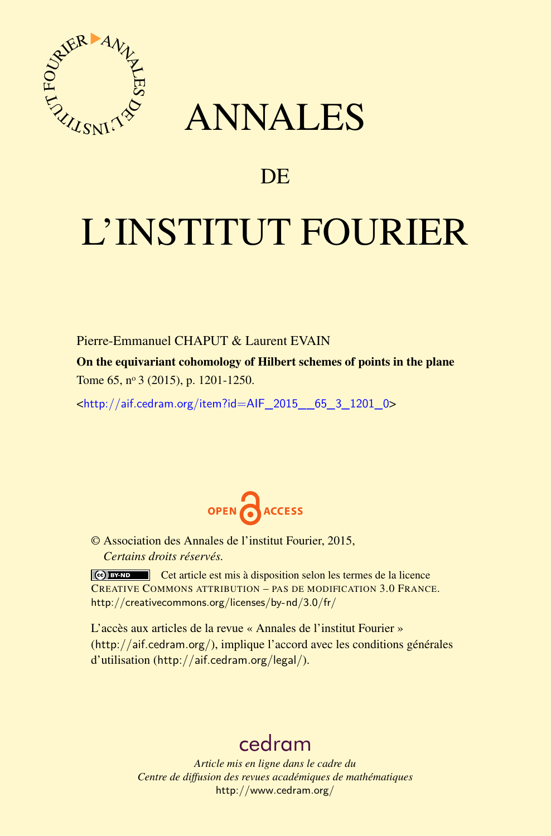

## ANNALES

### **DE**

# L'INSTITUT FOURIER

### Pierre-Emmanuel CHAPUT & Laurent EVAIN

On the equivariant cohomology of Hilbert schemes of points in the plane Tome 65, nº 3 (2015), p. 1201-1250.

 $\kappa$ http://aif.cedram.org/item?id=AIF 2015 65\_3\_1201\_0>



© Association des Annales de l'institut Fourier, 2015, *Certains droits réservés.*

Cet article est mis à disposition selon les termes de la licence CREATIVE COMMONS ATTRIBUTION – PAS DE MODIFICATION 3.0 FRANCE. <http://creativecommons.org/licenses/by-nd/3.0/fr/>

L'accès aux articles de la revue « Annales de l'institut Fourier » (<http://aif.cedram.org/>), implique l'accord avec les conditions générales d'utilisation (<http://aif.cedram.org/legal/>).

### [cedram](http://www.cedram.org/)

*Article mis en ligne dans le cadre du Centre de diffusion des revues académiques de mathématiques* <http://www.cedram.org/>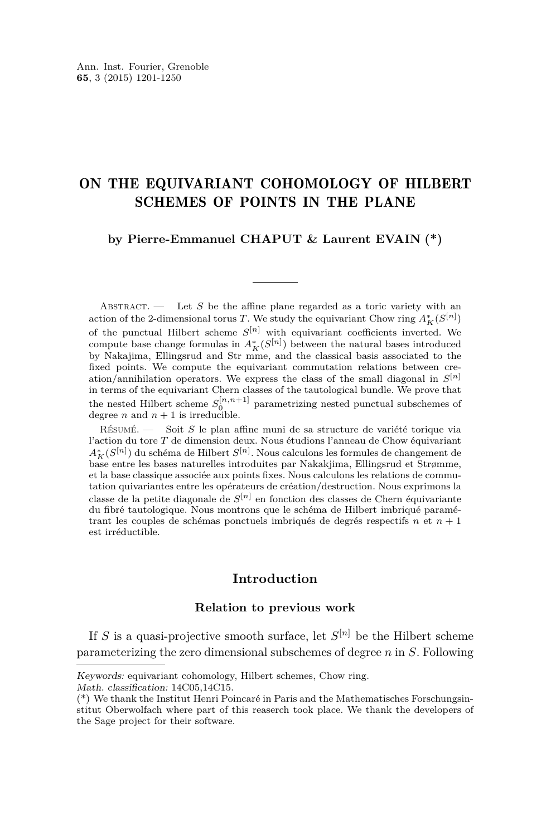### ON THE EQUIVARIANT COHOMOLOGY OF HILBERT SCHEMES OF POINTS IN THE PLANE

### **by Pierre-Emmanuel CHAPUT & Laurent EVAIN (\*)**

ABSTRACT.  $\qquad$  Let *S* be the affine plane regarded as a toric variety with an action of the 2-dimensional torus *T*. We study the equivariant Chow ring  $A_K^*(S^{[n]})$ of the punctual Hilbert scheme  $S^{[n]}$  with equivariant coefficients inverted. We compute base change formulas in  $A_K^*(S^{[n]})$  between the natural bases introduced by Nakajima, Ellingsrud and Str mme, and the classical basis associated to the fixed points. We compute the equivariant commutation relations between creation/annihilation operators. We express the class of the small diagonal in *S* [*n*] in terms of the equivariant Chern classes of the tautological bundle. We prove that the nested Hilbert scheme  $S_0^{[n,n+1]}$  parametrizing nested punctual subschemes of degree *n* and  $n + 1$  is irreducible.

Résumé. — Soit *S* le plan affine muni de sa structure de variété torique via l'action du tore *T* de dimension deux. Nous étudions l'anneau de Chow équivariant *A*<sup>∗</sup><sub>*K*</sub>(*S*<sup>[*n*]</sup>) du schéma de Hilbert *S*<sup>[*n*]</sup>. Nous calculons les formules de changement de base entre les bases naturelles introduites par Nakakjima, Ellingsrud et Strømme, et la base classique associée aux points fixes. Nous calculons les relations de commutation quivariantes entre les opérateurs de création/destruction. Nous exprimons la classe de la petite diagonale de *S* [*n*] en fonction des classes de Chern équivariante du fibré tautologique. Nous montrons que le schéma de Hilbert imbriqué paramétrant les couples de schémas ponctuels imbriqués de degrés respectifs *n* et *n* + 1 est irréductible.

### **Introduction**

#### **Relation to previous work**

If *S* is a quasi-projective smooth surface, let *S* [*n*] be the Hilbert scheme parameterizing the zero dimensional subschemes of degree *n* in *S*. Following

Keywords: equivariant cohomology, Hilbert schemes, Chow ring.

Math. classification: 14C05,14C15.

<sup>(\*)</sup> We thank the Institut Henri Poincaré in Paris and the Mathematisches Forschungsinstitut Oberwolfach where part of this reaserch took place. We thank the developers of the Sage project for their software.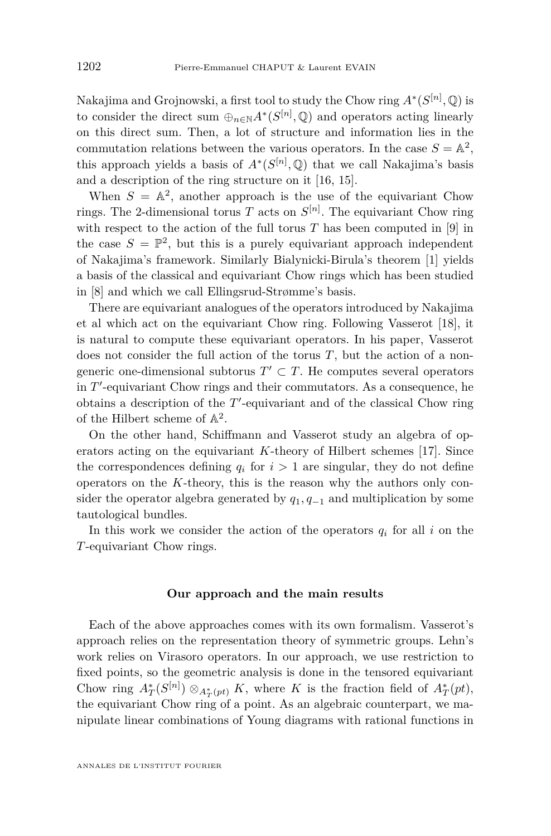Nakajima and Grojnowski, a first tool to study the Chow ring  $A^*(S^{[n]}, \mathbb{Q})$  is to consider the direct sum  $\bigoplus_{n \in \mathbb{N}} A^*(S^{[n]}, \mathbb{Q})$  and operators acting linearly on this direct sum. Then, a lot of structure and information lies in the commutation relations between the various operators. In the case  $S = \mathbb{A}^2$ , this approach yields a basis of  $A^*(S^{[n]}, \mathbb{Q})$  that we call Nakajima's basis and a description of the ring structure on it [\[16,](#page-50-0) [15\]](#page-50-0).

When  $S = \mathbb{A}^2$ , another approach is the use of the equivariant Chow rings. The 2-dimensional torus  $T$  acts on  $S^{[n]}$ . The equivariant Chow ring with respect to the action of the full torus  $T$  has been computed in [\[9\]](#page-50-0) in the case  $S = \mathbb{P}^2$ , but this is a purely equivariant approach independent of Nakajima's framework. Similarly Bialynicki-Birula's theorem [\[1\]](#page-49-0) yields a basis of the classical and equivariant Chow rings which has been studied in [\[8\]](#page-50-0) and which we call Ellingsrud-Strømme's basis.

There are equivariant analogues of the operators introduced by Nakajima et al which act on the equivariant Chow ring. Following Vasserot [\[18\]](#page-50-0), it is natural to compute these equivariant operators. In his paper, Vasserot does not consider the full action of the torus *T*, but the action of a nongeneric one-dimensional subtorus  $T' \subset T$ . He computes several operators in  $T'$ -equivariant Chow rings and their commutators. As a consequence, he obtains a description of the  $T'$ -equivariant and of the classical Chow ring of the Hilbert scheme of  $\mathbb{A}^2$ .

On the other hand, Schiffmann and Vasserot study an algebra of operators acting on the equivariant *K*-theory of Hilbert schemes [\[17\]](#page-50-0). Since the correspondences defining  $q_i$  for  $i > 1$  are singular, they do not define operators on the *K*-theory, this is the reason why the authors only consider the operator algebra generated by  $q_1, q_{-1}$  and multiplication by some tautological bundles.

In this work we consider the action of the operators  $q_i$  for all  $i$  on the *T*-equivariant Chow rings.

#### **Our approach and the main results**

Each of the above approaches comes with its own formalism. Vasserot's approach relies on the representation theory of symmetric groups. Lehn's work relies on Virasoro operators. In our approach, we use restriction to fixed points, so the geometric analysis is done in the tensored equivariant Chow ring  $A_T^*(S^{[n]}) \otimes_{A_T^*(pt)} K$ , where *K* is the fraction field of  $A_T^*(pt)$ , the equivariant Chow ring of a point. As an algebraic counterpart, we manipulate linear combinations of Young diagrams with rational functions in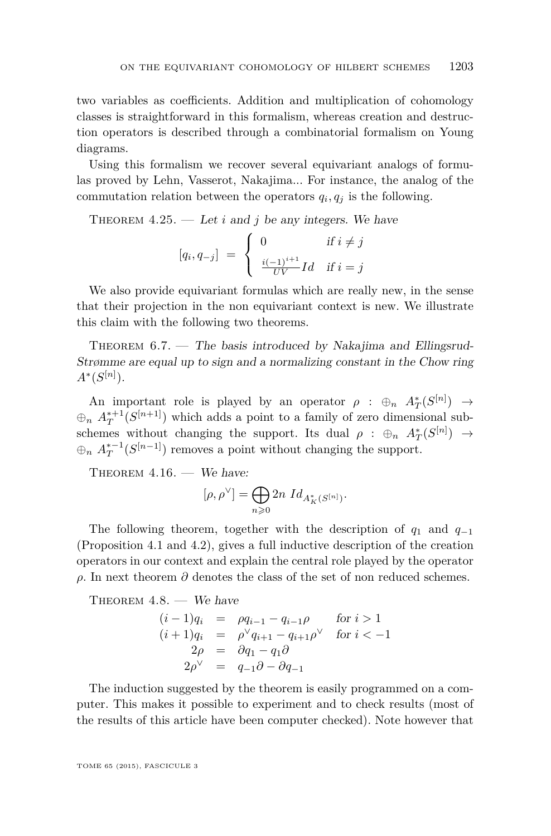two variables as coefficients. Addition and multiplication of cohomology classes is straightforward in this formalism, whereas creation and destruction operators is described through a combinatorial formalism on Young diagrams.

Using this formalism we recover several equivariant analogs of formulas proved by Lehn, Vasserot, Nakajima... For instance, the analog of the commutation relation between the operators  $q_i, q_j$  is the following.

THEOREM  $4.25.$  — Let *i* and *j* be any integers. We have

$$
[q_i, q_{-j}] = \begin{cases} 0 & \text{if } i \neq j \\ \frac{i(-1)^{i+1}}{UV}Id & \text{if } i = j \end{cases}
$$

We also provide equivariant formulas which are really new, in the sense that their projection in the non equivariant context is new. We illustrate this claim with the following two theorems.

THEOREM  $6.7.$  — The basis introduced by Nakajima and Ellingsrud-Strømme are equal up to sign and a normalizing constant in the Chow ring  $A^*(S^{[n]})$ .

An important role is played by an operator  $\rho : \oplus_n A^*_T(S^{[n]}) \to$  $\bigoplus_n A_T^{*+1}(S^{[n+1]})$  which adds a point to a family of zero dimensional subschemes without changing the support. Its dual  $\rho : \oplus_n A^*_T(S^{[n]}) \to$  $\bigoplus_n A_T^{*-1}(S^{[n-1]})$  removes a point without changing the support.

THEOREM  $4.16.$  – We have:

$$
[\rho, \rho^{\vee}] = \bigoplus_{n \geqslant 0} 2n \; Id_{A_K^*(S^{[n]})}.
$$

The following theorem, together with the description of  $q_1$  and  $q_{-1}$ (Proposition [4.1](#page-24-0) and [4.2\)](#page-25-0), gives a full inductive description of the creation operators in our context and explain the central role played by the operator *ρ*. In next theorem  $\partial$  denotes the class of the set of non reduced schemes.

THEOREM  $4.8.$  – We have

$$
(i-1)q_i = \rho q_{i-1} - q_{i-1}\rho \quad \text{for } i > 1
$$
  
\n
$$
(i+1)q_i = \rho^{\vee} q_{i+1} - q_{i+1}\rho^{\vee} \quad \text{for } i < -1
$$
  
\n
$$
2\rho = \partial q_1 - q_1\partial
$$
  
\n
$$
2\rho^{\vee} = q_{-1}\partial - \partial q_{-1}
$$

The induction suggested by the theorem is easily programmed on a computer. This makes it possible to experiment and to check results (most of the results of this article have been computer checked). Note however that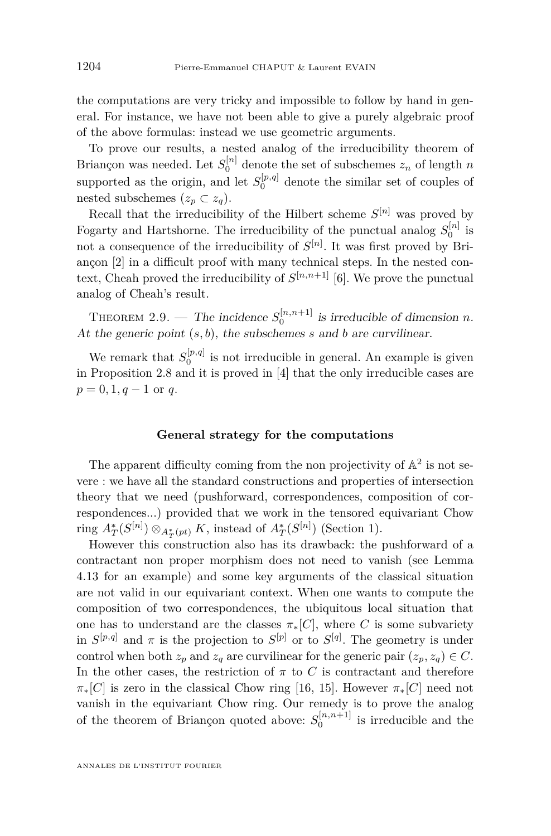the computations are very tricky and impossible to follow by hand in general. For instance, we have not been able to give a purely algebraic proof of the above formulas: instead we use geometric arguments.

To prove our results, a nested analog of the irreducibility theorem of Briançon was needed. Let  $S_0^{[n]}$  denote the set of subschemes  $z_n$  of length *n* supported as the origin, and let  $S_0^{[p,q]}$  denote the similar set of couples of nested subschemes  $(z_p \subset z_q)$ .

Recall that the irreducibility of the Hilbert scheme  $S^{[n]}$  was proved by Fogarty and Hartshorne. The irreducibility of the punctual analog  $S_0^{[n]}$  is not a consequence of the irreducibility of  $S^{[n]}$ . It was first proved by Briançon [\[2\]](#page-49-0) in a difficult proof with many technical steps. In the nested context, Cheah proved the irreducibility of  $S^{[n,n+1]}$  [\[6\]](#page-49-0). We prove the punctual analog of Cheah's result.

THEOREM [2.9.](#page-15-0) — The incidence  $S_0^{[n,n+1]}$  is irreducible of dimension *n*. At the generic point (*s, b*), the subschemes *s* and *b* are curvilinear.

We remark that  $S_0^{[p,q]}$  is not irreducible in general. An example is given in Proposition [2.8](#page-15-0) and it is proved in [\[4\]](#page-49-0) that the only irreducible cases are  $p = 0, 1, q - 1$  or *q*.

### **General strategy for the computations**

The apparent difficulty coming from the non projectivity of  $\mathbb{A}^2$  is not severe : we have all the standard constructions and properties of intersection theory that we need (pushforward, correspondences, composition of correspondences...) provided that we work in the tensored equivariant Chow ring  $A^*_T(S^{[n]}) \otimes_{A^*_T(pt)} K$ , instead of  $A^*_T(S^{[n]})$  (Section [1\)](#page-6-0).

However this construction also has its drawback: the pushforward of a contractant non proper morphism does not need to vanish (see Lemma [4.13](#page-32-0) for an example) and some key arguments of the classical situation are not valid in our equivariant context. When one wants to compute the composition of two correspondences, the ubiquitous local situation that one has to understand are the classes  $\pi_*[C]$ , where *C* is some subvariety in  $S^{[p,q]}$  and  $\pi$  is the projection to  $S^{[p]}$  or to  $S^{[q]}$ . The geometry is under control when both  $z_p$  and  $z_q$  are curvilinear for the generic pair  $(z_p, z_q) \in C$ . In the other cases, the restriction of  $\pi$  to  $C$  is contractant and therefore  $\pi_*[C]$  is zero in the classical Chow ring [\[16,](#page-50-0) [15\]](#page-50-0). However  $\pi_*[C]$  need not vanish in the equivariant Chow ring. Our remedy is to prove the analog of the theorem of Briançon quoted above:  $S_0^{[n,n+1]}$  is irreducible and the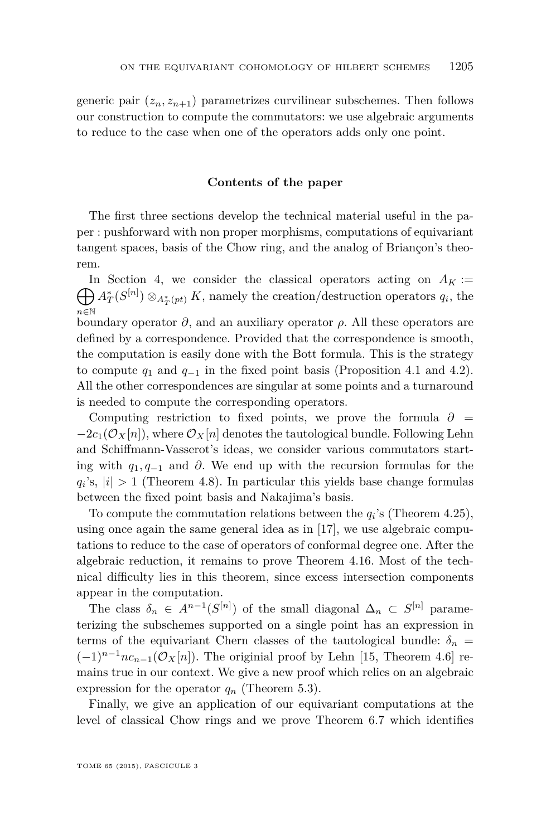generic pair  $(z_n, z_{n+1})$  parametrizes curvilinear subschemes. Then follows our construction to compute the commutators: we use algebraic arguments to reduce to the case when one of the operators adds only one point.

### **Contents of the paper**

The first three sections develop the technical material useful in the paper : pushforward with non proper morphisms, computations of equivariant tangent spaces, basis of the Chow ring, and the analog of Briançon's theorem.

 $\bigoplus A_T^*(S^{[n]}) \otimes_{A_T^*(pt)} K$ , namely the creation/destruction operators  $q_i$ , the In Section [4,](#page-24-0) we consider the classical operators acting on  $A_K$ := *n*∈N boundary operator  $\partial$ , and an auxiliary operator  $\rho$ . All these operators are defined by a correspondence. Provided that the correspondence is smooth, the computation is easily done with the Bott formula. This is the strategy to compute  $q_1$  and  $q_{-1}$  in the fixed point basis (Proposition [4.1](#page-24-0) and [4.2\)](#page-25-0). All the other correspondences are singular at some points and a turnaround is needed to compute the corresponding operators.

Computing restriction to fixed points, we prove the formula  $\partial =$  $-2c_1(\mathcal{O}_X[n])$ , where  $\mathcal{O}_X[n]$  denotes the tautological bundle. Following Lehn and Schiffmann-Vasserot's ideas, we consider various commutators starting with *q*1*, q*<sup>−</sup><sup>1</sup> and *∂*. We end up with the recursion formulas for the  $q_i$ 's,  $|i| > 1$  (Theorem [4.8\)](#page-28-0). In particular this yields base change formulas between the fixed point basis and Nakajima's basis.

To compute the commutation relations between the  $q_i$ 's (Theorem [4.25\)](#page-40-0), using once again the same general idea as in [\[17\]](#page-50-0), we use algebraic computations to reduce to the case of operators of conformal degree one. After the algebraic reduction, it remains to prove Theorem [4.16.](#page-34-0) Most of the technical difficulty lies in this theorem, since excess intersection components appear in the computation.

The class  $\delta_n \in A^{n-1}(S^{[n]})$  of the small diagonal  $\Delta_n \subset S^{[n]}$  parameterizing the subschemes supported on a single point has an expression in terms of the equivariant Chern classes of the tautological bundle:  $\delta_n$  =  $(-1)^{n-1}nc_{n-1}(\mathcal{O}_X[n])$ . The originial proof by Lehn [\[15,](#page-50-0) Theorem 4.6] remains true in our context. We give a new proof which relies on an algebraic expression for the operator  $q_n$  (Theorem [5.3\)](#page-42-0).

Finally, we give an application of our equivariant computations at the level of classical Chow rings and we prove Theorem [6.7](#page-49-0) which identifies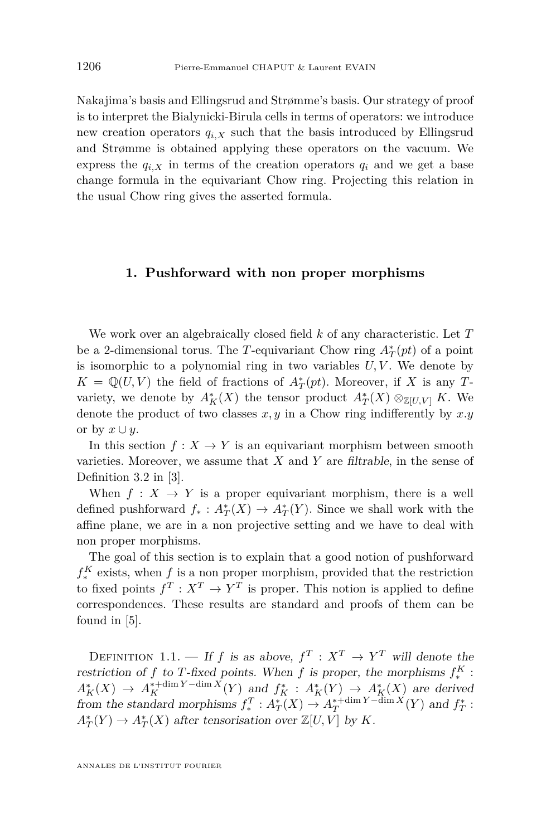<span id="page-6-0"></span>Nakajima's basis and Ellingsrud and Strømme's basis. Our strategy of proof is to interpret the Bialynicki-Birula cells in terms of operators: we introduce new creation operators  $q_{i,X}$  such that the basis introduced by Ellingsrud and Strømme is obtained applying these operators on the vacuum. We express the  $q_i$ <sub>X</sub> in terms of the creation operators  $q_i$  and we get a base change formula in the equivariant Chow ring. Projecting this relation in the usual Chow ring gives the asserted formula.

### **1. Pushforward with non proper morphisms**

We work over an algebraically closed field *k* of any characteristic. Let *T* be a 2-dimensional torus. The *T*-equivariant Chow ring  $A_T^*(pt)$  of a point is isomorphic to a polynomial ring in two variables  $U, V$ . We denote by  $K = \mathbb{Q}(U, V)$  the field of fractions of  $A_T^*(pt)$ . Moreover, if *X* is any *T*variety, we denote by  $A_K^*(X)$  the tensor product  $A_T^*(X) \otimes_{\mathbb{Z}[U,V]} K$ . We denote the product of two classes *x, y* in a Chow ring indifferently by *x.y* or by  $x \cup y$ .

In this section  $f: X \to Y$  is an equivariant morphism between smooth varieties. Moreover, we assume that *X* and *Y* are filtrable, in the sense of Definition 3.2 in [\[3\]](#page-49-0).

When  $f: X \to Y$  is a proper equivariant morphism, there is a well defined pushforward  $f_*: A^*_T(X) \to A^*_T(Y)$ . Since we shall work with the affine plane, we are in a non projective setting and we have to deal with non proper morphisms.

The goal of this section is to explain that a good notion of pushforward  $f_*^K$  exists, when *f* is a non proper morphism, provided that the restriction to fixed points  $f^T: X^T \to Y^T$  is proper. This notion is applied to define correspondences. These results are standard and proofs of them can be found in [\[5\]](#page-49-0).

DEFINITION 1.1. — If *f* is as above,  $f^T: X^T \to Y^T$  will denote the restriction of *f* to *T*-fixed points. When *f* is proper, the morphisms  $f_*^K$ :  $A_K^*(X) \to A_K^{* + \dim Y - \dim X}(Y)$  and  $f_K^* : A_K^*(Y) \to A_K^*(X)$  are derived from the standard morphisms  $f_*^T : A^*_T(X) \to A^{*+\dim Y - \dim X}_T(Y)$  and  $f^*_T$ :  $A_T^*(Y) \to A_T^*(X)$  after tensorisation over  $\mathbb{Z}[U, V]$  by *K*.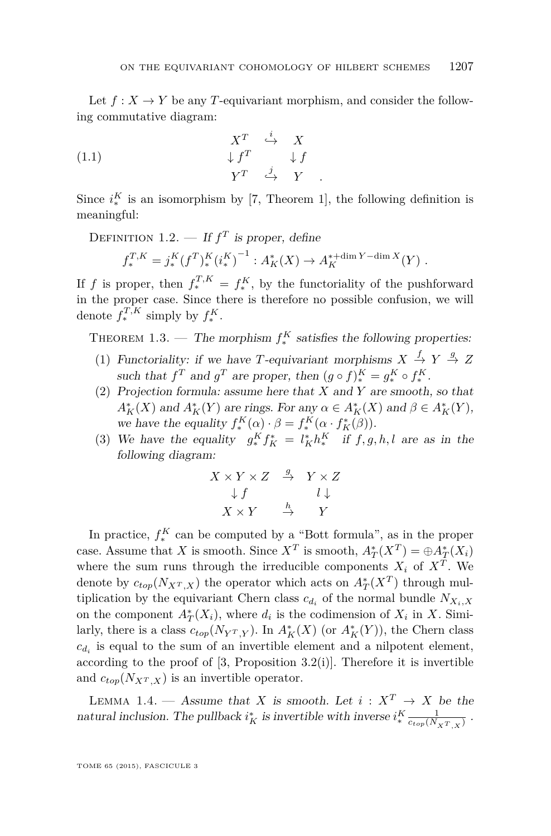<span id="page-7-0"></span>Let  $f: X \to Y$  be any *T*-equivariant morphism, and consider the following commutative diagram:

(1.1) 
$$
\begin{array}{ccc}\n & X^T & \stackrel{i}{\hookrightarrow} & X \\
\downarrow f^T & & \downarrow f \\
 & Y^T & \stackrel{j}{\hookrightarrow} & Y\n\end{array}
$$

Since  $i_{*}^{K}$  is an isomorphism by [\[7,](#page-49-0) Theorem 1], the following definition is meaningful:

DEFINITION 1.2. — If  $f<sup>T</sup>$  is proper, define

$$
f_*^{T,K} = j_*^K (f^T)_*^K (i_*^K)^{-1} : A_K^* (X) \to A_K^{* + \dim Y - \dim X} (Y) .
$$

If *f* is proper, then  $f_*^{T,K} = f_*^K$ , by the functoriality of the pushforward in the proper case. Since there is therefore no possible confusion, we will denote  $f_*^{T,K}$  simply by  $f_*^K$ .

THEOREM 1.3. — The morphism  $f_*^K$  satisfies the following properties:

- (1) Functoriality: if we have *T*-equivariant morphisms  $X \stackrel{f}{\rightarrow} Y \stackrel{g}{\rightarrow} Z$ such that  $f^T$  and  $g^T$  are proper, then  $(g \circ f)_*^K = g_*^K \circ f_*^K$ .
- (2) Projection formula: assume here that *X* and *Y* are smooth, so that  $A_K^*(X)$  and  $A_K^*(Y)$  are rings. For any  $\alpha \in A_K^*(X)$  and  $\beta \in A_K^*(Y)$ , we have the equality  $f_*^K(\alpha) \cdot \beta = f_*^K(\alpha \cdot f_K^*(\beta)).$
- (3) We have the equality  $g_*^K f_K^* = l_K^* h_*^K$  if  $f, g, h, l$  are as in the following diagram:

$$
\begin{array}{ccc}\nX \times Y \times Z & \xrightarrow{g} & Y \times Z \\
\downarrow f & & l \downarrow \\
X \times Y & \xrightarrow{h} & Y\n\end{array}
$$

In practice,  $f_*^K$  can be computed by a "Bott formula", as in the proper case. Assume that *X* is smooth. Since  $X^T$  is smooth,  $A_T^*(X^T) = \bigoplus A_T^*(X_i)$ where the sum runs through the irreducible components  $X_i$  of  $X^T$ . We denote by  $c_{top}(N_{X^T,X})$  the operator which acts on  $A_T^*(X^T)$  through multiplication by the equivariant Chern class  $c_{d_i}$  of the normal bundle  $N_{X_i, X}$ on the component  $A_T^*(X_i)$ , where  $d_i$  is the codimension of  $X_i$  in  $X$ . Similarly, there is a class  $c_{top}(N_{Y^T,Y})$ . In  $A_K^*(X)$  (or  $A_K^*(Y)$ ), the Chern class  $c_{d_i}$  is equal to the sum of an invertible element and a nilpotent element, according to the proof of  $[3,$  Proposition  $3.2(i)$ . Therefore it is invertible and  $c_{top}(N_{XT,X})$  is an invertible operator.

LEMMA 1.4. — Assume that *X* is smooth. Let  $i: X^T \to X$  be the natural inclusion. The pullback  $i_K^*$  is invertible with inverse  $i_*^K \frac{1}{c_{top}(N_X \tau_{,X})}$ .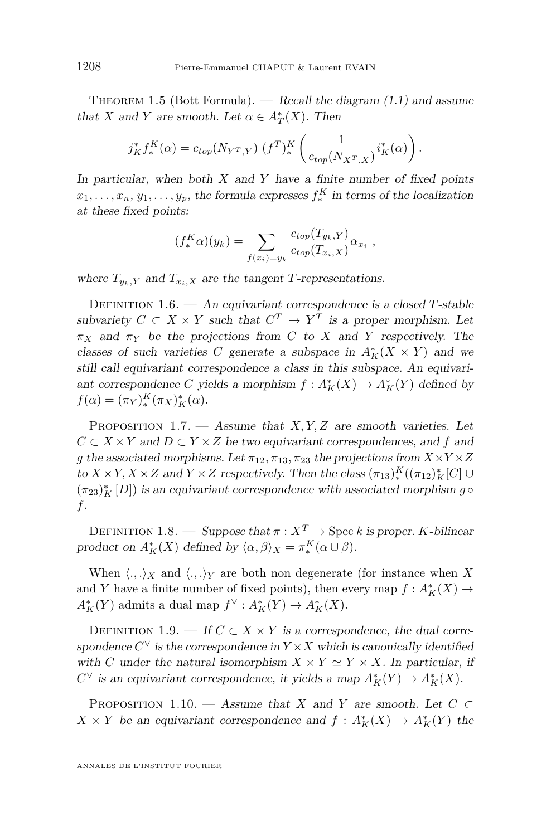<span id="page-8-0"></span>THEOREM 1.5 (Bott Formula). — Recall the diagram  $(1.1)$  and assume that *X* and *Y* are smooth. Let  $\alpha \in A_T^*(X)$ . Then

$$
j_K^* f_*^K(\alpha) = c_{top}(N_{Y^T,Y}) (f^T)_*^K \left( \frac{1}{c_{top}(N_{X^T,X})} i_K^*(\alpha) \right).
$$

In particular, when both *X* and *Y* have a finite number of fixed points  $x_1, \ldots, x_n, y_1, \ldots, y_p$ , the formula expresses  $f_*^K$  in terms of the localization at these fixed points:

$$
(f_*^K \alpha)(y_k) = \sum_{f(x_i)=y_k} \frac{c_{top}(T_{y_k,Y})}{c_{top}(T_{x_i,X})} \alpha_{x_i} ,
$$

where  $T_{y_k, Y}$  and  $T_{x_i, X}$  are the tangent *T*-representations.

Definition 1.6. — An equivariant correspondence is a closed *T*-stable subvariety  $C \subset X \times Y$  such that  $C^T \to Y^T$  is a proper morphism. Let  $\pi_X$  and  $\pi_Y$  be the projections from *C* to *X* and *Y* respectively. The classes of such varieties *C* generate a subspace in  $A_K^*(X \times Y)$  and we still call equivariant correspondence a class in this subspace. An equivariant correspondence *C* yields a morphism  $f: A_K^*(X) \to A_K^*(Y)$  defined by  $f(\alpha) = (\pi_Y)_*^K (\pi_X)_*^* (\alpha).$ 

PROPOSITION 1.7. — Assume that *X,Y,Z* are smooth varieties. Let  $C \subset X \times Y$  and  $D \subset Y \times Z$  be two equivariant correspondences, and f and *g* the associated morphisms. Let  $\pi_{12}, \pi_{13}, \pi_{23}$  the projections from  $X \times Y \times Z$ to  $X \times Y, X \times Z$  and  $Y \times Z$  respectively. Then the class  $(\pi_{13})_*^K((\pi_{12})_K^*[C] \cup$  $(\pi_{23})^*_K\left[D\right])$  is an equivariant correspondence with associated morphism  $g\,\circ$ *f*.

DEFINITION 1.8. — Suppose that  $\pi: X^T \to \text{Spec } k$  is proper. *K*-bilinear product on  $A_K^*(X)$  defined by  $\langle \alpha, \beta \rangle_X = \pi_*^K(\alpha \cup \beta)$ .

When  $\langle ., .\rangle_X$  and  $\langle ., .\rangle_Y$  are both non degenerate (for instance when X and *Y* have a finite number of fixed points), then every map  $f: A_K^*(X) \to$  $A_K^*(Y)$  admits a dual map  $f^{\vee}: A_K^*(Y) \to A_K^*(X)$ .

DEFINITION 1.9. — If  $C \subset X \times Y$  is a correspondence, the dual correspondence  $C^{\vee}$  is the correspondence in  $Y \times X$  which is canonically identified with *C* under the natural isomorphism  $X \times Y \simeq Y \times X$ . In particular, if  $C^{\vee}$  is an equivariant correspondence, it yields a map  $A_K^*(Y) \to A_K^*(X)$ .

PROPOSITION 1.10. — Assume that *X* and *Y* are smooth. Let  $C \subset$  $X \times Y$  be an equivariant correspondence and  $f: A_K^*(X) \to A_K^*(Y)$  the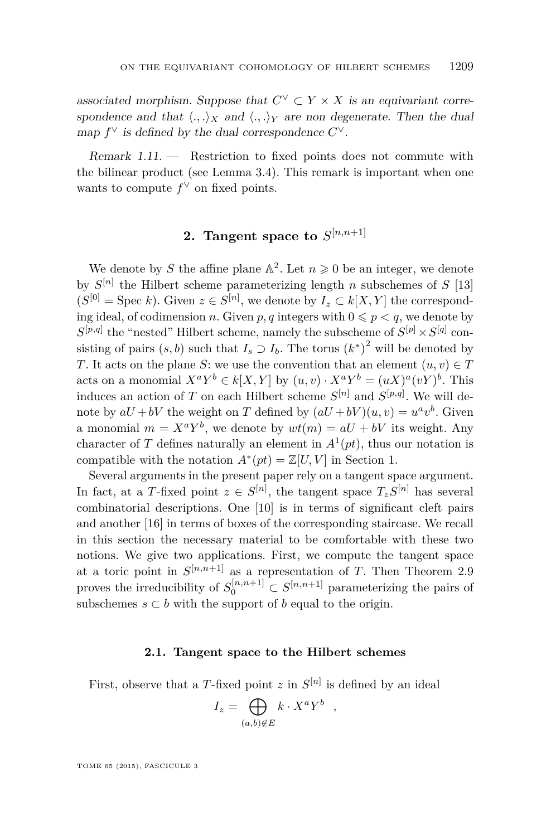<span id="page-9-0"></span>associated morphism. Suppose that  $C^{\vee} \subset Y \times X$  is an equivariant correspondence and that  $\langle ., .\rangle_X$  and  $\langle ., .\rangle_Y$  are non degenerate. Then the dual map  $f^{\vee}$  is defined by the dual correspondence  $C^{\vee}$ .

 $Remark 1.11.$  - Restriction to fixed points does not commute with the bilinear product (see Lemma [3.4\)](#page-24-0). This remark is important when one wants to compute  $f^{\vee}$  on fixed points.

### **2.** Tangent space to  $S^{[n,n+1]}$

We denote by *S* the affine plane  $\mathbb{A}^2$ . Let  $n \geq 0$  be an integer, we denote by  $S^{[n]}$  the Hilbert scheme parameterizing length *n* subschemes of  $S$  [\[13\]](#page-50-0)  $(S^{[0]} = \text{Spec } k)$ . Given  $z \in S^{[n]}$ , we denote by  $I_z \subset k[X, Y]$  the corresponding ideal, of codimension *n*. Given *p*, *q* integers with  $0 \leq p \leq q$ , we denote by  $S^{[p,q]}$  the "nested" Hilbert scheme, namely the subscheme of  $S^{[p]} \times S^{[q]}$  consisting of pairs  $(s, b)$  such that  $I_s \supset I_b$ . The torus  $(k^*)^2$  will be denoted by *T*. It acts on the plane *S*: we use the convention that an element  $(u, v) \in T$ acts on a monomial  $X^a Y^b \in k[X, Y]$  by  $(u, v) \cdot X^a Y^b = (uX)^a (vY)^b$ . This induces an action of *T* on each Hilbert scheme  $S^{[n]}$  and  $S^{[p,q]}$ . We will denote by  $aU + bV$  the weight on *T* defined by  $(aU + bV)(u, v) = u^a v^b$ . Given a monomial  $m = X^a Y^b$ , we denote by  $wt(m) = aU + bV$  its weight. Any character of *T* defines naturally an element in  $A^1(pt)$ , thus our notation is compatible with the notation  $A^*(pt) = \mathbb{Z}[U, V]$  in Section [1.](#page-6-0)

Several arguments in the present paper rely on a tangent space argument. In fact, at a *T*-fixed point  $z \in S^{[n]}$ , the tangent space  $T_z S^{[n]}$  has several combinatorial descriptions. One [\[10\]](#page-50-0) is in terms of significant cleft pairs and another [\[16\]](#page-50-0) in terms of boxes of the corresponding staircase. We recall in this section the necessary material to be comfortable with these two notions. We give two applications. First, we compute the tangent space at a toric point in  $S^{[n,n+1]}$  as a representation of *T*. Then Theorem [2.9](#page-15-0) proves the irreducibility of  $S_0^{[n,n+1]} \subset S^{[n,n+1]}$  parameterizing the pairs of subschemes  $s \subset b$  with the support of  $b$  equal to the origin.

### **2.1. Tangent space to the Hilbert schemes**

First, observe that a T-fixed point  $z$  in  $S^{[n]}$  is defined by an ideal

$$
I_z = \bigoplus_{(a,b)\notin E} k \cdot X^a Y^b \quad ,
$$

TOME 65 (2015), FASCICULE 3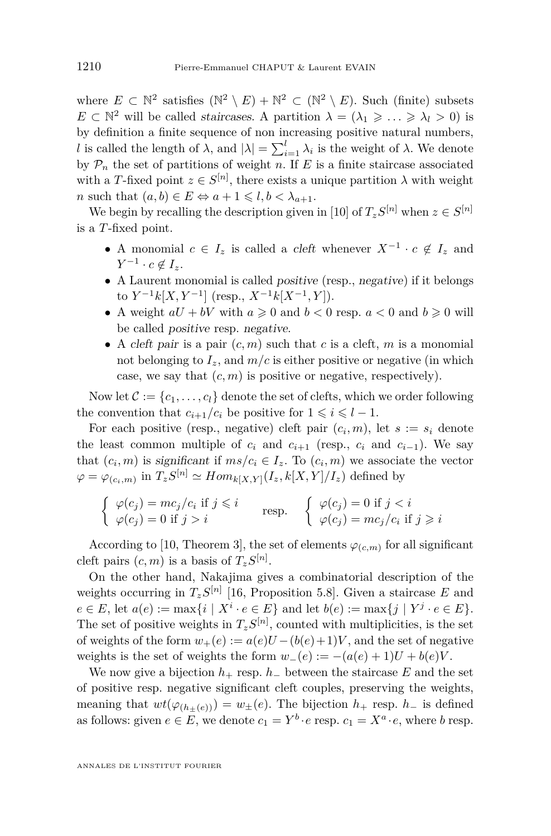where  $E \subset \mathbb{N}^2$  satisfies  $(\mathbb{N}^2 \setminus E) + \mathbb{N}^2 \subset (\mathbb{N}^2 \setminus E)$ . Such (finite) subsets  $E \subset \mathbb{N}^2$  will be called *staircases*. A partition  $\lambda = (\lambda_1 \geq \ldots \geq \lambda_l > 0)$  is by definition a finite sequence of non increasing positive natural numbers, *l* is called the length of  $\lambda$ , and  $|\lambda| = \sum_{i=1}^{l} \lambda_i$  is the weight of  $\lambda$ . We denote by  $P_n$  the set of partitions of weight *n*. If *E* is a finite staircase associated with a *T*-fixed point  $z \in S^{[n]}$ , there exists a unique partition  $\lambda$  with weight *n* such that  $(a, b) \in E \Leftrightarrow a + 1 \leq l, b < \lambda_{a+1}$ .

We begin by recalling the description given in [\[10\]](#page-50-0) of  $T_z S^{[n]}$  when  $z \in S^{[n]}$ is a *T*-fixed point.

- A monomial  $c \in I_z$  is called a *cleft* whenever  $X^{-1} \cdot c \notin I_z$  and *Y*<sup>-1</sup> ⋅ *c* ∉ *I*<sub>z</sub>.
- A Laurent monomial is called positive (resp., negative) if it belongs to  $Y^{-1}k[X, Y^{-1}]$  (resp.,  $X^{-1}k[X^{-1}, Y]$ ).
- A weight  $aU + bV$  with  $a \ge 0$  and  $b < 0$  resp.  $a < 0$  and  $b \ge 0$  will be called positive resp. negative.
- A cleft pair is a pair  $(c, m)$  such that  $c$  is a cleft,  $m$  is a monomial not belonging to  $I_z$ , and  $m/c$  is either positive or negative (in which case, we say that  $(c, m)$  is positive or negative, respectively).

Now let  $C := \{c_1, \ldots, c_l\}$  denote the set of clefts, which we order following the convention that  $c_{i+1}/c_i$  be positive for  $1 \leq i \leq l-1$ .

For each positive (resp., negative) cleft pair  $(c_i, m)$ , let  $s := s_i$  denote the least common multiple of  $c_i$  and  $c_{i+1}$  (resp.,  $c_i$  and  $c_{i-1}$ ). We say that  $(c_i, m)$  is significant if  $ms/c_i \in I_z$ . To  $(c_i, m)$  we associate the vector  $\varphi = \varphi_{(c_i,m)}$  in  $T_z S^{[n]} \simeq Hom_{k[X,Y]}(I_z, k[X,Y]/I_z)$  defined by

$$
\begin{cases} \varphi(c_j) = mc_j/c_i \text{ if } j \leq i \\ \varphi(c_j) = 0 \text{ if } j > i \end{cases} \text{ resp. } \begin{cases} \varphi(c_j) = 0 \text{ if } j < i \\ \varphi(c_j) = mc_j/c_i \text{ if } j \geq i \end{cases}
$$

According to [\[10,](#page-50-0) Theorem 3], the set of elements  $\varphi_{(c,m)}$  for all significant cleft pairs  $(c, m)$  is a basis of  $T_z S^{[n]}$ .

On the other hand, Nakajima gives a combinatorial description of the weights occurring in  $T_z S^{[n]}$  [\[16,](#page-50-0) Proposition 5.8]. Given a staircase *E* and  $e \in E$ , let  $a(e) := \max\{i \mid X^i \cdot e \in E\}$  and let  $b(e) := \max\{j \mid Y^j \cdot e \in E\}$ . The set of positive weights in  $T_z S^{[n]}$ , counted with multiplicities, is the set of weights of the form  $w_+(e) := a(e)U - (b(e)+1)V$ , and the set of negative weights is the set of weights the form  $w_-(e) := -(a(e) + 1)U + b(e)V$ .

We now give a bijection  $h_+$  resp.  $h_-$  between the staircase  $E$  and the set of positive resp. negative significant cleft couples, preserving the weights, meaning that  $wt(\varphi_{(h_+(\epsilon))}) = w_\pm(e)$ . The bijection  $h_+$  resp.  $h_-$  is defined as follows: given  $e \in E$ , we denote  $c_1 = Y^b \cdot e$  resp.  $c_1 = X^a \cdot e$ , where *b* resp.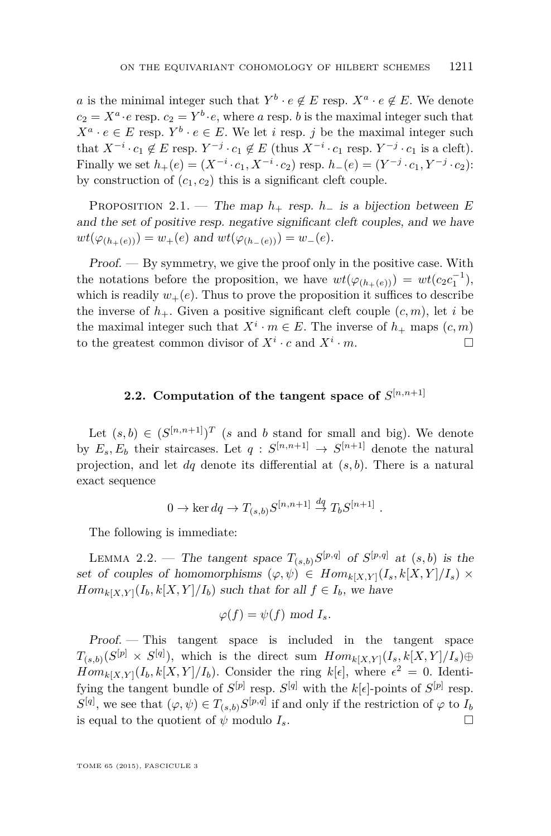<span id="page-11-0"></span>*a* is the minimal integer such that  $Y^b \cdot e \notin E$  resp.  $X^a \cdot e \notin E$ . We denote  $c_2 = X^a \cdot e$  resp.  $c_2 = Y^b \cdot e$ , where *a* resp. *b* is the maximal integer such that  $X^a \cdot e \in E$  resp.  $Y^b \cdot e \in E$ . We let *i* resp. *j* be the maximal integer such that  $X^{-i} \cdot c_1 \notin E$  resp.  $Y^{-j} \cdot c_1 \notin E$  (thus  $X^{-i} \cdot c_1$  resp.  $Y^{-j} \cdot c_1$  is a cleft). Finally we set  $h_+(e) = (X^{-i} \cdot c_1, X^{-i} \cdot c_2)$  resp.  $h_-(e) = (Y^{-j} \cdot c_1, Y^{-j} \cdot c_2)$ : by construction of  $(c_1, c_2)$  this is a significant cleft couple.

PROPOSITION 2.1. — The map  $h_+$  resp.  $h_-$  is a bijection between  $E$ and the set of positive resp. negative significant cleft couples, and we have  $wt(\varphi_{(h_+(e))}) = w_+(e)$  and  $wt(\varphi_{(h_-(e))}) = w_-(e)$ .

 $Proof.$   $-$  By symmetry, we give the proof only in the positive case. With the notations before the proposition, we have  $wt(\varphi_{(h_+(e))}) = wt(c_2c_1^{-1}),$ which is readily  $w_{+}(e)$ . Thus to prove the proposition it suffices to describe the inverse of  $h_+$ . Given a positive significant cleft couple  $(c, m)$ , let *i* be the maximal integer such that  $X^i \cdot m \in E$ . The inverse of  $h_+$  maps  $(c, m)$ to the greatest common divisor of  $X^i \cdot c$  and  $X^i \cdot m$ .

### **2.2.** Computation of the tangent space of  $S^{[n,n+1]}$

Let  $(s, b) \in (S^{[n,n+1]})^T$  (*s* and *b* stand for small and big). We denote by  $E_s, E_b$  their staircases. Let  $q: S^{[n,n+1]} \to S^{[n+1]}$  denote the natural projection, and let *dq* denote its differential at (*s, b*). There is a natural exact sequence

$$
0 \to \ker dq \to T_{(s,b)}S^{[n,n+1]} \stackrel{dq}{\to} T_bS^{[n+1]}.
$$

The following is immediate:

LEMMA 2.2. — The tangent space  $T_{(s,b)}S^{[p,q]}$  of  $S^{[p,q]}$  at  $(s,b)$  is the set of couples of homomorphisms  $(\varphi, \psi) \in Hom_{k[X,Y]}(I_s, k[X,Y]/I_s) \times$ *Hom*<sub>*k*[*X,Y*]( $I_b$ ,  $k[X, Y]/I_b$ ) such that for all  $f \in I_b$ , we have</sub>

$$
\varphi(f) = \psi(f) \text{ mod } I_s.
$$

Proof. — This tangent space is included in the tangent space  $T_{(s,b)}(S^{[p]} \times S^{[q]}),$  which is the direct sum  $Hom_{k[X,Y]}(I_s, k[X,Y]/I_s) \oplus$  $Hom_{k[X,Y]}(I_b, k[X,Y]/I_b)$ . Consider the ring  $k[\epsilon]$ , where  $\epsilon^2 = 0$ . Identifying the tangent bundle of  $S^{[p]}$  resp.  $S^{[q]}$  with the  $k[\epsilon]$ -points of  $S^{[p]}$  resp.  $S^{[q]}$ , we see that  $(\varphi, \psi) \in T_{(s,b)} S^{[p,q]}$  if and only if the restriction of  $\varphi$  to  $I_b$ is equal to the quotient of  $\psi$  modulo  $I_s$ .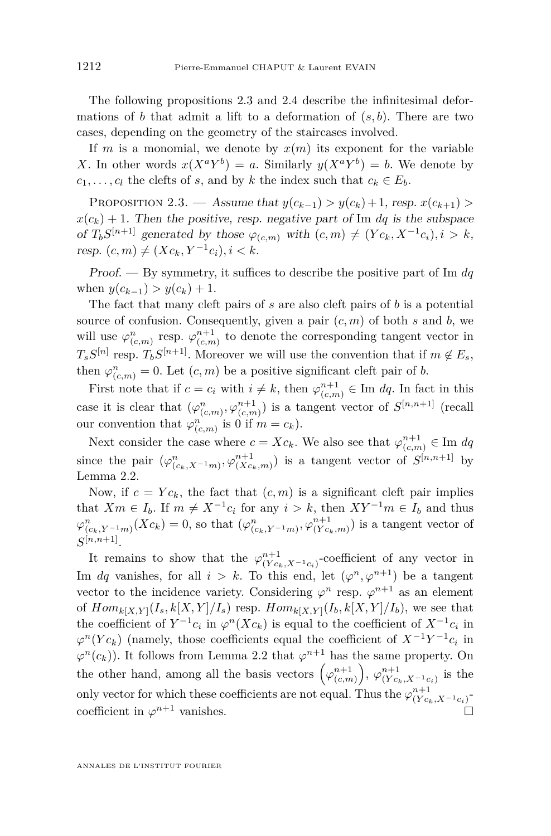<span id="page-12-0"></span>The following propositions 2.3 and [2.4](#page-13-0) describe the infinitesimal deformations of *b* that admit a lift to a deformation of  $(s, b)$ . There are two cases, depending on the geometry of the staircases involved.

If *m* is a monomial, we denote by  $x(m)$  its exponent for the variable X. In other words  $x(X^a Y^b) = a$ . Similarly  $y(X^a Y^b) = b$ . We denote by  $c_1, \ldots, c_l$  the clefts of *s*, and by *k* the index such that  $c_k \in E_b$ .

PROPOSITION 2.3. — Assume that  $y(c_{k-1}) > y(c_k) + 1$ , resp.  $x(c_{k+1}) >$  $x(c_k) + 1$ . Then the positive, resp. negative part of Im *dq* is the subspace of  $T_b S^{[n+1]}$  generated by those  $\varphi_{(c,m)}$  with  $(c,m) \neq (Yc_k, X^{-1}c_i), i > k$ ,  $resp. (c, m) \neq (Xc_k, Y^{-1}c_i), i < k.$ 

Proof. — By symmetry, it suffices to describe the positive part of Im *dq* when  $y(c_{k-1}) > y(c_k) + 1$ .

The fact that many cleft pairs of *s* are also cleft pairs of *b* is a potential source of confusion. Consequently, given a pair  $(c, m)$  of both  $s$  and  $b$ , we will use  $\varphi_{(c,m)}^n$  resp.  $\varphi_{(c,m)}^{n+1}$  to denote the corresponding tangent vector in  $T_s S^{[n]}$  resp.  $T_b S^{[n+1]}$ . Moreover we will use the convention that if  $m \notin E_s$ , then  $\varphi_{(c,m)}^n = 0$ . Let  $(c, m)$  be a positive significant cleft pair of *b*.

First note that if  $c = c_i$  with  $i \neq k$ , then  $\varphi_{(c,m)}^{n+1} \in \text{Im } dq$ . In fact in this case it is clear that  $(\varphi_{(c,m)}^n, \varphi_{(c,m)}^{n+1})$  is a tangent vector of  $S^{[n,n+1]}$  (recall our convention that  $\varphi_{(c,m)}^n$  is 0 if  $m = c_k$ ).

Next consider the case where  $c = Xc_k$ . We also see that  $\varphi^{n+1}_{(c,m)} \in \text{Im } dq$ since the pair  $(\varphi_{(c_k,X^{-1}m)}^n, \varphi_{(Xc_k,m)}^{n+1})$  is a tangent vector of  $S^{[n,n+1]}$  by Lemma [2.2.](#page-11-0)

Now, if  $c = Yc_k$ , the fact that  $(c, m)$  is a significant cleft pair implies that  $Xm \in I_b$ . If  $m \neq X^{-1}c_i$  for any  $i > k$ , then  $XY^{-1}m \in I_b$  and thus  $\varphi_{(c_k, Y^{-1}m)}^n(Xc_k) = 0$ , so that  $(\varphi_{(c_k, Y^{-1}m)}^n, \varphi_{(Yc_k, m)}^{n+1})$  is a tangent vector of  $S^{[n,n+1]}$ .

It remains to show that the  $\varphi_{(Yc_k,X^{-1}c_i)}^{n+1}$ -coefficient of any vector in Im *dq* vanishes, for all  $i > k$ . To this end, let  $(\varphi^n, \varphi^{n+1})$  be a tangent vector to the incidence variety. Considering  $\varphi^n$  resp.  $\varphi^{n+1}$  as an element of  $Hom_{k[X,Y]}(I_s, k[X,Y]/I_s)$  resp.  $Hom_{k[X,Y]}(I_b, k[X,Y]/I_b)$ , we see that the coefficient of  $Y^{-1}c_i$  in  $\varphi^n(Xc_k)$  is equal to the coefficient of  $X^{-1}c_i$  in  $\varphi^{n}(Y c_{k})$  (namely, those coefficients equal the coefficient of  $X^{-1}Y^{-1}c_{i}$  in  $\varphi^{n}(c_{k})$ ). It follows from Lemma [2.2](#page-11-0) that  $\varphi^{n+1}$  has the same property. On the other hand, among all the basis vectors  $(\varphi^{n+1}_{(c,m)})$ ,  $\varphi^{n+1}_{(Yc_k,X^{-1}c_i)}$  is the only vector for which these coefficients are not equal. Thus the  $\varphi_{(Yc_k,X^{-1}c_i)}^{n+1}$ coefficient in  $\varphi^{n+1}$  vanishes.  $n+1$  vanishes.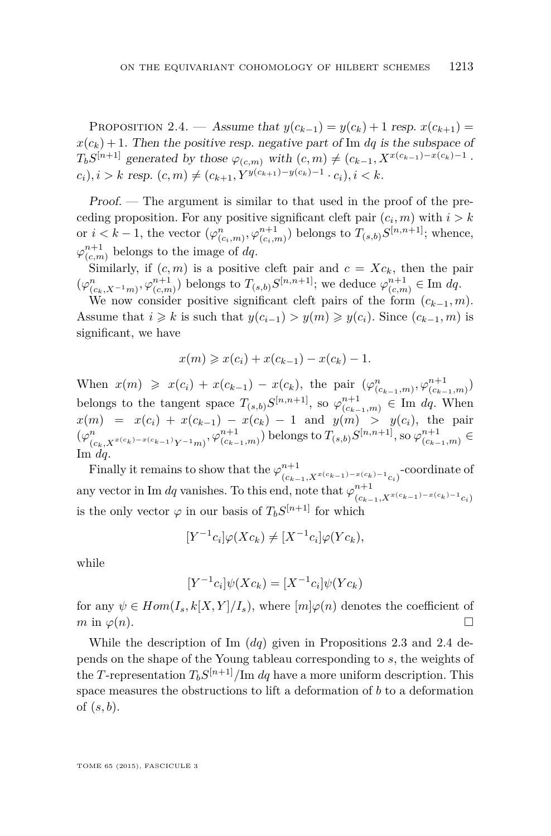<span id="page-13-0"></span>PROPOSITION 2.4. — Assume that  $y(c_{k-1}) = y(c_k) + 1$  resp.  $x(c_{k+1}) =$  $x(c_k) + 1$ . Then the positive resp. negative part of Im *dq* is the subspace of  $T_b S^{[n+1]}$  generated by those  $\varphi_{(c,m)}$  with  $(c, m) \neq (c_{k-1}, X^{x(c_{k-1})-x(c_k)-1}$ .  $(c_i)$ ,  $i > k$  resp.  $(c, m) \neq (c_{k+1}, Y^{y(c_{k+1})-y(c_k)-1} \cdot c_i), i < k$ .

Proof. — The argument is similar to that used in the proof of the preceding proposition. For any positive significant cleft pair  $(c_i, m)$  with  $i > k$ or  $i < k-1$ , the vector  $(\varphi^n_{(c_i,m)}, \varphi^{n+1}_{(c_i,m)})$  belongs to  $T_{(s,b)}S^{[n,n+1]}$ ; whence,  $\varphi^{n+1}_{(c,m)}$  belongs to the image of *dq*.

Similarly, if  $(c, m)$  is a positive cleft pair and  $c = Xc_k$ , then the pair  $(\varphi_{(c_k,X^{-1}m)}^n, \varphi_{(c,m)}^{n+1})$  belongs to  $T_{(s,b)}S^{[n,n+1]}$ ; we deduce  $\varphi_{(c,m)}^{n+1} \in \text{Im } dq$ .

We now consider positive significant cleft pairs of the form  $(c_{k-1}, m)$ . Assume that  $i \geq k$  is such that  $y(c_{i-1}) > y(m) \geq y(c_i)$ . Since  $(c_{k-1}, m)$  is significant, we have

$$
x(m) \geq x(c_i) + x(c_{k-1}) - x(c_k) - 1.
$$

When  $x(m) \geq x(c_i) + x(c_{k-1}) - x(c_k)$ , the pair  $(\varphi^n_{(c_{k-1},m)}, \varphi^{n+1}_{(c_{k-1},m)})$ belongs to the tangent space  $T_{(s,b)}S^{[n,n+1]}$ , so  $\varphi_{(c_{k-1},m)}^{n+1} \in \text{Im } dq$ . When  $x(m) = x(c_i) + x(c_{k-1}) - x(c_k) - 1$  and  $y(m) > y(c_i)$ , the pair  $(\varphi^n_{(c_k,X^{x(c_k)-x(c_{k-1})}Y^{-1}m)},\varphi^{n+1}_{(c_{k-1},m)})$  belongs to  $T_{(s,b)}S^{[n,n+1]},$  so  $\varphi^{n+1}_{(c_{k-1},m)} \in$ Im *dq*.

Finally it remains to show that the  $\varphi^{n+1}_{(c_{k-1}, X^{x(c_{k-1})-x(c_k)-1}c_i)}$ -coordinate of any vector in Im *dq* vanishes. To this end, note that  $\varphi_{(c_{k-1},X^{x(c_{k-1})-x(c_k)-1}c_i)}^{n+1}$ is the only vector  $\varphi$  in our basis of  $T_b S^{[n+1]}$  for which

$$
[Y^{-1}c_i]\varphi(Xc_k) \neq [X^{-1}c_i]\varphi(Yc_k),
$$

while

$$
[Y^{-1}c_i]\psi(Xc_k) = [X^{-1}c_i]\psi(Yc_k)
$$

for any  $\psi \in Hom(I_s, k[X, Y]/I_s)$ , where  $[m]\varphi(n)$  denotes the coefficient of  $m \text{ in } \varphi(n).$ 

While the description of Im (*dq*) given in Propositions [2.3](#page-12-0) and 2.4 depends on the shape of the Young tableau corresponding to *s*, the weights of the *T*-representation  $T_b S^{[n+1]}/\text{Im } dq$  have a more uniform description. This space measures the obstructions to lift a deformation of *b* to a deformation of (*s, b*).

TOME 65 (2015), FASCICULE 3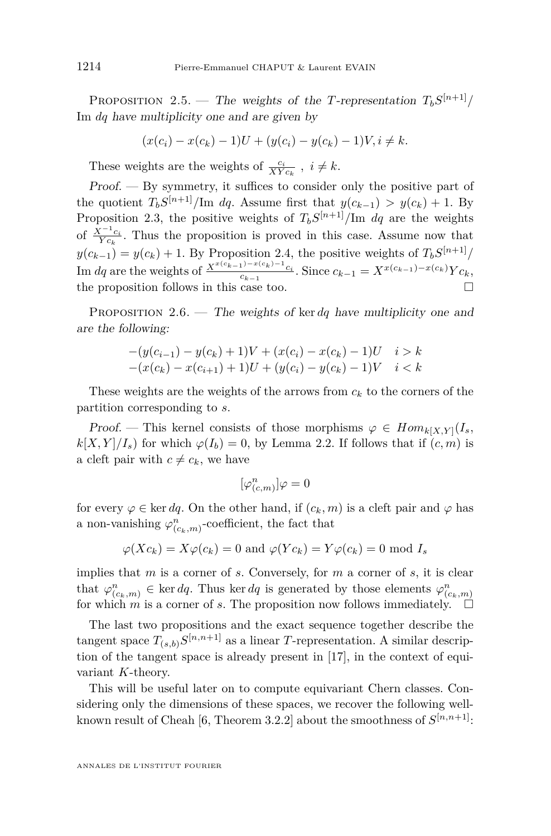<span id="page-14-0"></span>PROPOSITION 2.5. — The weights of the *T*-representation  $T_b S^{[n+1]}/$ Im *dq* have multiplicity one and are given by

$$
(x(c_i) - x(c_k) - 1)U + (y(c_i) - y(c_k) - 1)V, i \neq k.
$$

These weights are the weights of  $\frac{c_i}{XY c_k}$ ,  $i \neq k$ .

Proof. — By symmetry, it suffices to consider only the positive part of the quotient  $T_b S^{[n+1]}/\text{Im } dq$ . Assume first that  $y(c_{k-1}) > y(c_k) + 1$ . By Proposition [2.3,](#page-12-0) the positive weights of  $T_b S^{[n+1]}/\text{Im } dq$  are the weights of  $\frac{X^{-1}c_i}{Yc_k}$ . Thus the proposition is proved in this case. Assume now that  $y(c_{k-1}) = y(c_k) + 1$ . By Proposition [2.4,](#page-13-0) the positive weights of  $T_b S^{[n+1]}/a$ Im dq are the weights of  $\frac{X^{x(c_{k-1})-x(c_k)-1}c_i}{c_{k-1}}$ . Since  $c_{k-1} = X^{x(c_{k-1})-x(c_k)}Yc_k$ , the proposition follows in this case too.  $\Box$ 

PROPOSITION 2.6. — The weights of ker *dq* have multiplicity one and are the following:

$$
-(y(c_{i-1}) - y(c_k) + 1)V + (x(c_i) - x(c_k) - 1)U \t i > k
$$
  

$$
-(x(c_k) - x(c_{i+1}) + 1)U + (y(c_i) - y(c_k) - 1)V \t i < k
$$

These weights are the weights of the arrows from  $c_k$  to the corners of the partition corresponding to *s*.

Proof. — This kernel consists of those morphisms  $\varphi \in Hom_{k[X,Y]}(I_s, I_s)$  $k[X, Y]/I_s$  for which  $\varphi(I_b) = 0$ , by Lemma [2.2.](#page-11-0) If follows that if  $(c, m)$  is a cleft pair with  $c \neq c_k$ , we have

$$
[\varphi_{(c,m)}^n]\varphi=0
$$

for every  $\varphi \in \ker dq$ . On the other hand, if  $(c_k, m)$  is a cleft pair and  $\varphi$  has a non-vanishing  $\varphi_{(c_k,m)}^n$ -coefficient, the fact that

$$
\varphi(Xc_k) = X\varphi(c_k) = 0
$$
 and  $\varphi(Yc_k) = Y\varphi(c_k) = 0$  mod  $I_s$ 

implies that *m* is a corner of *s*. Conversely, for *m* a corner of *s*, it is clear that  $\varphi_{(c_k,m)}^n \in \text{ker } dq$ . Thus ker *dq* is generated by those elements  $\varphi_{(c_k,m)}^n$ for which *m* is a corner of *s*. The proposition now follows immediately.  $\Box$ 

The last two propositions and the exact sequence together describe the tangent space  $T_{(s,b)}S^{[n,n+1]}$  as a linear *T*-representation. A similar description of the tangent space is already present in [\[17\]](#page-50-0), in the context of equivariant *K*-theory.

This will be useful later on to compute equivariant Chern classes. Considering only the dimensions of these spaces, we recover the following well-known result of Cheah [\[6,](#page-49-0) Theorem 3.2.2] about the smoothness of  $S^{[n,n+1]}$ :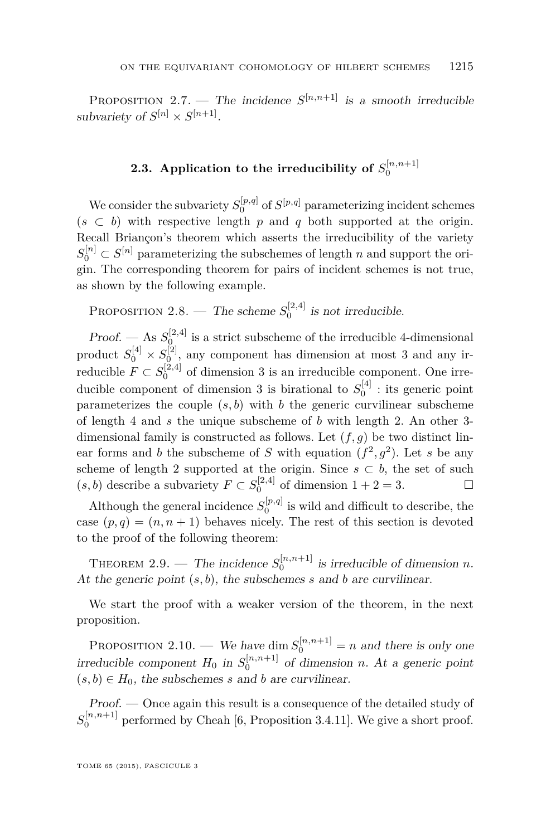<span id="page-15-0"></span>**PROPOSITION** 2.7. — The incidence  $S^{[n,n+1]}$  is a smooth irreducible subvariety of  $S^{[n]} \times S^{[n+1]}$ .

### **2.3.** Application to the irreducibility of  $S_0^{[n,n+1]}$

We consider the subvariety  $S_0^{[p,q]}$  of  $S^{[p,q]}$  parameterizing incident schemes  $(s \subset b)$  with respective length *p* and *q* both supported at the origin. Recall Briançon's theorem which asserts the irreducibility of the variety  $S_0^{[n]} \subset S^{[n]}$  parameterizing the subschemes of length *n* and support the origin. The corresponding theorem for pairs of incident schemes is not true, as shown by the following example.

PROPOSITION 2.8. — The scheme  $S_0^{[2,4]}$  is not irreducible.

*Proof.* — As  $S_0^{[2,4]}$  is a strict subscheme of the irreducible 4-dimensional product  $S_0^{[4]} \times S_0^{[2]}$ , any component has dimension at most 3 and any irreducible  $F \subset S_0^{[2,4]}$  of dimension 3 is an irreducible component. One irreducible component of dimension 3 is birational to  $S_0^{[4]}$  : its generic point parameterizes the couple  $(s, b)$  with  $b$  the generic curvilinear subscheme of length 4 and *s* the unique subscheme of *b* with length 2. An other 3 dimensional family is constructed as follows. Let (*f, g*) be two distinct linear forms and *b* the subscheme of *S* with equation  $(f^2, g^2)$ . Let *s* be any scheme of length 2 supported at the origin. Since  $s \subset b$ , the set of such  $(s, b)$  describe a subvariety  $F \subset S_0^{[2,4]}$  of dimension  $1 + 2 = 3$ .

Although the general incidence  $S_0^{[p,q]}$  is wild and difficult to describe, the case  $(p, q) = (n, n + 1)$  behaves nicely. The rest of this section is devoted to the proof of the following theorem:

THEOREM 2.9. — The incidence  $S_0^{[n,n+1]}$  is irreducible of dimension *n*. At the generic point (*s, b*), the subschemes *s* and *b* are curvilinear.

We start the proof with a weaker version of the theorem, in the next proposition.

PROPOSITION 2.10. — We have dim  $S_0^{[n,n+1]} = n$  and there is only one irreducible component  $H_0$  in  $S_0^{[n,n+1]}$  of dimension *n*. At a generic point  $(s, b) \in H_0$ , the subschemes *s* and *b* are curvilinear.

Proof. — Once again this result is a consequence of the detailed study of  $S_0^{[n,n+1]}$  performed by Cheah [\[6,](#page-49-0) Proposition 3.4.11]. We give a short proof.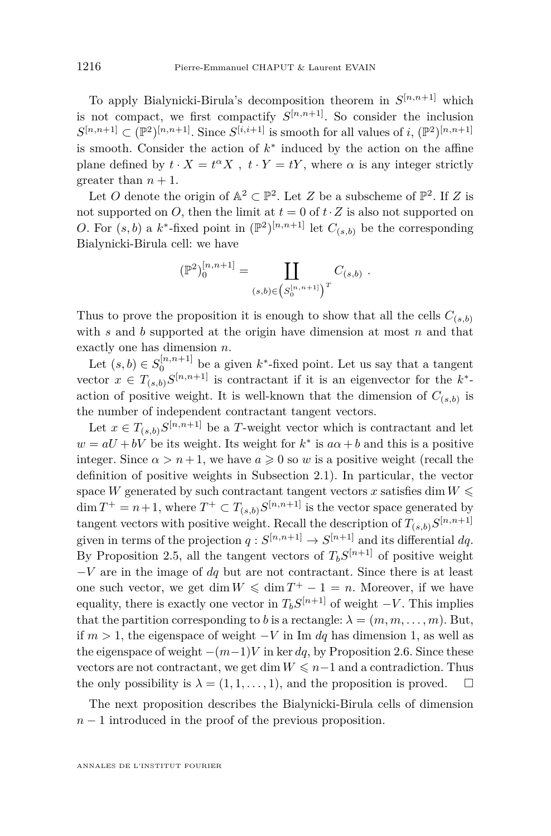To apply Bialynicki-Birula's decomposition theorem in  $S^{[n,n+1]}$  which is not compact, we first compactify  $S^{[n,n+1]}$ . So consider the inclusion  $S^{[n,n+1]} \subset (\mathbb{P}^2)^{[n,n+1]}$ . Since  $S^{[i,i+1]}$  is smooth for all values of *i*,  $(\mathbb{P}^2)^{[n,n+1]}$ is smooth. Consider the action of  $k^*$  induced by the action on the affine plane defined by  $t \cdot X = t^{\alpha} X$ ,  $t \cdot Y = tY$ , where  $\alpha$  is any integer strictly greater than  $n + 1$ .

Let *O* denote the origin of  $\mathbb{A}^2 \subset \mathbb{P}^2$ . Let *Z* be a subscheme of  $\mathbb{P}^2$ . If *Z* is not supported on *O*, then the limit at  $t = 0$  of  $t \cdot Z$  is also not supported on *O*. For  $(s, b)$  a  $k^*$ -fixed point in  $(\mathbb{P}^2)^{[n,n+1]}$  let  $C_{(s,b)}$  be the corresponding Bialynicki-Birula cell: we have

$$
(\mathbb{P}^2)^{[n,n+1]}_0 = \coprod_{(s,b)\in (S^{[n,n+1]}_0)^T} C_{(s,b)}.
$$

Thus to prove the proposition it is enough to show that all the cells  $C_{(s,b)}$ with *s* and *b* supported at the origin have dimension at most *n* and that exactly one has dimension *n*.

Let  $(s, b) \in S_0^{[n,n+1]}$  be a given  $k^*$ -fixed point. Let us say that a tangent vector  $x \in T_{(s,b)}S^{[n,n+1]}$  is contractant if it is an eigenvector for the  $k^*$ action of positive weight. It is well-known that the dimension of  $C_{(s,b)}$  is the number of independent contractant tangent vectors.

Let  $x \in T_{(s,b)}S^{[n,n+1]}$  be a *T*-weight vector which is contractant and let  $w = aU + bV$  be its weight. Its weight for  $k^*$  is  $a\alpha + b$  and this is a positive integer. Since  $\alpha > n+1$ , we have  $a \geqslant 0$  so *w* is a positive weight (recall the definition of positive weights in Subsection [2.1\)](#page-9-0). In particular, the vector space *W* generated by such contractant tangent vectors *x* satisfies dim  $W \leq$  $\dim T^+ = n+1$ , where  $T^+ \subset T_{(s,b)}S^{[n,n+1]}$  is the vector space generated by tangent vectors with positive weight. Recall the description of  $T_{(s,b)}S^{[n,n+1]}$ given in terms of the projection  $q: S^{[n,n+1]} \to S^{[n+1]}$  and its differential dq. By Proposition [2.5,](#page-14-0) all the tangent vectors of  $T_b S^{[n+1]}$  of positive weight −*V* are in the image of *dq* but are not contractant. Since there is at least one such vector, we get dim  $W \leq \dim T^+ - 1 = n$ . Moreover, if we have equality, there is exactly one vector in  $T_b S^{[n+1]}$  of weight  $-V$ . This implies that the partition corresponding to *b* is a rectangle:  $\lambda = (m, m, \dots, m)$ . But, if *m >* 1, the eigenspace of weight −*V* in Im *dq* has dimension 1, as well as the eigenspace of weight  $-(m-1)V$  in ker *dq*, by Proposition [2.6.](#page-14-0) Since these vectors are not contractant, we get dim  $W \leq n-1$  and a contradiction. Thus the only possibility is  $\lambda = (1, 1, \ldots, 1)$ , and the proposition is proved.  $\square$ 

The next proposition describes the Bialynicki-Birula cells of dimension *n* − 1 introduced in the proof of the previous proposition.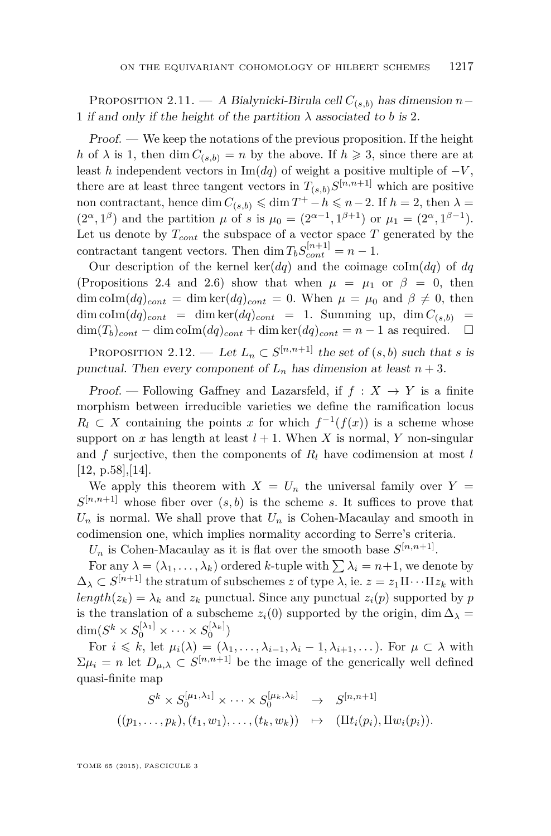<span id="page-17-0"></span>Proposition 2.11. — A Bialynicki-Birula cell *C*(*s,b*) has dimension *n*− 1 if and only if the height of the partition  $\lambda$  associated to *b* is 2.

Proof. — We keep the notations of the previous proposition. If the height *h* of  $\lambda$  is 1, then dim  $C_{(s,b)} = n$  by the above. If  $h \geq 3$ , since there are at least *h* independent vectors in Im( $dq$ ) of weight a positive multiple of  $-V$ , there are at least three tangent vectors in  $T_{(s,b)}S^{[n,n+1]}$  which are positive non contractant, hence dim  $C_{(s,b)} \leq \dim T^+ - h \leq n-2$ . If  $h = 2$ , then  $\lambda =$  $(2^{\alpha}, 1^{\beta})$  and the partition *µ* of *s* is  $\mu_0 = (2^{\alpha-1}, 1^{\beta+1})$  or  $\mu_1 = (2^{\alpha}, 1^{\beta-1})$ . Let us denote by  $T_{cont}$  the subspace of a vector space  $T$  generated by the contractant tangent vectors. Then dim  $T_b S_{cont}^{[n+1]} = n - 1$ .

Our description of the kernel ker( $dq$ ) and the coimage coIm( $dq$ ) of  $dq$ (Propositions [2.4](#page-13-0) and [2.6\)](#page-14-0) show that when  $\mu = \mu_1$  or  $\beta = 0$ , then dim coIm $(dq)_{cont}$  = dim ker $(dq)_{cont}$  = 0. When  $\mu = \mu_0$  and  $\beta \neq 0$ , then  $\dim \text{colm}(dq)_{cont} = \dim \text{ker}(dq)_{cont} = 1$ . Summing up,  $\dim C_{(s,b)} =$  $\dim(T_b)_{cont}$  − dim coIm( $dq$ )<sub>cont</sub></sub> + dim ker( $dq$ )<sub>cont</sub> = *n* − 1 as required.  $\Box$ 

PROPOSITION 2.12. — Let  $L_n \subset S^{[n,n+1]}$  the set of  $(s, b)$  such that *s* is punctual. Then every component of  $L_n$  has dimension at least  $n + 3$ .

Proof. — Following Gaffney and Lazarsfeld, if  $f: X \rightarrow Y$  is a finite morphism between irreducible varieties we define the ramification locus  $R_l \subset X$  containing the points *x* for which  $f^{-1}(f(x))$  is a scheme whose support on *x* has length at least  $l + 1$ . When *X* is normal, *Y* non-singular and *f* surjective, then the components of *R<sup>l</sup>* have codimension at most *l* [\[12,](#page-50-0) p.58],[\[14\]](#page-50-0).

We apply this theorem with  $X = U_n$  the universal family over  $Y =$  $S^{[n,n+1]}$  whose fiber over  $(s, b)$  is the scheme *s*. It suffices to prove that  $U_n$  is normal. We shall prove that  $U_n$  is Cohen-Macaulay and smooth in codimension one, which implies normality according to Serre's criteria.

 $U_n$  is Cohen-Macaulay as it is flat over the smooth base  $S^{[n,n+1]}$ .

For any  $\lambda = (\lambda_1, \ldots, \lambda_k)$  ordered *k*-tuple with  $\sum \lambda_i = n+1$ , we denote by  $\Delta_{\lambda} \subset S^{[n+1]}$  the stratum of subschemes *z* of type  $\lambda$ , ie.  $z = z_1 \mathbb{I} \cdots \mathbb{I} z_k$  with  $length(z_k) = \lambda_k$  and  $z_k$  punctual. Since any punctual  $z_i(p)$  supported by *p* is the translation of a subscheme  $z_i(0)$  supported by the origin, dim  $\Delta_{\lambda}$  =  $\dim(S^k\times S_0^{[\lambda_1]}\times\cdots\times S_0^{[\lambda_k]})$ 

For  $i \leq k$ , let  $\mu_i(\lambda) = (\lambda_1, \ldots, \lambda_{i-1}, \lambda_i - 1, \lambda_{i+1}, \ldots)$ . For  $\mu \subset \lambda$  with  $\Sigma \mu_i = n$  let  $D_{\mu,\lambda} \subset S^{[n,n+1]}$  be the image of the generically well defined quasi-finite map

$$
S^k \times S_0^{[\mu_1, \lambda_1]} \times \cdots \times S_0^{[\mu_k, \lambda_k]} \rightarrow S^{[n, n+1]}
$$
  

$$
((p_1, \ldots, p_k), (t_1, w_1), \ldots, (t_k, w_k)) \mapsto (I\mathcal{U}_i(p_i), I\mathcal{U}_i(p_i)).
$$

TOME 65 (2015), FASCICULE 3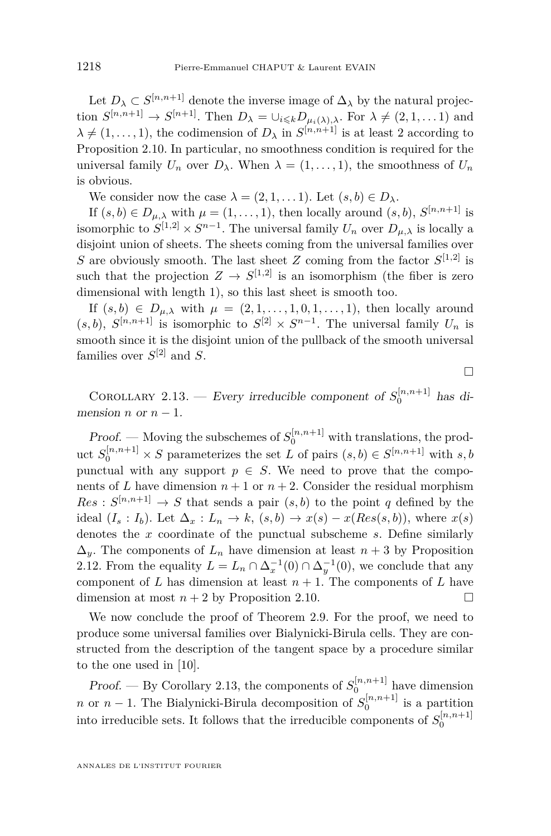Let  $D_{\lambda} \subset S^{[n,n+1]}$  denote the inverse image of  $\Delta_{\lambda}$  by the natural projection  $S^{[n,n+1]} \to S^{[n+1]}$ . Then  $D_{\lambda} = \bigcup_{i \leq k} D_{\mu_i(\lambda),\lambda}$ . For  $\lambda \neq (2,1,\dots,1)$  and  $\lambda \neq (1, \ldots, 1)$ , the codimension of  $D_{\lambda}$  in  $S^{[n,n+1]}$  is at least 2 according to Proposition [2.10.](#page-15-0) In particular, no smoothness condition is required for the universal family  $U_n$  over  $D_\lambda$ . When  $\lambda = (1, \ldots, 1)$ , the smoothness of  $U_n$ is obvious.

We consider now the case  $\lambda = (2, 1, \dots 1)$ . Let  $(s, b) \in D_{\lambda}$ .

If  $(s, b) \in D_{\mu,\lambda}$  with  $\mu = (1, \ldots, 1)$ , then locally around  $(s, b)$ ,  $S^{[n,n+1]}$  is isomorphic to  $S^{[1,2]} \times S^{n-1}$ . The universal family  $U_n$  over  $D_{\mu,\lambda}$  is locally a disjoint union of sheets. The sheets coming from the universal families over *S* are obviously smooth. The last sheet *Z* coming from the factor  $S^{[1,2]}$  is such that the projection  $Z \to S^{[1,2]}$  is an isomorphism (the fiber is zero dimensional with length 1), so this last sheet is smooth too.

If  $(s, b) \in D_{\mu,\lambda}$  with  $\mu = (2, 1, \ldots, 1, 0, 1, \ldots, 1)$ , then locally around  $(s, b)$ ,  $S^{[n,n+1]}$  is isomorphic to  $S^{[2]} \times S^{n-1}$ . The universal family  $U_n$  is smooth since it is the disjoint union of the pullback of the smooth universal families over  $S^{[2]}$  and S.

 $\Box$ 

COROLLARY 2.13. — Every irreducible component of  $S_0^{[n,n+1]}$  has dimension *n* or  $n-1$ .

*Proof.* — Moving the subschemes of  $S_0^{[n,n+1]}$  with translations, the product  $S_0^{[n,n+1]} \times S$  parameterizes the set *L* of pairs  $(s, b) \in S^{[n,n+1]}$  with  $s, b$ punctual with any support  $p \in S$ . We need to prove that the components of *L* have dimension  $n+1$  or  $n+2$ . Consider the residual morphism  $Res: S^{[n,n+1]} \to S$  that sends a pair  $(s, b)$  to the point *q* defined by the ideal  $(I_s: I_b)$ . Let  $\Delta_x: L_n \to k$ ,  $(s, b) \to x(s) - x(Res(s, b))$ , where  $x(s)$ denotes the *x* coordinate of the punctual subscheme *s*. Define similarly  $\Delta_{\eta}$ . The components of  $L_n$  have dimension at least  $n+3$  by Proposition [2.12.](#page-17-0) From the equality  $L = L_n \cap \Delta_x^{-1}(0) \cap \Delta_y^{-1}(0)$ , we conclude that any component of *L* has dimension at least  $n + 1$ . The components of *L* have dimension at most  $n + 2$  by Proposition [2.10.](#page-15-0)

We now conclude the proof of Theorem [2.9.](#page-15-0) For the proof, we need to produce some universal families over Bialynicki-Birula cells. They are constructed from the description of the tangent space by a procedure similar to the one used in [\[10\]](#page-50-0).

Proof. — By Corollary 2.13, the components of  $S_0^{[n,n+1]}$  have dimension *n* or *n* − 1. The Bialynicki-Birula decomposition of  $S_0^{[n,n+1]}$  is a partition into irreducible sets. It follows that the irreducible components of  $S_0^{[n,n+1]}$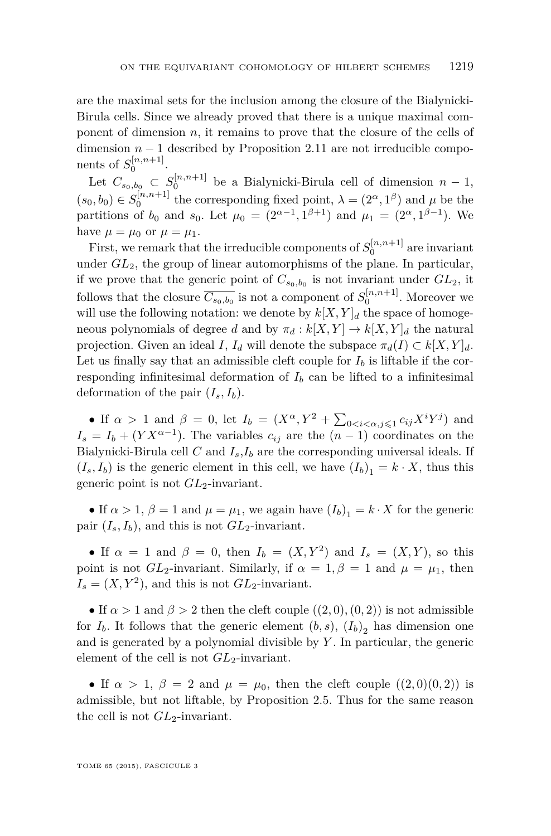are the maximal sets for the inclusion among the closure of the Bialynicki-Birula cells. Since we already proved that there is a unique maximal component of dimension *n*, it remains to prove that the closure of the cells of dimension  $n-1$  described by Proposition [2.11](#page-17-0) are not irreducible components of  $S_0^{[n,n+1]}$ .

Let  $C_{s_0,b_0} \subset S_0^{\lfloor n,n+1 \rfloor}$  be a Bialynicki-Birula cell of dimension  $n-1$ ,  $(s_0, b_0) \in S_0^{[n,n+1]}$  the corresponding fixed point,  $\lambda = (2^{\alpha}, 1^{\beta})$  and  $\mu$  be the partitions of  $b_0$  and  $s_0$ . Let  $\mu_0 = (2^{\alpha-1}, 1^{\beta+1})$  and  $\mu_1 = (2^{\alpha}, 1^{\beta-1})$ . We have  $\mu = \mu_0$  or  $\mu = \mu_1$ .

First, we remark that the irreducible components of  $S_0^{[n,n+1]}$  are invariant under *GL*2, the group of linear automorphisms of the plane. In particular, if we prove that the generic point of  $C_{s_0,b_0}$  is not invariant under  $GL_2$ , it follows that the closure  $\overline{C_{s_0,b_0}}$  is not a component of  $S_0^{[n,n+1]}$ . Moreover we will use the following notation: we denote by  $k[X, Y]_d$  the space of homogeneous polynomials of degree *d* and by  $\pi_d : k[X, Y] \to k[X, Y]_d$  the natural projection. Given an ideal *I*,  $I_d$  will denote the subspace  $\pi_d(I) \subset k[X, Y]_d$ . Let us finally say that an admissible cleft couple for  $I_b$  is liftable if the corresponding infinitesimal deformation of  $I<sub>b</sub>$  can be lifted to a infinitesimal deformation of the pair  $(I_s, I_b)$ .

• If  $\alpha > 1$  and  $\beta = 0$ , let  $I_b = (X^{\alpha}, Y^2 + \sum_{0 \le i \le \alpha, j \le 1} c_{ij} X^i Y^j)$  and  $I_s = I_b + (Y X^{\alpha-1})$ . The variables  $c_{ij}$  are the  $(n-1)$  coordinates on the Bialynicki-Birula cell *C* and  $I_s$ ,  $I_b$  are the corresponding universal ideals. If  $(I_s, I_b)$  is the generic element in this cell, we have  $(I_b)_1 = k \cdot X$ , thus this generic point is not *GL*2-invariant.

• If  $\alpha > 1$ ,  $\beta = 1$  and  $\mu = \mu_1$ , we again have  $(I_b)_1 = k \cdot X$  for the generic pair  $(I_s, I_b)$ , and this is not  $GL_2$ -invariant.

• If  $\alpha = 1$  and  $\beta = 0$ , then  $I_b = (X, Y^2)$  and  $I_s = (X, Y)$ , so this point is not  $GL_2$ -invariant. Similarly, if  $\alpha = 1, \beta = 1$  and  $\mu = \mu_1$ , then  $I_s = (X, Y^2)$ , and this is not  $GL_2$ -invariant.

• If  $\alpha > 1$  and  $\beta > 2$  then the cleft couple  $((2,0),(0,2))$  is not admissible for  $I_b$ . It follows that the generic element  $(b, s)$ ,  $(I_b)_2$  has dimension one and is generated by a polynomial divisible by *Y* . In particular, the generic element of the cell is not  $GL_2$ -invariant.

• If  $\alpha > 1$ ,  $\beta = 2$  and  $\mu = \mu_0$ , then the cleft couple  $((2,0)(0,2))$  is admissible, but not liftable, by Proposition [2.5.](#page-14-0) Thus for the same reason the cell is not  $GL_2$ -invariant.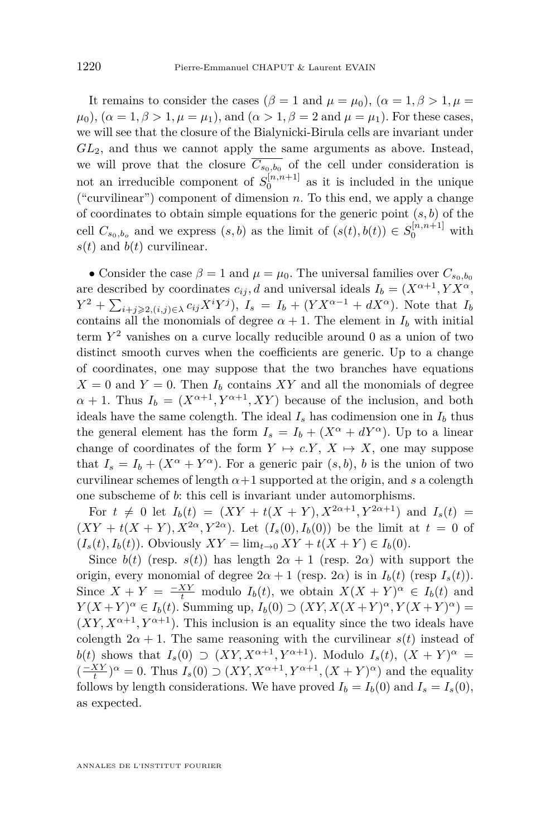It remains to consider the cases ( $\beta = 1$  and  $\mu = \mu_0$ ), ( $\alpha = 1, \beta > 1, \mu =$  $\mu_0$ ,  $(\alpha = 1, \beta > 1, \mu = \mu_1)$ , and  $(\alpha > 1, \beta = 2 \text{ and } \mu = \mu_1)$ . For these cases, we will see that the closure of the Bialynicki-Birula cells are invariant under *GL*2, and thus we cannot apply the same arguments as above. Instead, we will prove that the closure  $\overline{C_{s_0,b_0}}$  of the cell under consideration is not an irreducible component of  $S_0^{[n,n+1]}$  as it is included in the unique ("curvilinear") component of dimension *n*. To this end, we apply a change of coordinates to obtain simple equations for the generic point (*s, b*) of the cell  $C_{s_0,b_o}$  and we express  $(s, b)$  as the limit of  $(s(t), b(t)) \in S_0^{[n,n+1]}$  with  $s(t)$  and  $b(t)$  curvilinear.

• Consider the case  $\beta = 1$  and  $\mu = \mu_0$ . The universal families over  $C_{s_0, b_0}$ are described by coordinates  $c_{ij}$ , *d* and universal ideals  $I_b = (X^{\alpha+1}, YX^{\alpha}, Y^{\alpha})$  $Y^2 + \sum_{i+j\geqslant 2, (i,j)\in\lambda} c_{ij} X^i Y^j$ ,  $I_s = I_b + (Y X^{\alpha-1} + d X^{\alpha})$ . Note that  $I_b$ contains all the monomials of degree  $\alpha + 1$ . The element in  $I_b$  with initial term *Y* <sup>2</sup> vanishes on a curve locally reducible around 0 as a union of two distinct smooth curves when the coefficients are generic. Up to a change of coordinates, one may suppose that the two branches have equations  $X = 0$  and  $Y = 0$ . Then  $I_b$  contains XY and all the monomials of degree  $\alpha + 1$ . Thus  $I_b = (X^{\alpha+1}, Y^{\alpha+1}, XY)$  because of the inclusion, and both ideals have the same colength. The ideal  $I_s$  has codimension one in  $I_b$  thus the general element has the form  $I_s = I_b + (X^{\alpha} + dY^{\alpha})$ . Up to a linear change of coordinates of the form  $Y \mapsto c.Y, X \mapsto X$ , one may suppose that  $I_s = I_b + (X^{\alpha} + Y^{\alpha})$ . For a generic pair  $(s, b)$ , *b* is the union of two curvilinear schemes of length  $\alpha+1$  supported at the origin, and *s* a colength one subscheme of *b*: this cell is invariant under automorphisms.

For  $t \neq 0$  let  $I_b(t) = (XY + t(X + Y), X^{2\alpha+1}, Y^{2\alpha+1})$  and  $I_s(t) =$  $(XY + t(X + Y), X^{2\alpha}, Y^{2\alpha})$ . Let  $(I_s(0), I_b(0))$  be the limit at  $t = 0$  of  $(I_s(t), I_b(t))$ . Obviously  $XY = \lim_{t \to 0} XY + t(X + Y) \in I_b(0)$ .

Since  $b(t)$  (resp.  $s(t)$ ) has length  $2\alpha + 1$  (resp. 2*α*) with support the origin, every monomial of degree  $2\alpha + 1$  (resp.  $2\alpha$ ) is in  $I_b(t)$  (resp  $I_s(t)$ ). Since  $X + Y = \frac{-XY}{t}$  modulo  $I_b(t)$ , we obtain  $X(X + Y)^{\alpha} \in I_b(t)$  and *Y*(*X* + *Y*)<sup> $\alpha$ </sup>  $\in$  *I*<sub>*b*</sub>(*t*). Summing up, *I*<sub>*b*</sub>(0)  $\supset$  (*XY, X*(*X* + *Y*)<sup> $\alpha$ </sup>, *Y*(*X* + *Y*)<sup> $\alpha$ </sup>) =  $(XY, X^{\alpha+1}, Y^{\alpha+1})$ . This inclusion is an equality since the two ideals have colength  $2\alpha + 1$ . The same reasoning with the curvilinear  $s(t)$  instead of *b*(*t*) shows that  $I_s(0) \supset (XY, X^{\alpha+1}, Y^{\alpha+1})$ . Modulo  $I_s(t)$ ,  $(X + Y)^{\alpha} =$  $\left(\frac{-XY}{t}\right)^{\alpha} = 0$ . Thus  $I_s(0) \supset (XY, X^{\alpha+1}, Y^{\alpha+1}, (X+Y)^{\alpha})$  and the equality follows by length considerations. We have proved  $I_b = I_b(0)$  and  $I_s = I_s(0)$ , as expected.

ANNALES DE L'INSTITUT FOURIER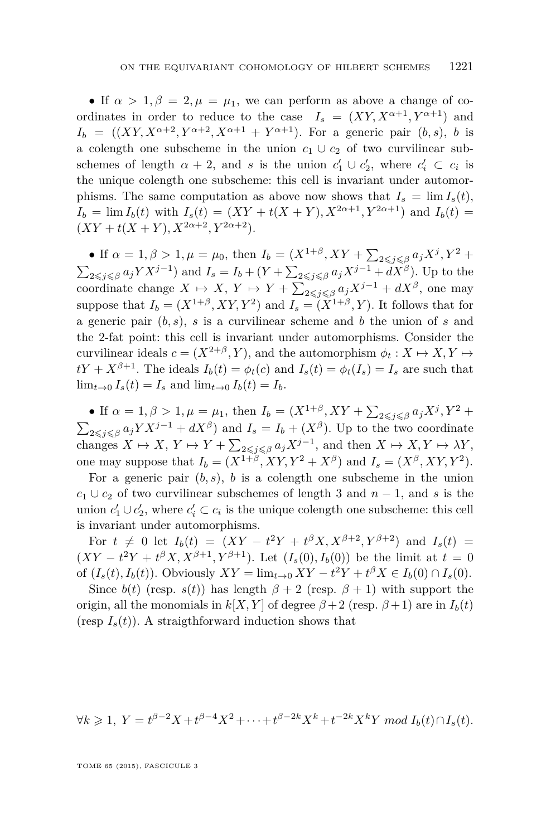• If  $\alpha > 1, \beta = 2, \mu = \mu_1$ , we can perform as above a change of coordinates in order to reduce to the case  $I_s = (XY, X^{\alpha+1}, Y^{\alpha+1})$  and  $I_b = ((XY, X^{\alpha+2}, Y^{\alpha+2}, X^{\alpha+1} + Y^{\alpha+1})$ . For a generic pair  $(b, s)$ , *b* is a colength one subscheme in the union  $c_1 \cup c_2$  of two curvilinear subschemes of length  $\alpha + 2$ , and *s* is the union  $c'_1 \cup c'_2$ , where  $c'_i \subset c_i$  is the unique colength one subscheme: this cell is invariant under automorphisms. The same computation as above now shows that  $I_s = \lim I_s(t)$ ,  $I_b = \lim I_b(t)$  with  $I_s(t) = (XY + t(X + Y), X^{2\alpha+1}, Y^{2\alpha+1})$  and  $I_b(t) =$  $(XY + t(X + Y), X^{2\alpha+2}, Y^{2\alpha+2}).$ 

• If  $\alpha = 1, \beta > 1, \mu = \mu_0$ , then  $I_b = (X^{1+\beta}, XY + \sum_{2 \leq j \leq \beta} a_j X^j, Y^2 + \sum_{j \leq j \leq \beta} a_j X^j, Y^2 + \sum_{j \leq j \leq \beta} a_j X^j, Y^2 + \sum_{j \leq j \leq \beta} a_j X^j, Y^2 + \sum_{j \leq j \leq \beta} a_j X^j, Y^2 + \sum_{j \leq j \leq \beta} a_j X^j, Y^2 + \sum_{j \leq j \leq \beta} a_j X^j, Y^2 + \sum_{j \leq$  $\sum_{2 \leq j \leq \beta} a_j Y X^{j-1}$  and  $I_s = I_b + (Y + \sum_{2 \leq j \leq \beta} a_j X^{j-1} + dX^{\beta})$ . Up to the coordinate change  $X \mapsto X$ ,  $Y \mapsto Y + \sum_{2 \leq j \leq \beta} a_j X^{j-1} + dX^{\beta}$ , one may suppose that  $I_b = (X^{1+\beta}, XY, Y^2)$  and  $I_s = (X^{1+\beta}, Y)$ . It follows that for a generic pair (*b, s*), *s* is a curvilinear scheme and *b* the union of *s* and the 2-fat point: this cell is invariant under automorphisms. Consider the curvilinear ideals  $c = (X^{2+\beta}, Y)$ , and the automorphism  $\phi_t : X \mapsto X, Y \mapsto$  $tY + X^{\beta+1}$ . The ideals  $I_b(t) = \phi_t(c)$  and  $I_s(t) = \phi_t(I_s) = I_s$  are such that  $\lim_{t\to 0} I_s(t) = I_s$  and  $\lim_{t\to 0} I_b(t) = I_b$ .

• If  $\alpha = 1, \beta > 1, \mu = \mu_1$ , then  $I_b = (X^{1+\beta}, XY + \sum_{2 \leq j \leq \beta} a_j X^j, Y^2 + \sum_{j \leq j \leq \beta} a_j X^j, Y^2 + \sum_{j \leq j \leq \beta} a_j X^j, Y^2 + \sum_{j \leq j \leq \beta} a_j X^j, Y^2 + \sum_{j \leq j \leq \beta} a_j X^j, Y^2 + \sum_{j \leq j \leq \beta} a_j X^j, Y^2 + \sum_{j \leq j \leq \beta} a_j X^j, Y^2 + \sum_{j \leq$  $\sum_{2 \leq j \leq \beta} a_j Y X^{j-1} + dX^{\beta}$  and  $I_s = I_b + (X^{\beta})$ . Up to the two coordinate changes  $X \mapsto X$ ,  $Y \mapsto Y + \sum_{2 \leq j \leq \beta} a_j X^{j-1}$ , and then  $X \mapsto X, Y \mapsto \lambda Y$ , one may suppose that  $I_b = (X^{1+\beta}, XY, Y^2 + X^{\beta})$  and  $I_s = (X^{\beta}, XY, Y^2)$ .

For a generic pair  $(b, s)$ ,  $b$  is a colength one subscheme in the union  $c_1 \cup c_2$  of two curvilinear subschemes of length 3 and  $n-1$ , and *s* is the union  $c'_1 \cup c'_2$ , where  $c'_i \subset c_i$  is the unique colength one subscheme: this cell is invariant under automorphisms.

For  $t \neq 0$  let  $I_b(t) = (XY - t^2Y + t^{\beta}X, X^{\beta+2}, Y^{\beta+2})$  and  $I_s(t) =$  $(XY - t^2Y + t^{\beta}X, X^{\beta+1}, Y^{\beta+1})$ . Let  $(I_s(0), I_b(0))$  be the limit at  $t = 0$ of  $(I_s(t), I_b(t))$ . Obviously  $XY = \lim_{t \to 0} XY - t^2Y + t^{\beta}X \in I_b(0) \cap I_s(0)$ .

Since  $b(t)$  (resp.  $s(t)$ ) has length  $\beta + 2$  (resp.  $\beta + 1$ ) with support the origin, all the monomials in  $k[X, Y]$  of degree  $\beta + 2$  (resp.  $\beta + 1$ ) are in  $I_b(t)$ (resp  $I_s(t)$ ). A straigthforward induction shows that

$$
\forall k \geq 1, Y = t^{\beta - 2} X + t^{\beta - 4} X^2 + \dots + t^{\beta - 2k} X^k + t^{-2k} X^k Y \bmod I_b(t) \cap I_s(t).
$$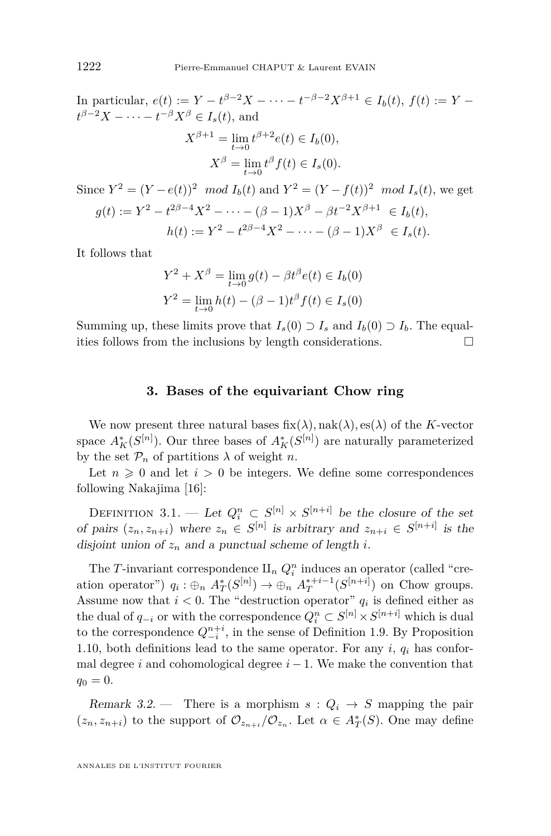<span id="page-22-0"></span>In particular,  $e(t) := Y - t^{\beta - 2}X - \cdots - t^{-\beta - 2}X^{\beta + 1} \in I_b(t)$ ,  $f(t) := Y$  $t^{\beta-2}X$  – · · · - *t*<sup>- $\beta$ </sup>*X*<sup>β</sup> ∈ *I<sub>s</sub>*(*t*), and  $X^{\beta+1} = \lim_{t \to 0} t^{\beta+2} e(t) \in I_b(0),$  $X^{\beta} = \lim_{t \to 0} t^{\beta} f(t) \in I_s(0)$ *.* 

Since  $Y^2 = (Y - e(t))^2 \mod I_b(t)$  and  $Y^2 = (Y - f(t))^2 \mod I_s(t)$ , we get  $g(t) := Y^2 - t^{2\beta - 4}X^2 - \cdots - (\beta - 1)X^{\beta} - \beta t^{-2}X^{\beta + 1} \in I_b(t)$ ,  $h(t) := Y^2 - t^{2\beta - 4}X^2 - \cdots - (\beta - 1)X^{\beta} \in I_s(t).$ 

It follows that

$$
Y^{2} + X^{\beta} = \lim_{t \to 0} g(t) - \beta t^{\beta} e(t) \in I_{b}(0)
$$
  

$$
Y^{2} = \lim_{t \to 0} h(t) - (\beta - 1)t^{\beta} f(t) \in I_{s}(0)
$$

Summing up, these limits prove that  $I_s(0) \supset I_s$  and  $I_b(0) \supset I_b$ . The equalities follows from the inclusions by length considerations.  $\Box$ 

### **3. Bases of the equivariant Chow ring**

We now present three natural bases  $fix(\lambda)$ ,  $nak(\lambda)$ ,  $es(\lambda)$  of the *K*-vector space  $A_K^*(S^{[n]})$ . Our three bases of  $A_K^*(S^{[n]})$  are naturally parameterized by the set  $\mathcal{P}_n$  of partitions  $\lambda$  of weight *n*.

Let  $n \geq 0$  and let  $i > 0$  be integers. We define some correspondences following Nakajima [\[16\]](#page-50-0):

DEFINITION 3.1. — Let  $Q_i^n \subset S^{[n]} \times S^{[n+i]}$  be the closure of the set of pairs  $(z_n, z_{n+i})$  where  $z_n \in S^{[n]}$  is arbitrary and  $z_{n+i} \in S^{[n+i]}$  is the disjoint union of  $z_n$  and a punctual scheme of length *i*.

The *T*-invariant correspondence  $\mathbf{I}$ <sub>n</sub>  $Q_i^n$  induces an operator (called "creation operator")  $q_i : \bigoplus_n A_T^*(S^{[n]}) \to \bigoplus_n A_T^{*+i-1}(S^{[n+i]})$  on Chow groups. Assume now that  $i < 0$ . The "destruction operator"  $q_i$  is defined either as the dual of  $q_{-i}$  or with the correspondence  $Q_i^n \subset S^{[n]} \times S^{[n+i]}$  which is dual to the correspondence  $Q_{-i}^{n+i}$ , in the sense of Definition [1.9.](#page-8-0) By Proposition [1.10,](#page-8-0) both definitions lead to the same operator. For any  $i, q_i$  has conformal degree *i* and cohomological degree  $i - 1$ . We make the convention that  $q_0 = 0.$ 

Remark 3.2. – There is a morphism  $s: Q_i \rightarrow S$  mapping the pair  $(z_n, z_{n+i})$  to the support of  $\mathcal{O}_{z_{n+i}}/\mathcal{O}_{z_n}$ . Let  $\alpha \in A_T^*(S)$ . One may define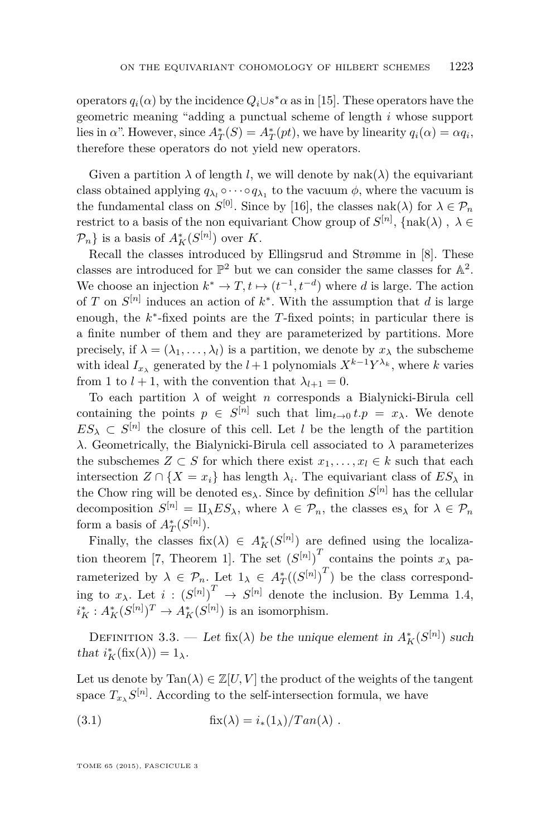<span id="page-23-0"></span>operators  $q_i(\alpha)$  by the incidence  $Q_i \cup s^* \alpha$  as in [\[15\]](#page-50-0). These operators have the geometric meaning "adding a punctual scheme of length *i* whose support lies in *α*". However, since  $A_T^*(S) = A_T^*(pt)$ , we have by linearity  $q_i(\alpha) = \alpha q_i$ , therefore these operators do not yield new operators.

Given a partition  $\lambda$  of length *l*, we will denote by nak( $\lambda$ ) the equivariant class obtained applying  $q_{\lambda_l} \circ \cdots \circ q_{\lambda_1}$  to the vacuum  $\phi$ , where the vacuum is the fundamental class on  $S^{[0]}$ . Since by [\[16\]](#page-50-0), the classes nak( $\lambda$ ) for  $\lambda \in \mathcal{P}_n$ restrict to a basis of the non equivariant Chow group of  $S^{[n]}$ ,  $\{\text{nak}(\lambda), \lambda \in$  $\mathcal{P}_n$ } is a basis of  $A_K^*(S^{[n]})$  over *K*.

Recall the classes introduced by Ellingsrud and Strømme in [\[8\]](#page-50-0). These classes are introduced for  $\mathbb{P}^2$  but we can consider the same classes for  $\mathbb{A}^2$ . We choose an injection  $k^* \to T$ ,  $t \mapsto (t^{-1}, t^{-d})$  where *d* is large. The action of *T* on  $S^{[n]}$  induces an action of  $k^*$ . With the assumption that *d* is large enough, the *k* ∗ -fixed points are the *T*-fixed points; in particular there is a finite number of them and they are parameterized by partitions. More precisely, if  $\lambda = (\lambda_1, \ldots, \lambda_l)$  is a partition, we denote by  $x_\lambda$  the subscheme with ideal  $I_{x_{\lambda}}$  generated by the  $l+1$  polynomials  $X^{k-1}Y^{\lambda_k}$ , where *k* varies from 1 to  $l + 1$ , with the convention that  $\lambda_{l+1} = 0$ .

To each partition  $\lambda$  of weight *n* corresponds a Bialynicki-Birula cell containing the points  $p \in S^{[n]}$  such that  $\lim_{t\to 0} t.p = x_\lambda$ . We denote  $ES_{\lambda} \subset S^{[n]}$  the closure of this cell. Let *l* be the length of the partition *λ*. Geometrically, the Bialynicki-Birula cell associated to *λ* parameterizes the subschemes  $Z \subset S$  for which there exist  $x_1, \ldots, x_l \in k$  such that each intersection  $Z \cap \{X = x_i\}$  has length  $\lambda_i$ . The equivariant class of  $ES_{\lambda}$  in the Chow ring will be denoted  $es_{\lambda}$ . Since by definition  $S^{[n]}$  has the cellular decomposition  $S^{[n]} = \amalg_{\lambda} ES_{\lambda}$ , where  $\lambda \in \mathcal{P}_n$ , the classes es<sub> $\lambda$ </sub> for  $\lambda \in \mathcal{P}_n$ form a basis of  $A^*_T(S^{[n]})$ .

Finally, the classes  $fix(\lambda) \in A_K^*(S^{[n]})$  are defined using the localiza-tion theorem [\[7,](#page-49-0) Theorem 1]. The set  $(S^{[n]})^T$  contains the points  $x_\lambda$  parameterized by  $\lambda \in \mathcal{P}_n$ . Let  $1_\lambda \in A^*_T((S^{[n]})^T)$  be the class corresponding to  $x_{\lambda}$ . Let  $i: (S^{[n]})^T \to S^{[n]}$  denote the inclusion. By Lemma [1.4,](#page-7-0)  $i_K^* : A_K^*(S^{[n]})^T \to A_K^*(S^{[n]})$  is an isomorphism.

DEFINITION 3.3. — Let fix( $\lambda$ ) be the unique element in  $A_K^*(S^{[n]})$  such that  $i_K^*(\text{fix}(\lambda)) = 1_\lambda$ .

Let us denote by  $\text{Tan}(\lambda) \in \mathbb{Z}[U, V]$  the product of the weights of the tangent space  $T_{x\lambda}S^{[n]}$ . According to the self-intersection formula, we have

(3.1) 
$$
\text{fix}(\lambda) = i_*(1_\lambda) / \text{Tan}(\lambda) .
$$

TOME 65 (2015), FASCICULE 3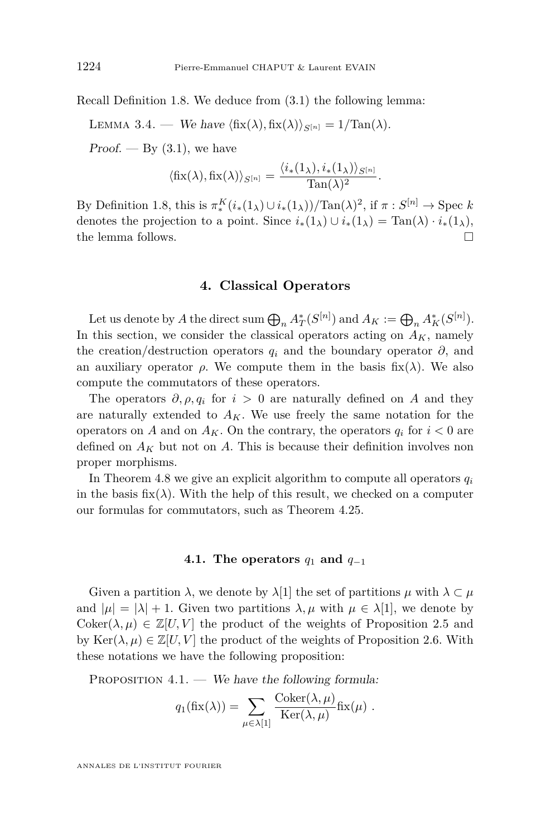<span id="page-24-0"></span>Recall Definition [1.8.](#page-8-0) We deduce from [\(3.1\)](#page-23-0) the following lemma:

LEMMA 3.4. — We have  $\langle f\mathbf{i}x(\lambda), f\mathbf{i}x(\lambda)\rangle_{S^{[n]}} = 1/\text{Tan}(\lambda)$ .

 $Proof. - By (3.1)$  $Proof. - By (3.1)$ , we have

$$
\langle \operatorname{fix}(\lambda), \operatorname{fix}(\lambda) \rangle_{S^{[n]}} = \frac{\langle i_*(1_\lambda), i_*(1_\lambda) \rangle_{S^{[n]}}}{\operatorname{Tan}(\lambda)^2}.
$$

By Definition [1.8,](#page-8-0) this is  $\pi_*^K(i_*(1_\lambda) \cup i_*(1_\lambda)) / \text{Tan}(\lambda)^2$ , if  $\pi : S^{[n]} \to \text{Spec } k$ denotes the projection to a point. Since  $i_*(1_\lambda) \cup i_*(1_\lambda) = \text{Tan}(\lambda) \cdot i_*(1_\lambda)$ , the lemma follows.

### **4. Classical Operators**

Let us denote by *A* the direct sum  $\bigoplus_n A_T^*(S^{[n]})$  and  $A_K := \bigoplus_n A_K^*(S^{[n]})$ . In this section, we consider the classical operators acting on  $A_K$ , namely the creation/destruction operators  $q_i$  and the boundary operator  $\partial$ , and an auxiliary operator  $\rho$ . We compute them in the basis fix( $\lambda$ ). We also compute the commutators of these operators.

The operators  $\partial$ ,  $\rho$ ,  $q_i$  for  $i > 0$  are naturally defined on *A* and they are naturally extended to  $A_K$ . We use freely the same notation for the operators on *A* and on  $A_K$ . On the contrary, the operators  $q_i$  for  $i < 0$  are defined on  $A_K$  but not on A. This is because their definition involves non proper morphisms.

In Theorem [4.8](#page-28-0) we give an explicit algorithm to compute all operators  $q_i$ in the basis fix( $\lambda$ ). With the help of this result, we checked on a computer our formulas for commutators, such as Theorem [4.25.](#page-40-0)

### **4.1.** The operators  $q_1$  and  $q_{-1}$

Given a partition  $\lambda$ , we denote by  $\lambda$ [1] the set of partitions  $\mu$  with  $\lambda \subset \mu$ and  $|\mu| = |\lambda| + 1$ . Given two partitions  $\lambda, \mu$  with  $\mu \in \lambda[1]$ , we denote by Coker( $\lambda, \mu$ )  $\in \mathbb{Z}[U, V]$  the product of the weights of Proposition [2.5](#page-14-0) and by  $\text{Ker}(\lambda, \mu) \in \mathbb{Z}[U, V]$  the product of the weights of Proposition [2.6.](#page-14-0) With these notations we have the following proposition:

PROPOSITION  $4.1.$  — We have the following formula:

$$
q_1(\text{fix}(\lambda)) = \sum_{\mu \in \lambda[1]} \frac{\text{Coker}(\lambda, \mu)}{\text{Ker}(\lambda, \mu)} \text{fix}(\mu) .
$$

ANNALES DE L'INSTITUT FOURIER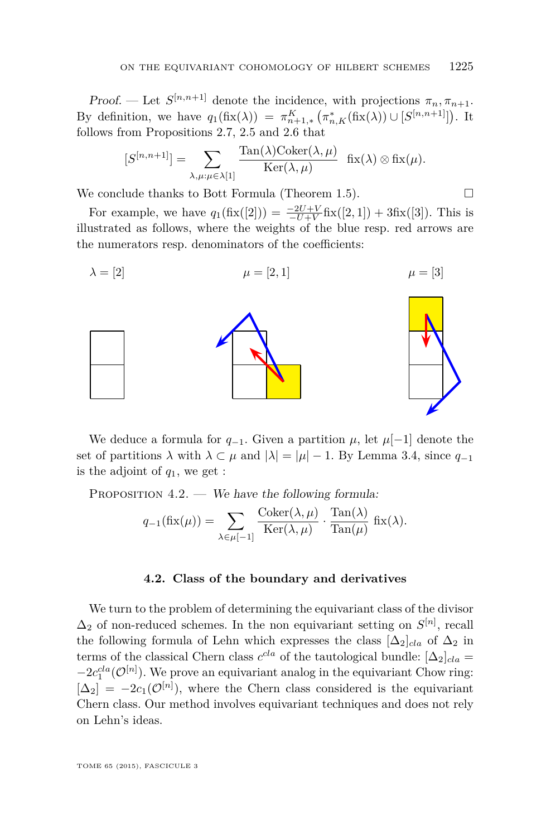<span id="page-25-0"></span>Proof. — Let  $S^{[n,n+1]}$  denote the incidence, with projections  $\pi_n, \pi_{n+1}$ . By definition, we have  $q_1(fix(\lambda)) = \pi_{n+1,*}^K \left( \pi_{n,K}^*(fix(\lambda)) \cup [S^{[n,n+1]}] \right)$ . It follows from Propositions [2.7,](#page-15-0) [2.5](#page-14-0) and [2.6](#page-14-0) that

$$
[S^{[n,n+1]}] = \sum_{\lambda,\mu:\mu \in \lambda[1]} \frac{\text{Tan}(\lambda)\text{Coker}(\lambda,\mu)}{\text{Ker}(\lambda,\mu)} \quad \text{fix}(\lambda) \otimes \text{fix}(\mu).
$$

We conclude thanks to Bott Formula (Theorem [1.5\)](#page-8-0).

For example, we have  $q_1(fix([2])) = \frac{-2U+V}{-U+V}fix([2,1]) + 3fix([3])$ . This is illustrated as follows, where the weights of the blue resp. red arrows are the numerators resp. denominators of the coefficients:

$$
\lambda = [2] \qquad \qquad \mu = [2, 1] \qquad \qquad \mu = [3]
$$



We deduce a formula for  $q_{-1}$ . Given a partition  $\mu$ , let  $\mu[-1]$  denote the set of partitions  $\lambda$  with  $\lambda \subset \mu$  and  $|\lambda| = |\mu| - 1$ . By Lemma [3.4,](#page-24-0) since  $q_{-1}$ is the adjoint of *q*1, we get :

PROPOSITION  $4.2.$  — We have the following formula:

$$
q_{-1}(\operatorname{fix}(\mu)) = \sum_{\lambda \in \mu[-1]} \frac{\operatorname{Coker}(\lambda, \mu)}{\operatorname{Ker}(\lambda, \mu)} \cdot \frac{\operatorname{Tan}(\lambda)}{\operatorname{Tan}(\mu)} \operatorname{fix}(\lambda).
$$

#### **4.2. Class of the boundary and derivatives**

We turn to the problem of determining the equivariant class of the divisor  $\Delta_2$  of non-reduced schemes. In the non equivariant setting on  $S^{[n]}$ , recall the following formula of Lehn which expresses the class  $[\Delta_2]_{cla}$  of  $\Delta_2$  in terms of the classical Chern class  $c^{cla}$  of the tautological bundle:  $[\Delta_2]_{cla} =$  $-2c_1^{cla}(\mathcal{O}^{[n]})$ . We prove an equivariant analog in the equivariant Chow ring:  $[\Delta_2] = -2c_1(\mathcal{O}^{[n]})$ , where the Chern class considered is the equivariant Chern class. Our method involves equivariant techniques and does not rely on Lehn's ideas.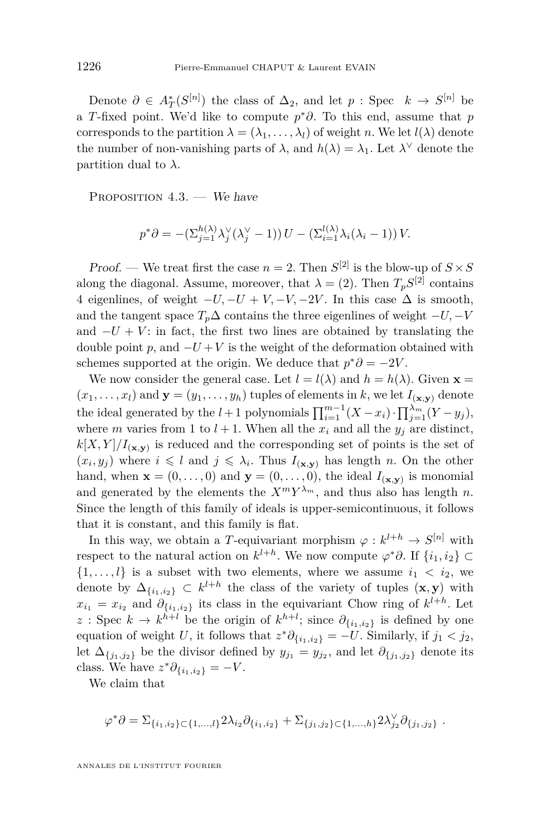<span id="page-26-0"></span>Denote  $\partial \in A_T^*(S^{[n]})$  the class of  $\Delta_2$ , and let  $p: \text{Spec } k \to S^{[n]}$  be a *T*-fixed point. We'd like to compute *p* <sup>∗</sup>*∂*. To this end, assume that *p* corresponds to the partition  $\lambda = (\lambda_1, \ldots, \lambda_l)$  of weight *n*. We let  $l(\lambda)$  denote the number of non-vanishing parts of  $\lambda$ , and  $h(\lambda) = \lambda_1$ . Let  $\lambda^{\vee}$  denote the partition dual to  $\lambda$ .

PROPOSITION  $4.3.$  – We have

$$
p^*\partial = -(\Sigma_{j=1}^{h(\lambda)}\lambda_j^{\vee}(\lambda_j^{\vee} - 1)) U - (\Sigma_{i=1}^{l(\lambda)}\lambda_i(\lambda_i - 1)) V.
$$

Proof. — We treat first the case  $n = 2$ . Then  $S^{[2]}$  is the blow-up of  $S \times S$ along the diagonal. Assume, moreover, that  $\lambda = (2)$ . Then  $T_p S^{[2]}$  contains 4 eigenlines, of weight  $-U$ ,  $-U + V$ ,  $-V$ ,  $-2V$ . In this case  $\Delta$  is smooth, and the tangent space  $T_p \Delta$  contains the three eigenlines of weight  $-U$ ,  $-V$ and  $-U + V$ : in fact, the first two lines are obtained by translating the double point *p*, and  $-U+V$  is the weight of the deformation obtained with schemes supported at the origin. We deduce that  $p^*\partial = -2V$ .

We now consider the general case. Let  $l = l(\lambda)$  and  $h = h(\lambda)$ . Given **x** =  $(x_1, \ldots, x_l)$  and  $\mathbf{y} = (y_1, \ldots, y_h)$  tuples of elements in *k*, we let  $I_{(\mathbf{x}, \mathbf{y})}$  denote the ideal generated by the  $l+1$  polynomials  $\prod_{i=1}^{m-1} (X - x_i) \cdot \prod_{j=1}^{\lambda_m} (Y - y_j)$ , where *m* varies from 1 to  $l + 1$ . When all the  $x_i$  and all the  $y_j$  are distinct,  $k[X, Y]/I_{(\mathbf{x}, \mathbf{y})}$  is reduced and the corresponding set of points is the set of  $(x_i, y_j)$  where  $i \leq l$  and  $j \leq \lambda_i$ . Thus  $I_{(\mathbf{x}, \mathbf{y})}$  has length *n*. On the other hand, when  $\mathbf{x} = (0, \ldots, 0)$  and  $\mathbf{y} = (0, \ldots, 0)$ , the ideal  $I_{(\mathbf{x}, \mathbf{y})}$  is monomial and generated by the elements the  $X^m Y^{\lambda_m}$ , and thus also has length *n*. Since the length of this family of ideals is upper-semicontinuous, it follows that it is constant, and this family is flat.

In this way, we obtain a *T*-equivariant morphism  $\varphi : k^{l+h} \to S^{[n]}$  with respect to the natural action on  $k^{l+h}$ . We now compute  $\varphi^*\partial$ . If  $\{i_1, i_2\} \subset$  $\{1, \ldots, l\}$  is a subset with two elements, where we assume  $i_1 < i_2$ , we denote by  $\Delta_{\{i_1,i_2\}} \subset k^{l+h}$  the class of the variety of tuples  $(\mathbf{x}, \mathbf{y})$  with  $x_{i_1} = x_{i_2}$  and  $\partial_{\{i_1, i_2\}}$  its class in the equivariant Chow ring of  $k^{l+h}$ . Let *z* : Spec *k* → *k*<sup>*h*+*l*</sup> be the origin of *k*<sup>*h*+*l*</sup>; since  $\partial_{\{i_1, i_2\}}$  is defined by one equation of weight *U*, it follows that  $z^* \partial_{\{i_1, i_2\}} = -U$ . Similarly, if  $j_1 < j_2$ , let  $\Delta_{\{j_1,j_2\}}$  be the divisor defined by  $y_{j_1} = y_{j_2}$ , and let  $\partial_{\{j_1,j_2\}}$  denote its class. We have  $z^* \partial_{\{i_1, i_2\}} = -V$ .

We claim that

$$
\varphi^* \partial = \Sigma_{\{i_1, i_2\} \subset \{1, \ldots, l\}} 2\lambda_{i_2} \partial_{\{i_1, i_2\}} + \Sigma_{\{j_1, j_2\} \subset \{1, \ldots, h\}} 2\lambda_{j_2}^{\vee} \partial_{\{j_1, j_2\}}.
$$

ANNALES DE L'INSTITUT FOURIER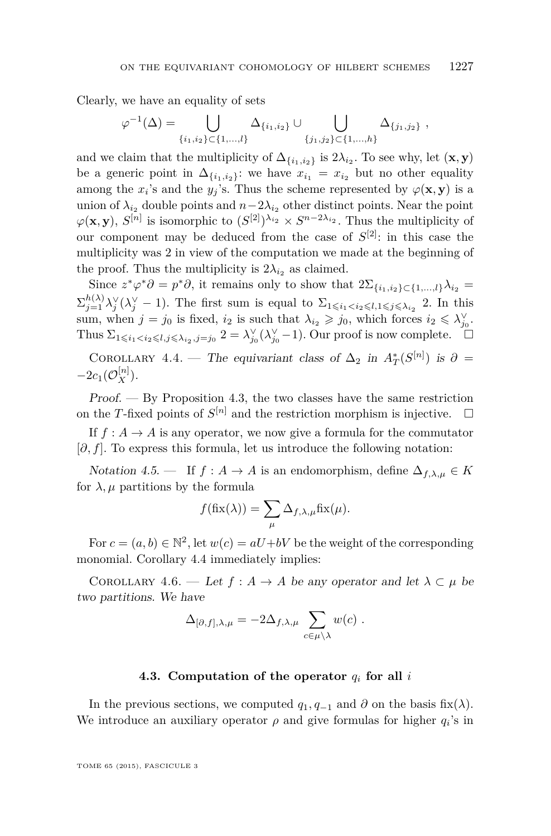<span id="page-27-0"></span>Clearly, we have an equality of sets

$$
\varphi^{-1}(\Delta) = \bigcup_{\{i_1, i_2\} \subset \{1, \dots, l\}} \Delta_{\{i_1, i_2\}} \cup \bigcup_{\{j_1, j_2\} \subset \{1, \dots, h\}} \Delta_{\{j_1, j_2\}},
$$

and we claim that the multiplicity of  $\Delta_{\{i_1,i_2\}}$  is  $2\lambda_{i_2}$ . To see why, let  $(\mathbf{x}, \mathbf{y})$ be a generic point in  $\Delta_{\{i_1,i_2\}}$ : we have  $x_{i_1} = x_{i_2}$  but no other equality among the  $x_i$ 's and the  $y_j$ 's. Thus the scheme represented by  $\varphi(\mathbf{x}, \mathbf{y})$  is a union of  $\lambda_{i_2}$  double points and  $n-2\lambda_{i_2}$  other distinct points. Near the point  $\varphi(\mathbf{x}, \mathbf{y}), S^{[n]}$  is isomorphic to  $(S^{[2]})^{\lambda_{i_2}} \times S^{n-2\lambda_{i_2}}$ . Thus the multiplicity of our component may be deduced from the case of *S* [2]: in this case the multiplicity was 2 in view of the computation we made at the beginning of the proof. Thus the multiplicity is  $2\lambda_{i_2}$  as claimed.

Since  $z^*\varphi^*\partial = p^*\partial$ , it remains only to show that  $2\Sigma_{\{i_1,i_2\}\subset\{1,\ldots,l\}}\lambda_{i_2} =$  $\sum_{j=1}^{h(\lambda)} \lambda_j^{\vee} (\lambda_j^{\vee} - 1)$ . The first sum is equal to  $\Sigma_{1 \leq i_1 < i_2 \leq l, 1 \leq j \leq \lambda_{i_2}}$  2. In this sum, when  $j = j_0$  is fixed,  $i_2$  is such that  $\lambda_{i_2} \geqslant j_0$ , which forces  $i_2 \leqslant \lambda_{j_0}^{\vee}$ . Thus  $\Sigma_{1\leq i_1 2 =  $\lambda_{j_0}^{\vee}(\lambda_{j_0}^{\vee}-1)$ . Our proof is now complete.  $\Box$$ 

COROLLARY 4.4. — The equivariant class of  $\Delta_2$  in  $A^*_T(S^{[n]})$  is  $\partial =$  $-2c_1(\mathcal{O}_X^{[n]})$ .

 $Proof. - By Proposition 4.3, the two classes have the same restriction.$  $Proof. - By Proposition 4.3, the two classes have the same restriction.$  $Proof. - By Proposition 4.3, the two classes have the same restriction.$ on the *T*-fixed points of  $S^{[n]}$  and the restriction morphism is injective.  $\Box$ 

If  $f: A \to A$  is any operator, we now give a formula for the commutator [*∂, f*]. To express this formula, let us introduce the following notation:

Notation 4.5. — If  $f : A \to A$  is an endomorphism, define  $\Delta_{f,\lambda,\mu} \in K$ for  $\lambda$ ,  $\mu$  partitions by the formula

$$
f(\text{fix}(\lambda)) = \sum_{\mu} \Delta_{f,\lambda,\mu} \text{fix}(\mu).
$$

For  $c = (a, b) \in \mathbb{N}^2$ , let  $w(c) = aU + bV$  be the weight of the corresponding monomial. Corollary 4.4 immediately implies:

COROLLARY 4.6. — Let  $f : A \to A$  be any operator and let  $\lambda \subset \mu$  be two partitions. We have

$$
\Delta_{[\partial,f],\lambda,\mu} = -2\Delta_{f,\lambda,\mu} \sum_{c \in \mu \backslash \lambda} w(c) .
$$

#### **4.3. Computation of the operator** *q<sup>i</sup>* **for all** *i*

In the previous sections, we computed  $q_1, q_{-1}$  and  $\partial$  on the basis fix( $\lambda$ ). We introduce an auxiliary operator  $\rho$  and give formulas for higher  $q_i$ 's in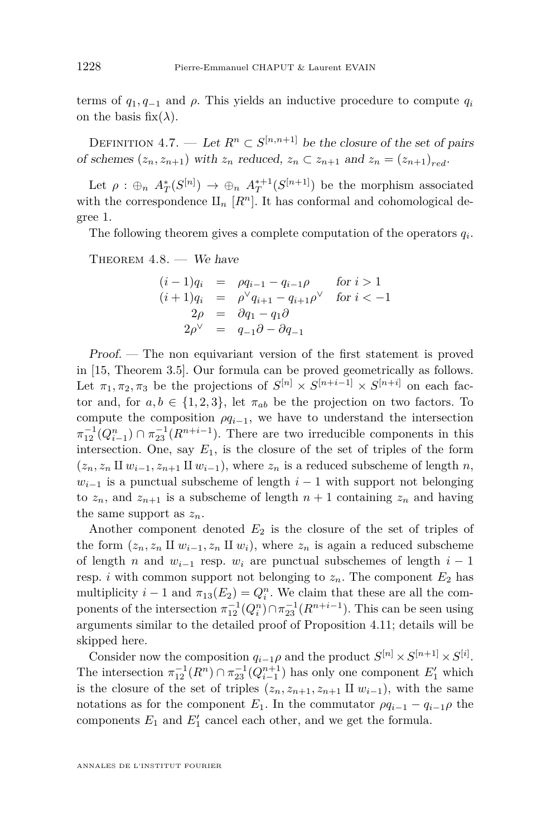<span id="page-28-0"></span>terms of  $q_1, q_{-1}$  and  $\rho$ . This yields an inductive procedure to compute  $q_i$ on the basis fix( $\lambda$ ).

DEFINITION 4.7. — Let  $R^n \subset S^{[n,n+1]}$  be the closure of the set of pairs of schemes  $(z_n, z_{n+1})$  with  $z_n$  reduced,  $z_n \subset z_{n+1}$  and  $z_n = (z_{n+1})_{red}$ .

Let  $\rho : \bigoplus_n A_T^*(S^{[n]}) \to \bigoplus_n A_T^{*+1}(S^{[n+1]})$  be the morphism associated with the correspondence  $\mathbb{I}_n$  [ $R^n$ ]. It has conformal and cohomological degree 1.

The following theorem gives a complete computation of the operators  $q_i$ .

THEOREM  $4.8.$  – We have

$$
(i-1)q_i = \rho q_{i-1} - q_{i-1}\rho \quad \text{for } i > 1
$$
  
\n
$$
(i+1)q_i = \rho^{\vee} q_{i+1} - q_{i+1}\rho^{\vee} \quad \text{for } i < -1
$$
  
\n
$$
2\rho = \partial q_1 - q_1\partial
$$
  
\n
$$
2\rho^{\vee} = q_{-1}\partial - \partial q_{-1}
$$

Proof. — The non equivariant version of the first statement is proved in [\[15,](#page-50-0) Theorem 3.5]. Our formula can be proved geometrically as follows. Let  $\pi_1, \pi_2, \pi_3$  be the projections of  $S^{[n]} \times S^{[n+i-1]} \times S^{[n+i]}$  on each factor and, for  $a, b \in \{1, 2, 3\}$ , let  $\pi_{ab}$  be the projection on two factors. To compute the composition  $\rho q_{i-1}$ , we have to understand the intersection  $\pi_{12}^{-1}(Q_{i-1}^n) \cap \pi_{23}^{-1}(R^{n+i-1})$ . There are two irreducible components in this intersection. One, say  $E_1$ , is the closure of the set of triples of the form  $(z_n, z_n \amalg w_{i-1}, z_{n+1} \amalg w_{i-1}),$  where  $z_n$  is a reduced subscheme of length *n*,  $w_{i-1}$  is a punctual subscheme of length  $i-1$  with support not belonging to  $z_n$ , and  $z_{n+1}$  is a subscheme of length  $n+1$  containing  $z_n$  and having the same support as  $z_n$ .

Another component denoted  $E_2$  is the closure of the set of triples of the form  $(z_n, z_n \amalg w_{i-1}, z_n \amalg w_i)$ , where  $z_n$  is again a reduced subscheme of length *n* and  $w_{i-1}$  resp.  $w_i$  are punctual subschemes of length  $i-1$ resp. *i* with common support not belonging to  $z_n$ . The component  $E_2$  has multiplicity  $i - 1$  and  $\pi_{13}(E_2) = Q_i^n$ . We claim that these are all the components of the intersection  $\pi_{12}^{-1}(Q_i^n) \cap \pi_{23}^{-1}(R^{n+i-1})$ . This can be seen using arguments similar to the detailed proof of Proposition [4.11;](#page-30-0) details will be skipped here.

Consider now the composition  $q_{i-1}\rho$  and the product  $S^{[n]} \times S^{[n+1]} \times S^{[i]}$ . The intersection  $\pi_{12}^{-1}(R^n) \cap \pi_{23}^{-1}(Q_{i-1}^{n+1})$  has only one component  $E'_1$  which is the closure of the set of triples  $(z_n, z_{n+1}, z_{n+1} \amalg w_{i-1})$ , with the same notations as for the component  $E_1$ . In the commutator  $\rho q_{i-1} - q_{i-1}\rho$  the components  $E_1$  and  $E'_1$  cancel each other, and we get the formula.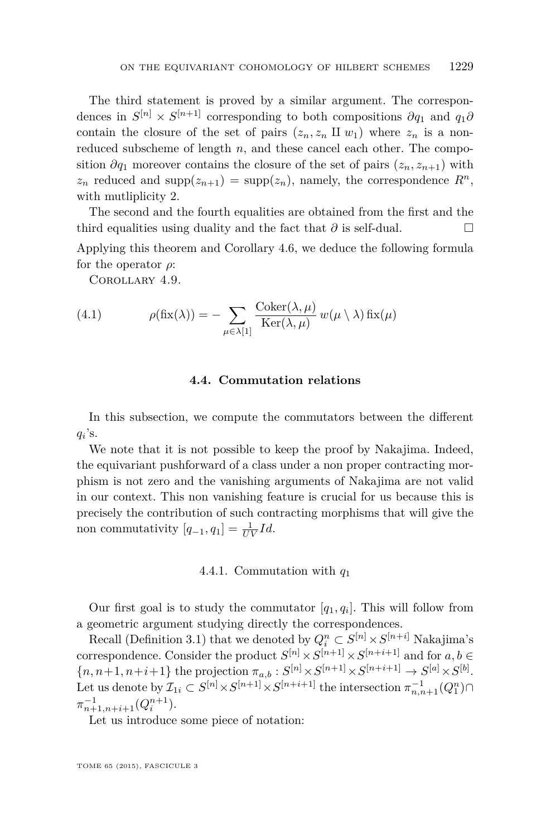The third statement is proved by a similar argument. The correspondences in  $S^{[n]} \times S^{[n+1]}$  corresponding to both compositions  $\partial q_1$  and  $q_1 \partial$ contain the closure of the set of pairs  $(z_n, z_n \amalg w_1)$  where  $z_n$  is a nonreduced subscheme of length *n*, and these cancel each other. The composition  $\partial q_1$  moreover contains the closure of the set of pairs  $(z_n, z_{n+1})$  with  $z_n$  reduced and supp $(z_{n+1})$  = supp $(z_n)$ , namely, the correspondence  $R^n$ , with mutliplicity 2.

The second and the fourth equalities are obtained from the first and the third equalities using duality and the fact that  $\partial$  is self-dual.  $□$ 

Applying this theorem and Corollary [4.6,](#page-27-0) we deduce the following formula for the operator *ρ*:

Corollary 4.9.

(4.1) 
$$
\rho(fix(\lambda)) = -\sum_{\mu \in \lambda[1]} \frac{\text{Coker}(\lambda, \mu)}{\text{Ker}(\lambda, \mu)} w(\mu \setminus \lambda) \text{ fix}(\mu)
$$

### **4.4. Commutation relations**

In this subsection, we compute the commutators between the different  $q_i$ 's.

We note that it is not possible to keep the proof by Nakajima. Indeed, the equivariant pushforward of a class under a non proper contracting morphism is not zero and the vanishing arguments of Nakajima are not valid in our context. This non vanishing feature is crucial for us because this is precisely the contribution of such contracting morphisms that will give the non commutativity  $[q_{-1}, q_1] = \frac{1}{UV}Id$ .

### 4.4.1. Commutation with *q*<sup>1</sup>

Our first goal is to study the commutator  $[q_1, q_i]$ . This will follow from a geometric argument studying directly the correspondences.

Recall (Definition [3.1\)](#page-22-0) that we denoted by  $Q_i^n \subset S^{[n]} \times S^{[n+i]}$  Nakajima's correspondence. Consider the product  $S^{[n]} \times S^{[n+1]} \times S^{[n+i+1]}$  and for  $a, b \in$  $\{n, n+1, n+i+1\}$  the projection  $\pi_{a,b}: S^{[n]} \times S^{[n+1]} \times S^{[n+i+1]} \to S^{[a]} \times S^{[b]}$ . Let us denote by  $\mathcal{I}_{1i} \subset S^{[n]} \times S^{[n+1]} \times S^{[n+i+1]}$  the intersection  $\pi_{n,n+1}^{-1}(Q_1^n) \cap$  $\pi_{n+1,n+i+1}^{-1}(Q_i^{n+1}).$ 

Let us introduce some piece of notation: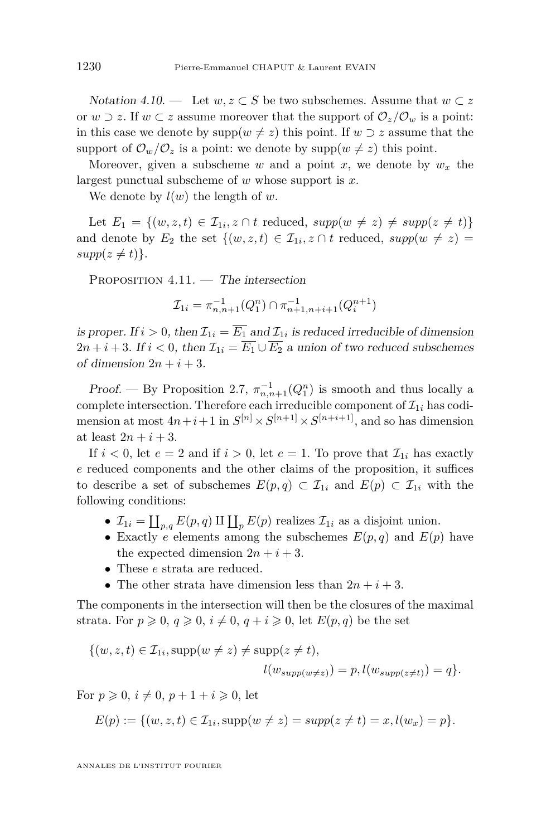<span id="page-30-0"></span>*Notation* 4.10. — Let *w*, *z* ⊂ *S* be two subschemes. Assume that *w* ⊂ *z* or *w*  $\supset$  *z*. If *w*  $\subset$  *z* assume moreover that the support of  $\mathcal{O}_z/\mathcal{O}_w$  is a point: in this case we denote by  $\text{supp}(w \neq z)$  this point. If  $w \supset z$  assume that the support of  $\mathcal{O}_w/\mathcal{O}_z$  is a point: we denote by supp $(w \neq z)$  this point.

Moreover, given a subscheme *w* and a point *x*, we denote by  $w_x$  the largest punctual subscheme of *w* whose support is *x*.

We denote by  $l(w)$  the length of w.

Let  $E_1 = \{(w, z, t) \in \mathcal{I}_{1i}, z \cap t \text{ reduced}, \text{supp}(w \neq z) \neq \text{supp}(z \neq t)\}\$ and denote by  $E_2$  the set  $\{(w, z, t) \in \mathcal{I}_{1i}, z \cap t \text{ reduced}, \text{supp}(w \neq z) =$  $supp(z \neq t)\}.$ 

PROPOSITION  $4.11.$  — The intersection

$$
\mathcal{I}_{1i} = \pi_{n,n+1}^{-1}(Q_1^n) \cap \pi_{n+1,n+i+1}^{-1}(Q_i^{n+1})
$$

is proper. If  $i > 0$ , then  $\mathcal{I}_{1i} = E_1$  and  $\mathcal{I}_{1i}$  is reduced irreducible of dimension  $2n + i + 3$ . If  $i < 0$ , then  $\mathcal{I}_{1i} = \overline{E_1} \cup \overline{E_2}$  a union of two reduced subschemes of dimension  $2n + i + 3$ .

Proof. — By Proposition [2.7,](#page-15-0)  $\pi_{n,n+1}^{-1}(Q_1^n)$  is smooth and thus locally a complete intersection. Therefore each irreducible component of  $\mathcal{I}_{1i}$  has codimension at most  $4n+i+1$  in  $S^{[n]} \times S^{[n+1]} \times S^{[n+i+1]}$ , and so has dimension at least  $2n + i + 3$ .

If  $i < 0$ , let  $e = 2$  and if  $i > 0$ , let  $e = 1$ . To prove that  $\mathcal{I}_{1i}$  has exactly *e* reduced components and the other claims of the proposition, it suffices to describe a set of subschemes  $E(p,q) \subset \mathcal{I}_{1i}$  and  $E(p) \subset \mathcal{I}_{1i}$  with the following conditions:

- $\mathcal{I}_{1i} = \coprod_{p,q} E(p,q) \amalg \coprod_{p} E(p)$  realizes  $\mathcal{I}_{1i}$  as a disjoint union.
- Exactly *e* elements among the subschemes  $E(p,q)$  and  $E(p)$  have the expected dimension  $2n + i + 3$ .
- These *e* strata are reduced.
- The other strata have dimension less than  $2n + i + 3$ .

The components in the intersection will then be the closures of the maximal strata. For  $p \geq 0$ ,  $q \geq 0$ ,  $i \neq 0$ ,  $q + i \geq 0$ , let  $E(p, q)$  be the set

$$
\{(w, z, t) \in \mathcal{I}_{1i}, \text{supp}(w \neq z) \neq \text{supp}(z \neq t),
$$
  

$$
l(w_{supp(w \neq z)}) = p, l(w_{supp(z \neq t)}) = q\}.
$$

For  $p \ge 0$ ,  $i \ne 0$ ,  $p + 1 + i \ge 0$ , let

$$
E(p) := \{ (w, z, t) \in \mathcal{I}_{1i}, \text{supp}(w \neq z) = \text{supp}(z \neq t) = x, l(w_x) = p \}.
$$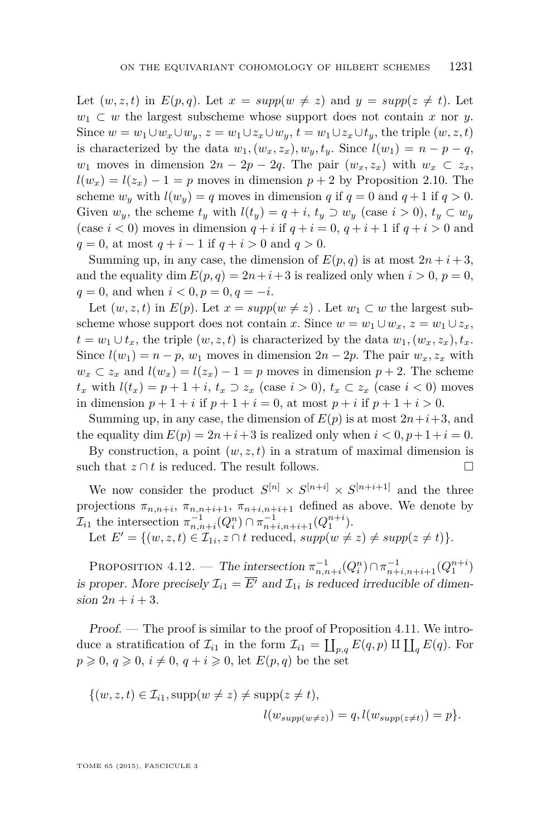<span id="page-31-0"></span>Let  $(w, z, t)$  in  $E(p, q)$ . Let  $x = supp(w \neq z)$  and  $y = supp(z \neq t)$ . Let  $w_1 \subset w$  the largest subscheme whose support does not contain *x* nor *y*. Since  $w = w_1 \cup w_x \cup w_y$ ,  $z = w_1 \cup z_x \cup w_y$ ,  $t = w_1 \cup z_x \cup t_y$ , the triple  $(w, z, t)$ is characterized by the data  $w_1$ ,  $(w_x, z_x)$ ,  $w_y$ ,  $t_y$ . Since  $l(w_1) = n - p - q$ , *w*<sub>1</sub> moves in dimension  $2n - 2p - 2q$ . The pair  $(w_x, z_x)$  with  $w_x \subset z_x$ ,  $l(w_x) = l(z_x) - 1 = p$  moves in dimension  $p + 2$  by Proposition [2.10.](#page-15-0) The scheme  $w_y$  with  $l(w_y) = q$  moves in dimension *q* if  $q = 0$  and  $q + 1$  if  $q > 0$ . Given  $w_y$ , the scheme  $t_y$  with  $l(t_y) = q + i$ ,  $t_y \supset w_y$  (case  $i > 0$ ),  $t_y \subset w_y$ (case  $i < 0$ ) moves in dimension  $q + i$  if  $q + i = 0$ ,  $q + i + 1$  if  $q + i > 0$  and *q* = 0, at most *q* + *i* − 1 if *q* + *i* > 0 and *q* > 0.

Summing up, in any case, the dimension of  $E(p,q)$  is at most  $2n+i+3$ , and the equality dim  $E(p,q) = 2n + i + 3$  is realized only when  $i > 0$ ,  $p = 0$ ,  $q = 0$ , and when  $i < 0, p = 0, q = -i$ .

Let  $(w, z, t)$  in  $E(p)$ . Let  $x = supp(w \neq z)$ . Let  $w_1 \subset w$  the largest subscheme whose support does not contain *x*. Since  $w = w_1 \cup w_x$ ,  $z = w_1 \cup z_x$ , *t* = *w*<sub>1</sub> ∪ *t*<sub>*x*</sub>, the triple  $(w, z, t)$  is characterized by the data  $w_1$ ,  $(w_x, z_x)$ ,  $t_x$ . Since  $l(w_1) = n - p$ ,  $w_1$  moves in dimension  $2n - 2p$ . The pair  $w_x, z_x$  with  $w_x \text{ }\subset z_x$  and  $l(w_x) = l(z_x) - 1 = p$  moves in dimension  $p + 2$ . The scheme *t*<sub>*x*</sub> with  $l(t_x) = p + 1 + i$ ,  $t_x$  ⊃  $z_x$  (case  $i > 0$ ),  $t_x$  ⊂  $z_x$  (case  $i < 0$ ) moves in dimension  $p + 1 + i$  if  $p + 1 + i = 0$ , at most  $p + i$  if  $p + 1 + i > 0$ .

Summing up, in any case, the dimension of  $E(p)$  is at most  $2n+i+3$ , and the equality dim  $E(p) = 2n + i + 3$  is realized only when  $i < 0, p + 1 + i = 0$ .

By construction, a point  $(w, z, t)$  in a stratum of maximal dimension is such that  $z \cap t$  is reduced. The result follows.

We now consider the product  $S^{[n]} \times S^{[n+i]} \times S^{[n+i+1]}$  and the three projections  $\pi_{n,n+i}, \pi_{n,n+i+1}, \pi_{n+i,n+i+1}$  defined as above. We denote by  $\mathcal{I}_{i1}$  the intersection  $\pi_{n,n+i}^{-1}(Q_i^n) \cap \pi_{n+i,n+i+1}^{-1}(Q_1^{n+i}).$ 

Let  $E' = \{(w, z, t) \in \mathcal{I}_{1i}, z \cap t \text{ reduced}, \, supp(w \neq z) \neq supp(z \neq t)\}.$ 

PROPOSITION 4.12. — The intersection  $\pi_{n,n+i}^{-1}(Q_i^n) \cap \pi_{n+i,n+i+1}^{-1}(Q_1^{n+i})$ is proper. More precisely  $\mathcal{I}_{i1} = \overline{E'}$  and  $\mathcal{I}_{1i}$  is reduced irreducible of dimen $sion 2n + i + 3.$ 

Proof. — The proof is similar to the proof of Proposition [4.11.](#page-30-0) We introduce a stratification of  $\mathcal{I}_{i1}$  in the form  $\mathcal{I}_{i1} = \coprod_{p,q} E(q,p) \amalg \coprod_{q} E(q)$ . For  $p \geq 0, q \geq 0, i \neq 0, q + i \geq 0$ , let  $E(p,q)$  be the set

$$
\{(w, z, t) \in \mathcal{I}_{i1}, \text{supp}(w \neq z) \neq \text{supp}(z \neq t),
$$
  

$$
l(w_{supp(w \neq z)}) = q, l(w_{supp(z \neq t)}) = p\}.
$$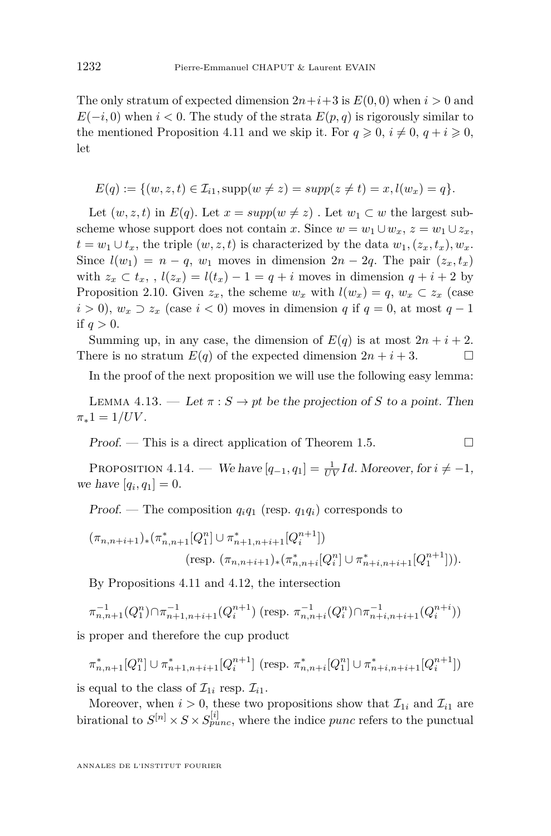<span id="page-32-0"></span>The only stratum of expected dimension  $2n+i+3$  is  $E(0,0)$  when  $i>0$  and  $E(-i,0)$  when  $i < 0$ . The study of the strata  $E(p,q)$  is rigorously similar to the mentioned Proposition [4.11](#page-30-0) and we skip it. For  $q \ge 0$ ,  $i \ne 0$ ,  $q + i \ge 0$ , let

$$
E(q) := \{ (w, z, t) \in \mathcal{I}_{i1}, \text{supp}(w \neq z) = \text{supp}(z \neq t) = x, l(w_x) = q \}.
$$

Let  $(w, z, t)$  in  $E(q)$ . Let  $x = supp(w \neq z)$ . Let  $w_1 \subset w$  the largest subscheme whose support does not contain *x*. Since  $w = w_1 \cup w_x$ ,  $z = w_1 \cup z_x$ , *t* = *w*<sub>1</sub> ∪ *t*<sub>*x*</sub>, the triple  $(w, z, t)$  is characterized by the data  $w_1$ ,  $(z_x, t_x)$ ,  $w_x$ . Since  $l(w_1) = n - q$ ,  $w_1$  moves in dimension  $2n - 2q$ . The pair  $(z_x, t_x)$ with  $z_x \subset t_x$ , ,  $l(z_x) = l(t_x) - 1 = q + i$  moves in dimension  $q + i + 2$  by Proposition [2.10.](#page-15-0) Given  $z_x$ , the scheme  $w_x$  with  $l(w_x) = q$ ,  $w_x \subset z_x$  (case *i* > 0),  $w_x$  ⊃  $z_x$  (case *i* < 0) moves in dimension *q* if  $q = 0$ , at most  $q - 1$ if  $q>0$ .

Summing up, in any case, the dimension of  $E(q)$  is at most  $2n + i + 2$ . There is no stratum  $E(q)$  of the expected dimension  $2n + i + 3$ .

In the proof of the next proposition we will use the following easy lemma:

LEMMA 4.13. — Let  $\pi : S \to pt$  be the projection of *S* to a point. Then  $\pi_*1 = 1/UV$ .

 $Proof.$  — This is a direct application of Theorem [1.5.](#page-8-0)

PROPOSITION 4.14. — We have  $[q_{-1}, q_1] = \frac{1}{UV}Id$ . Moreover, for  $i \neq -1$ , we have  $[q_i, q_1] = 0$ .

Proof. — The composition  $q_iq_1$  (resp.  $q_1q_i$ ) corresponds to

$$
(\pi_{n,n+i+1})_*(\pi_{n,n+1}^*[Q_1^n] \cup \pi_{n+1,n+i+1}^*[Q_i^{n+1}])
$$
  
(resp. 
$$
(\pi_{n,n+i+1})_*(\pi_{n,n+i}^*[Q_i^n] \cup \pi_{n+i,n+i+1}^*[Q_1^{n+1}])).
$$

By Propositions [4.11](#page-30-0) and [4.12,](#page-31-0) the intersection

$$
\pi_{n,n+1}^{-1}(Q_1^n) \cap \pi_{n+1,n+i+1}^{-1}(Q_i^{n+1}) \text{ (resp. } \pi_{n,n+i}^{-1}(Q_i^n) \cap \pi_{n+i,n+i+1}^{-1}(Q_i^{n+i}))
$$

is proper and therefore the cup product

$$
\pi_{n,n+1}^*[Q_1^n] \cup \pi_{n+1,n+i+1}^*[Q_i^{n+1}] \text{ (resp. } \pi_{n,n+i}^*[Q_1^n] \cup \pi_{n+i,n+i+1}^*[Q_i^{n+1}])
$$

is equal to the class of  $\mathcal{I}_{1i}$  resp.  $\mathcal{I}_{i1}$ .

Moreover, when  $i > 0$ , these two propositions show that  $\mathcal{I}_{1i}$  and  $\mathcal{I}_{i1}$  are birational to  $S^{[n]} \times S \times S^{[i]}_{punc}$ , where the indice *punc* refers to the punctual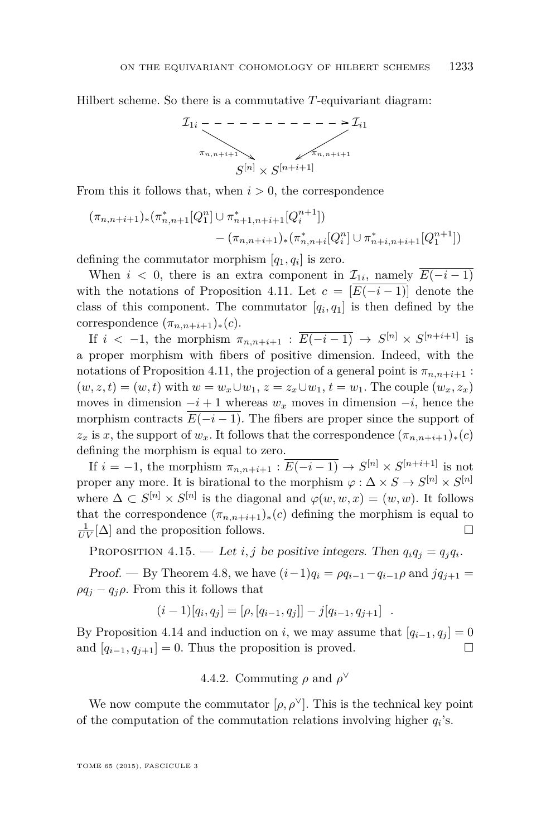<span id="page-33-0"></span>Hilbert scheme. So there is a commutative *T*-equivariant diagram:



From this it follows that, when  $i > 0$ , the correspondence

$$
(\pi_{n,n+i+1})_{*}(\pi_{n,n+1}^{*}[Q_{1}^{n}] \cup \pi_{n+1,n+i+1}^{*}[Q_{i}^{n+1}])
$$

$$
-(\pi_{n,n+i+1})_{*}(\pi_{n,n+i}^{*}[Q_{i}^{n}] \cup \pi_{n+i,n+i+1}^{*}[Q_{1}^{n+1}])
$$

defining the commutator morphism  $[q_1, q_i]$  is zero.

When  $i < 0$ , there is an extra component in  $\mathcal{I}_{1i}$ , namely  $E(-i-1)$ with the notations of Proposition [4.11.](#page-30-0) Let  $c = [E(-i-1)]$  denote the class of this component. The commutator  $[q_i, q_1]$  is then defined by the correspondence  $(\pi_{n,n+i+1})_*(c)$ .

If  $i < -1$ , the morphism  $\pi_{n,n+i+1} : \overline{E(-i-1)} \to S^{[n]} \times S^{[n+i+1]}$  is a proper morphism with fibers of positive dimension. Indeed, with the notations of Proposition [4.11,](#page-30-0) the projection of a general point is  $\pi_{n,n+i+1}$ :  $(w, z, t) = (w, t)$  with  $w = w_x \cup w_1, z = z_x \cup w_1, t = w_1$ . The couple  $(w_x, z_x)$ moves in dimension  $-i+1$  whereas  $w_x$  moves in dimension  $-i$ , hence the morphism contracts  $E(-i-1)$ . The fibers are proper since the support of  $z_x$  is *x*, the support of  $w_x$ . It follows that the correspondence  $(\pi_{n,n+i+1})_*(c)$ defining the morphism is equal to zero.

If  $i = -1$ , the morphism  $\pi_{n,n+i+1} : \overline{E(-i-1)} \to S^{[n]} \times S^{[n+i+1]}$  is not proper any more. It is birational to the morphism  $\varphi : \Delta \times S \to S^{[n]} \times S^{[n]}$ where  $\Delta \subset S^{[n]} \times S^{[n]}$  is the diagonal and  $\varphi(w, w, x) = (w, w)$ . It follows that the correspondence  $(\pi_{n,n+i+1})_*(c)$  defining the morphism is equal to  $\frac{1}{UV}[\Delta]$  and the proposition follows.

PROPOSITION 4.15. — Let *i*, *j* be positive integers. Then  $q_i q_j = q_j q_i$ .

Proof. — By Theorem [4.8,](#page-28-0) we have  $(i-1)q_i = \rho q_{i-1} - q_{i-1}\rho$  and  $jq_{j+1} =$  $\rho q_j - q_j \rho$ . From this it follows that

$$
(i-1)[q_i, q_j] = [\rho, [q_{i-1}, q_j]] - j[q_{i-1}, q_{j+1}] .
$$

By Proposition [4.14](#page-32-0) and induction on *i*, we may assume that  $[q_{i-1}, q_i] = 0$ and  $[q_{i-1}, q_{i+1}] = 0$ . Thus the proposition is proved.

4.4.2. Commuting  $\rho$  and  $\rho^{\vee}$ 

We now compute the commutator  $[\rho, \rho^{\vee}]$ . This is the technical key point of the computation of the commutation relations involving higher *q<sup>i</sup>* 's.

TOME 65 (2015), FASCICULE 3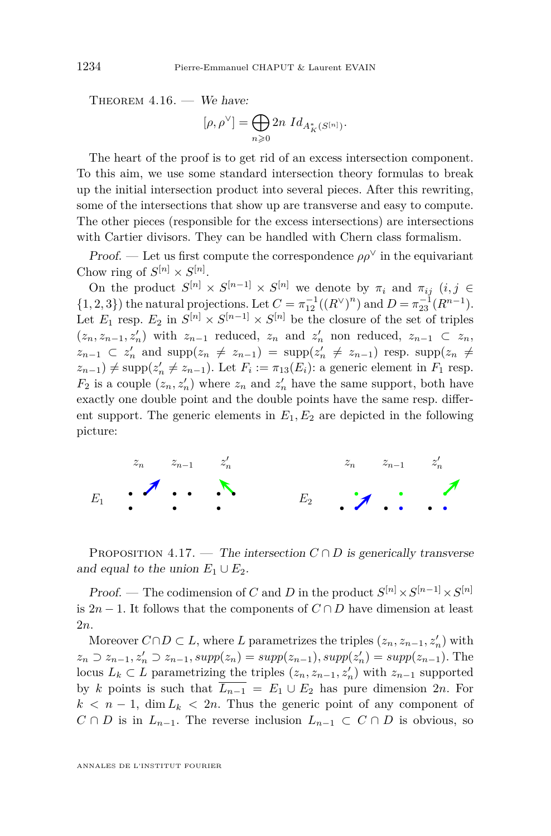<span id="page-34-0"></span>THEOREM  $4.16.$  – We have:

$$
[\rho, \rho^\vee] = \bigoplus_{n \geqslant 0} 2n \; Id_{A_K^*(S^{[n]})}.
$$

The heart of the proof is to get rid of an excess intersection component. To this aim, we use some standard intersection theory formulas to break up the initial intersection product into several pieces. After this rewriting, some of the intersections that show up are transverse and easy to compute. The other pieces (responsible for the excess intersections) are intersections with Cartier divisors. They can be handled with Chern class formalism.

*Proof.* — Let us first compute the correspondence  $\rho \rho^{\vee}$  in the equivariant Chow ring of  $S^{[n]} \times S^{[n]}$ .

On the product  $S^{[n]} \times S^{[n-1]} \times S^{[n]}$  we denote by  $\pi_i$  and  $\pi_{ij}$   $(i, j \in$ {1*,* 2*,* 3}) the natural projections. Let  $C = \pi_{12}^{-1}((R^{\vee})^n)$  and  $D = \pi_{23}^{-1}(R^{n-1})$ . Let  $E_1$  resp.  $E_2$  in  $S^{[n]} \times S^{[n-1]} \times S^{[n]}$  be the closure of the set of triples  $(z_n, z_{n-1}, z'_n)$  with  $z_{n-1}$  reduced,  $z_n$  and  $z'_n$  non reduced,  $z_{n-1} \subset z_n$ ,  $z_{n-1} \subset z_n'$  and  $\text{supp}(z_n \neq z_{n-1}) = \text{supp}(z_n' \neq z_{n-1})$  resp.  $\text{supp}(z_n \neq z_n')$  $(z_{n-1}) \neq \text{supp}(z'_{n} \neq z_{n-1})$ . Let  $F_i := \pi_{13}(E_i)$ : a generic element in  $F_1$  resp.  $F_2$  is a couple  $(z_n, z'_n)$  where  $z_n$  and  $z'_n$  have the same support, both have exactly one double point and the double points have the same resp. different support. The generic elements in  $E_1, E_2$  are depicted in the following picture:



PROPOSITION 4.17. — The intersection  $C \cap D$  is generically transverse and equal to the union  $E_1 \cup E_2$ .

Proof. — The codimension of *C* and *D* in the product  $S^{[n]} \times S^{[n-1]} \times S^{[n]}$ is  $2n-1$ . It follows that the components of  $C \cap D$  have dimension at least 2*n*.

Moreover  $C \cap D \subset L$ , where *L* parametrizes the triples  $(z_n, z_{n-1}, z'_n)$  with  $z_n \supset z_{n-1}, z'_n \supset z_{n-1}, supp(z_n) = supp(z_{n-1}), supp(z'_n) = supp(z_{n-1}).$  The locus  $L_k \subset L$  parametrizing the triples  $(z_n, z_{n-1}, z'_n)$  with  $z_{n-1}$  supported by *k* points is such that  $\overline{L_{n-1}} = E_1 \cup E_2$  has pure dimension 2*n*. For  $k < n-1$ , dim  $L_k < 2n$ . Thus the generic point of any component of  $C \cap D$  is in  $L_{n-1}$ . The reverse inclusion  $L_{n-1} \subset C \cap D$  is obvious, so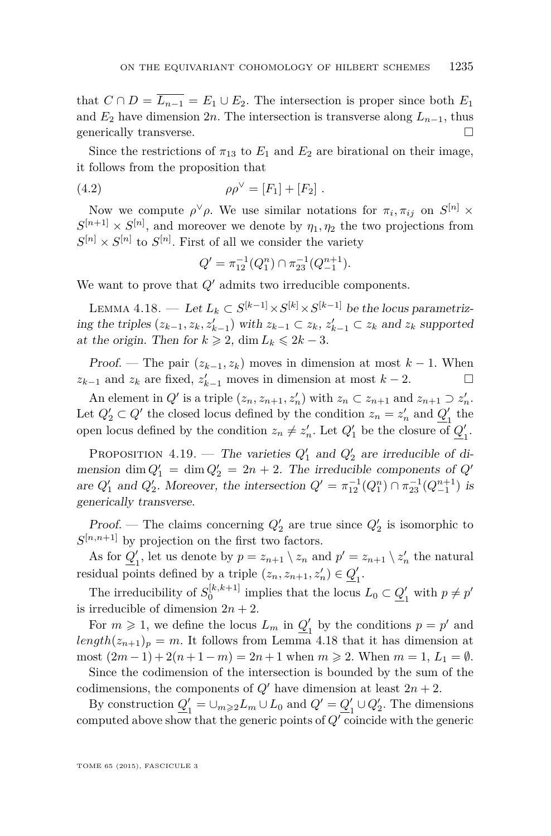<span id="page-35-0"></span>that  $C \cap D = \overline{L_{n-1}} = E_1 \cup E_2$ . The intersection is proper since both  $E_1$ and  $E_2$  have dimension 2*n*. The intersection is transverse along  $L_{n-1}$ , thus generically transverse.  $\hfill \square$ 

Since the restrictions of  $\pi_{13}$  to  $E_1$  and  $E_2$  are birational on their image, it follows from the proposition that

(4.2) 
$$
\rho \rho^{\vee} = [F_1] + [F_2].
$$

Now we compute  $\rho^{\vee}\rho$ . We use similar notations for  $\pi_i, \pi_{ij}$  on  $S^{[n]} \times$  $S^{[n+1]} \times S^{[n]}$ , and moreover we denote by  $\eta_1, \eta_2$  the two projections from  $S^{[n]} \times S^{[n]}$  to  $S^{[n]}$ . First of all we consider the variety

$$
Q' = \pi_{12}^{-1}(Q_1^n) \cap \pi_{23}^{-1}(Q_{-1}^{n+1}).
$$

We want to prove that  $Q'$  admits two irreducible components.

LEMMA 4.18. — Let  $L_k \subset S^{[k-1]} \times S^{[k]} \times S^{[k-1]}$  be the locus parametrizing the triples  $(z_{k-1}, z_k, z'_{k-1})$  with  $z_{k-1} \subset z_k$ ,  $z'_{k-1} \subset z_k$  and  $z_k$  supported at the origin. Then for  $k \geq 2$ , dim  $L_k \leq 2k - 3$ .

Proof. — The pair  $(z_{k-1}, z_k)$  moves in dimension at most  $k-1$ . When *z*<sub>*k*−1</sub> and *z*<sub>*k*</sub> are fixed,  $z'_{k-1}$  moves in dimension at most  $k-2$ .  $\Box$ 

An element in  $Q'$  is a triple  $(z_n, z_{n+1}, z'_n)$  with  $z_n \subset z_{n+1}$  and  $z_{n+1} \supset z'_n$ . Let  $Q'_2 \subset Q'$  the closed locus defined by the condition  $z_n = z'_n$  and  $Q'_1$  $\frac{1}{1}$  the open locus defined by the condition  $z_n \neq z'_n$ . Let  $Q'_1$  be the closure of  $Q'_1$  $\frac{1}{1}$ .

PROPOSITION 4.19. — The varieties  $Q'_1$  and  $Q'_2$  are irreducible of dimension dim  $Q'_1 = \dim Q'_2 = 2n + 2$ . The irreducible components of  $Q'$ are  $Q'_1$  and  $Q'_2$ . Moreover, the intersection  $Q' = \pi_{12}^{-1}(Q_1^n) \cap \pi_{23}^{-1}(Q_{-1}^{n+1})$  is generically transverse.

Proof. — The claims concerning  $Q'_2$  are true since  $Q'_2$  is isomorphic to  $S^{[n,n+1]}$  by projection on the first two factors.

As for  $Q_1'$ , let us denote by  $p = z_{n+1} \setminus z_n$  and  $p' = z_{n+1} \setminus z'_n$  the natural residual points defined by a triple  $(z_n, z_{n+1}, z'_n) \in \mathcal{Q}'_1$ . 1

The irreducibility of  $S_0^{[k,k+1]}$  implies that the locus  $L_0 \subset \mathcal{Q}'_1$  $y'_1$  with  $p \neq p'$ is irreducible of dimension  $2n + 2$ .

For  $m \geq 1$ , we define the locus  $L_m$  in  $Q_1'$  $p' = p'$  and  $length(z_{n+1})_p = m$ . It follows from Lemma 4.18 that it has dimension at most  $(2m-1) + 2(n+1-m) = 2n+1$  when  $m ≥ 2$ . When  $m = 1, L_1 = ∅$ .

Since the codimension of the intersection is bounded by the sum of the codimensions, the components of  $Q'$  have dimension at least  $2n + 2$ .

By construction  $Q_1'$  $\frac{1}{1}$  = ∪<sub>*m*≥2</sub>*L*<sub>*m*</sub> ∪ *L*<sub>0</sub> and  $Q' = Q'$ <sub>1</sub>  $\frac{1}{1} \cup Q_2'$ . The dimensions computed above show that the generic points of  $Q'$  coincide with the generic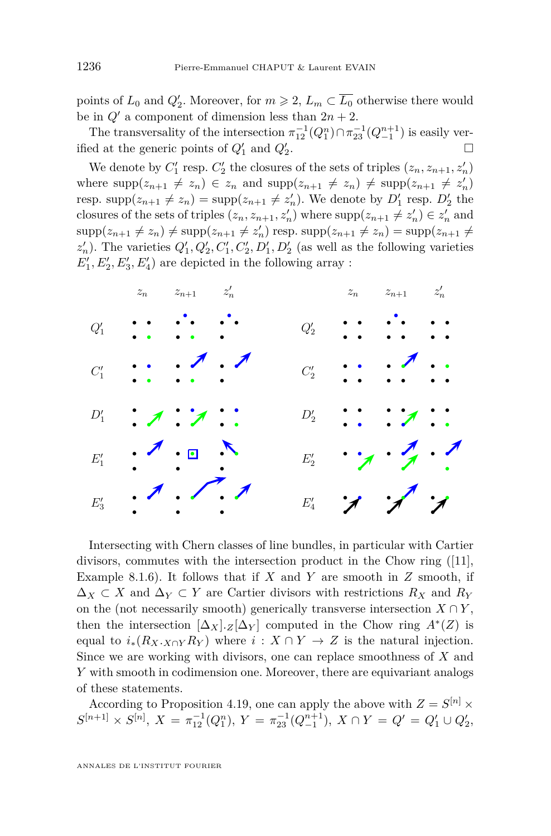points of  $L_0$  and  $Q'_2$ . Moreover, for  $m \ge 2$ ,  $L_m \subset \overline{L_0}$  otherwise there would be in  $Q'$  a component of dimension less than  $2n + 2$ .

The transversality of the intersection  $\pi_{12}^{-1}(Q_1^n) \cap \pi_{23}^{-1}(Q_{-1}^{n+1})$  is easily verified at the generic points of  $Q'_1$  and  $Q'_2$ .

We denote by  $C'_1$  resp.  $C'_2$  the closures of the sets of triples  $(z_n, z_{n+1}, z'_n)$ where  $\text{supp}(z_{n+1} \neq z_n) \in z_n$  and  $\text{supp}(z_{n+1} \neq z_n) \neq \text{supp}(z_{n+1} \neq z'_n)$ resp.  $\text{supp}(z_{n+1} \neq z_n) = \text{supp}(z_{n+1} \neq z'_n)$ . We denote by  $D'_1$  resp.  $D'_2$  the closures of the sets of triples  $(z_n, z_{n+1}, z'_n)$  where  $\text{supp}(z_{n+1} \neq z'_n) \in z'_n$  and  $\supp(z_{n+1} \neq z_n) \neq \supp(z_{n+1} \neq z'_n)$  resp.  $\supp(z_{n+1} \neq z_n) = \supp(z_{n+1} \neq z_n)$  $z_n'$ ). The varieties  $Q_1', Q_2', C_1', C_2', D_1', D_2'$  (as well as the following varieties  $E_1', E_2', E_3', E_4'$  are depicted in the following array :



Intersecting with Chern classes of line bundles, in particular with Cartier divisors, commutes with the intersection product in the Chow ring ([\[11\]](#page-50-0), Example 8.1.6). It follows that if *X* and *Y* are smooth in *Z* smooth, if  $\Delta_X \subset X$  and  $\Delta_Y \subset Y$  are Cartier divisors with restrictions  $R_X$  and  $R_Y$ on the (not necessarily smooth) generically transverse intersection  $X \cap Y$ , then the intersection  $[\Delta_X] \cdot Z[\Delta_Y]$  computed in the Chow ring  $A^*(Z)$  is equal to  $i_*(R_X \cdot X \cap Y \cap Y \to Z$  is the natural injection. Since we are working with divisors, one can replace smoothness of *X* and *Y* with smooth in codimension one. Moreover, there are equivariant analogs of these statements.

According to Proposition [4.19,](#page-35-0) one can apply the above with  $Z = S^{[n]} \times$  $S^{[n+1]} \times S^{[n]}$ ,  $X = \pi_{12}^{-1}(Q_1^n)$ ,  $Y = \pi_{23}^{-1}(Q_{-1}^{n+1})$ ,  $X \cap Y = Q' = Q'_1 \cup Q'_2$ ,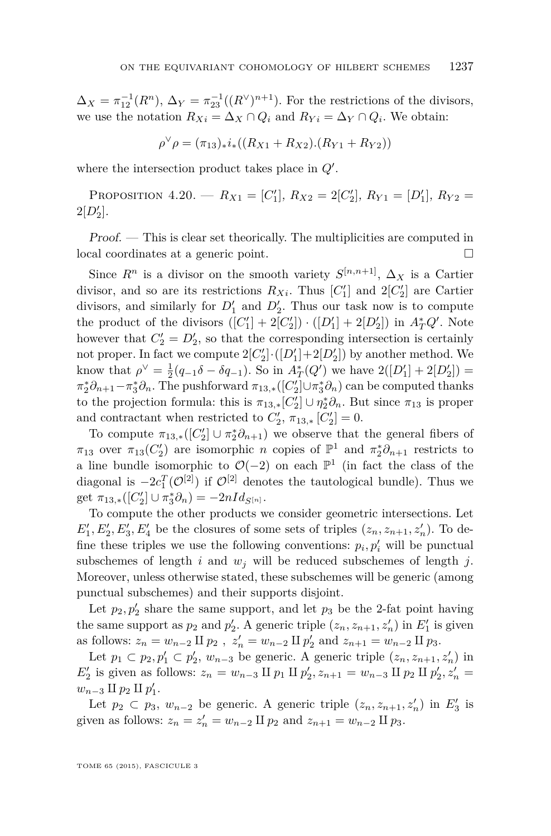$\Delta_X = \pi_{12}^{-1}(R^n)$ ,  $\Delta_Y = \pi_{23}^{-1}((R^{\vee})^{n+1})$ . For the restrictions of the divisors, we use the notation  $R_{Xi} = \Delta_X \cap Q_i$  and  $R_{Y_i} = \Delta_Y \cap Q_i$ . We obtain:

$$
\rho^{\vee}\rho = (\pi_{13})_*i_*((R_{X1} + R_{X2}).(R_{Y1} + R_{Y2}))
$$

where the intersection product takes place in  $Q'$ .

PROPOSITION 4.20. —  $R_{X1} = [C'_1], R_{X2} = 2[C'_2], R_{Y1} = [D'_1], R_{Y2} =$  $2[D'_2]$ .

Proof. — This is clear set theorically. The multiplicities are computed in local coordinates at a generic point.

Since  $R^n$  is a divisor on the smooth variety  $S^{[n,n+1]}$ ,  $\Delta_X$  is a Cartier divisor, and so are its restrictions  $R_{Xi}$ . Thus  $[C'_{1}]$  and  $2[C'_{2}]$  are Cartier divisors, and similarly for  $D'_1$  and  $D'_2$ . Thus our task now is to compute the product of the divisors  $([C_1'] + 2[C_2']) \cdot ([D_1'] + 2[D_2'])$  in  $A_T^*Q'$ . Note however that  $C_2' = D_2'$ , so that the corresponding intersection is certainly not proper. In fact we compute  $2[C_2'] \cdot ([D_1'] + 2[D_2'])$  by another method. We know that  $\rho^{\vee} = \frac{1}{2}(q_{-1}\delta - \delta q_{-1})$ . So in  $A_T^*(Q')$  we have  $2([D'_1] + 2[D'_2]) =$  $\pi_2^*\partial_{n+1} - \pi_3^*\partial_n$ . The pushforward  $\pi_{13,*}([C_2'] \cup \pi_3^*\partial_n)$  can be computed thanks to the projection formula: this is  $\pi_{13,*}[C_2'] \cup \eta_2^* \partial_n$ . But since  $\pi_{13}$  is proper and contractant when restricted to  $C_2'$ ,  $\pi_{13,*}$   $[C_2'] = 0$ .

To compute  $\pi_{13,*}([C_2] \cup \pi_2^*\partial_{n+1})$  we observe that the general fibers of *π*<sub>13</sub> over *π*<sub>13</sub>(*C*<sup>'</sup><sub>2</sub>) are isomorphic *n* copies of  $\mathbb{P}$ <sup>1</sup> and  $\pi_2^* \partial_{n+1}$  restricts to a line bundle isomorphic to  $\mathcal{O}(-2)$  on each  $\mathbb{P}^1$  (in fact the class of the diagonal is  $-2c_1^T(\mathcal{O}^{[2]})$  if  $\mathcal{O}^{[2]}$  denotes the tautological bundle). Thus we get  $\pi_{13,*}([C_2'] \cup \pi_3^* \partial_n) = -2nId_{S^{[n]}}.$ 

To compute the other products we consider geometric intersections. Let  $E_1', E_2', E_3', E_4'$  be the closures of some sets of triples  $(z_n, z_{n+1}, z_n')$ . To define these triples we use the following conventions:  $p_i, p'_i$  will be punctual subschemes of length  $i$  and  $w_j$  will be reduced subschemes of length  $j$ . Moreover, unless otherwise stated, these subschemes will be generic (among punctual subschemes) and their supports disjoint.

Let  $p_2, p'_2$  share the same support, and let  $p_3$  be the 2-fat point having the same support as  $p_2$  and  $p'_2$ . A generic triple  $(z_n, z_{n+1}, z'_n)$  in  $E'_1$  is given as follows:  $z_n = w_{n-2} \amalg p_2$ ,  $z'_n = w_{n-2} \amalg p'_2$  and  $z_{n+1} = w_{n-2} \amalg p_3$ .

Let  $p_1 \subset p_2, p'_1 \subset p'_2, w_{n-3}$  be generic. A generic triple  $(z_n, z_{n+1}, z'_n)$  in  $E_2'$  is given as follows:  $z_n = w_{n-3}$  II  $p_1$  II  $p_2'$ ,  $z_{n+1} = w_{n-3}$  II  $p_2$  II  $p_2'$ ,  $z_n' =$  $w_{n-3} \amalg p_2 \amalg p'_1$ .

Let  $p_2 \subset p_3$ ,  $w_{n-2}$  be generic. A generic triple  $(z_n, z_{n+1}, z'_n)$  in  $E'_3$  is given as follows:  $z_n = z'_n = w_{n-2} \amalg p_2$  and  $z_{n+1} = w_{n-2} \amalg p_3$ .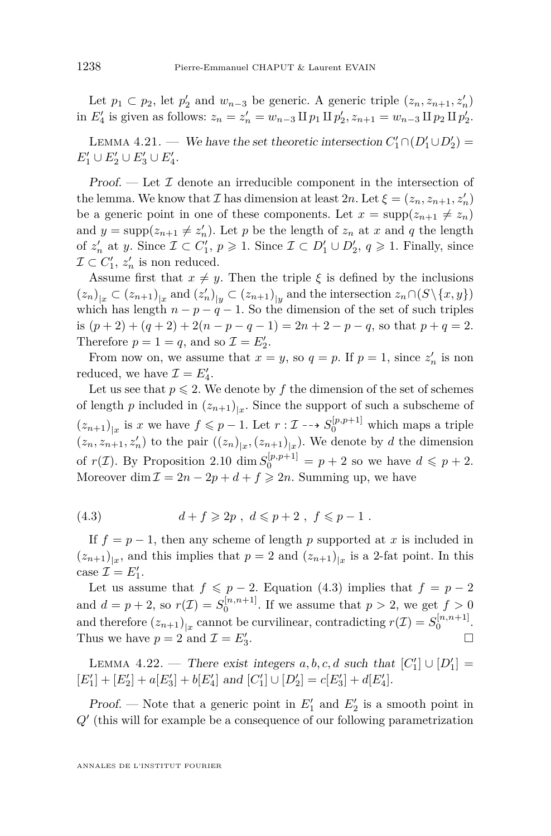<span id="page-38-0"></span>Let  $p_1 \subset p_2$ , let  $p'_2$  and  $w_{n-3}$  be generic. A generic triple  $(z_n, z_{n+1}, z'_n)$ in  $E_4'$  is given as follows:  $z_n = z_n' = w_{n-3} \amalg p_1 \amalg p_2', z_{n+1} = w_{n-3} \amalg p_2 \amalg p_2'.$ 

LEMMA 4.21. — We have the set theoretic intersection  $C'_1 \cap (D'_1 \cup D'_2)$  =  $E_1' \cup E_2' \cup E_3' \cup E_4'.$ 

Proof.  $\mathcal{I}$  Let  $\mathcal{I}$  denote an irreducible component in the intersection of the lemma. We know that  $\mathcal{I}$  has dimension at least  $2n$ . Let  $\xi = (z_n, z_{n+1}, z'_n)$ be a generic point in one of these components. Let  $x = \text{supp}(z_{n+1} \neq z_n)$ and  $y = \text{supp}(z_{n+1} \neq z'_n)$ . Let *p* be the length of  $z_n$  at *x* and *q* the length of  $z'_n$  at *y*. Since  $\mathcal{I} \subset C'_1$ ,  $p \geqslant 1$ . Since  $\mathcal{I} \subset D'_1 \cup D'_2$ ,  $q \geqslant 1$ . Finally, since  $\mathcal{I} \subset C'_1$ ,  $z'_n$  is non reduced.

Assume first that  $x \neq y$ . Then the triple  $\xi$  is defined by the inclusions  $(z_n)_{|x} \subset (z_{n+1})_{|x}$  and  $(z'_n)_{|y} \subset (z_{n+1})_{|y}$  and the intersection  $z_n \cap (S \setminus \{x, y\})$ which has length  $n - p - q - 1$ . So the dimension of the set of such triples is  $(p+2) + (q+2) + 2(n-p-q-1) = 2n+2-p-q$ , so that  $p+q = 2$ . Therefore  $p = 1 = q$ , and so  $\mathcal{I} = E'_2$ .

From now on, we assume that  $x = y$ , so  $q = p$ . If  $p = 1$ , since  $z'_n$  is non reduced, we have  $\mathcal{I} = E'_4$ .

Let us see that  $p \le 2$ . We denote by  $f$  the dimension of the set of schemes of length *p* included in  $(z_{n+1})_{|x}$ . Since the support of such a subscheme of  $(z_{n+1})_{|x}$  is *x* we have  $f \leq p-1$ . Let  $r : \mathcal{I} \dashrightarrow S_0^{[p,p+1]}$  which maps a triple  $(z_n, z_{n+1}, z'_n)$  to the pair  $((z_n)_{|x}, (z_{n+1})_{|x})$ . We denote by *d* the dimension of  $r(\mathcal{I})$ . By Proposition [2.10](#page-15-0) dim  $S_0^{[p,p+1]} = p+2$  so we have  $d \leqslant p+2$ . Moreover dim  $\mathcal{I} = 2n - 2p + d + f \geq 2n$ . Summing up, we have

(4.3) 
$$
d + f \geq 2p, \ d \leq p + 2, \ f \leq p - 1.
$$

If  $f = p - 1$ , then any scheme of length p supported at x is included in  $(z_{n+1})_{|x}$ , and this implies that  $p = 2$  and  $(z_{n+1})_{|x}$  is a 2-fat point. In this case  $\mathcal{I} = E'_1$ .

Let us assume that  $f \leq p-2$ . Equation (4.3) implies that  $f = p-2$ and  $d = p + 2$ , so  $r(\mathcal{I}) = S_0^{[n, n+1]}$ . If we assume that  $p > 2$ , we get  $f > 0$ and therefore  $(z_{n+1})_{|x}$  cannot be curvilinear, contradicting  $r(\mathcal{I}) = S_0^{[n,n+1]}$ . Thus we have  $p = 2$  and  $\mathcal{I} = E'_3$ .

LEMMA 4.22. — There exist integers  $a, b, c, d$  such that  $[C'_1] \cup [D'_1]$  =  $[E'_1] + [E'_2] + a[E'_3] + b[E'_4]$  and  $[C'_1] \cup [D'_2] = c[E'_3] + d[E'_4]$ .

*Proof.* — Note that a generic point in  $E'_1$  and  $E'_2$  is a smooth point in  $Q'$  (this will for example be a consequence of our following parametrization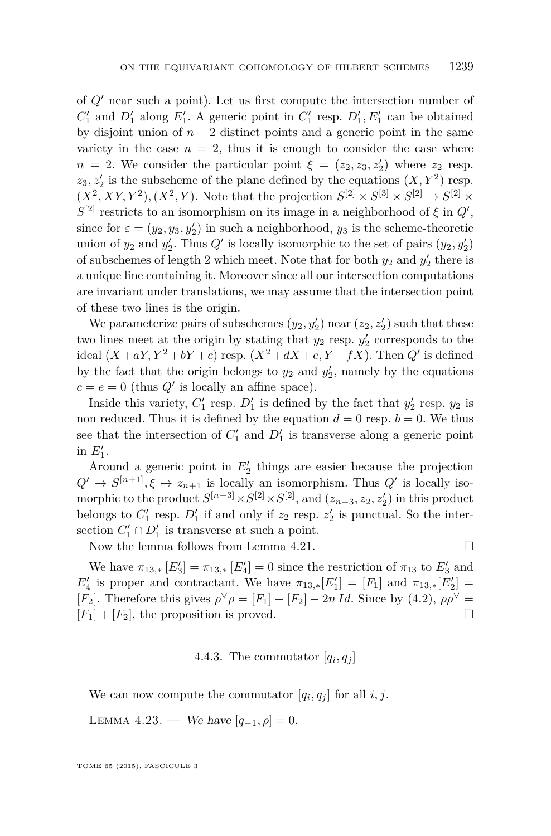<span id="page-39-0"></span>of *Q*<sup>0</sup> near such a point). Let us first compute the intersection number of  $C_1'$  and  $D_1'$  along  $E_1'$ . A generic point in  $C_1'$  resp.  $D_1', E_1'$  can be obtained by disjoint union of  $n-2$  distinct points and a generic point in the same variety in the case  $n = 2$ , thus it is enough to consider the case where *n* = 2. We consider the particular point  $\xi = (z_2, z_3, z_2')$  where  $z_2$  resp.  $z_3, z'_2$  is the subscheme of the plane defined by the equations  $(X, Y^2)$  resp.  $(X^2, XY, Y^2), (X^2, Y)$ . Note that the projection  $S^{[2]} \times S^{[3]} \times S^{[2]} \rightarrow S^{[2]} \times$  $S^{[2]}$  restricts to an isomorphism on its image in a neighborhood of  $\xi$  in  $Q'$ , since for  $\varepsilon = (y_2, y_3, y_2')$  in such a neighborhood,  $y_3$  is the scheme-theoretic union of  $y_2$  and  $y'_2$ . Thus  $Q'$  is locally isomorphic to the set of pairs  $(y_2, y'_2)$ of subschemes of length 2 which meet. Note that for both  $y_2$  and  $y_2'$  there is a unique line containing it. Moreover since all our intersection computations are invariant under translations, we may assume that the intersection point of these two lines is the origin.

We parameterize pairs of subschemes  $(y_2, y_2')$  near  $(z_2, z_2')$  such that these two lines meet at the origin by stating that  $y_2$  resp.  $y'_2$  corresponds to the ideal  $(X+aY, Y^2+bY+c)$  resp.  $(X^2+dX+e, Y+fX)$ . Then  $Q'$  is defined by the fact that the origin belongs to  $y_2$  and  $y'_2$ , namely by the equations  $c = e = 0$  (thus  $Q'$  is locally an affine space).

Inside this variety,  $C_1'$  resp.  $D_1'$  is defined by the fact that  $y_2'$  resp.  $y_2$  is non reduced. Thus it is defined by the equation  $d = 0$  resp.  $b = 0$ . We thus see that the intersection of  $C_1'$  and  $D_1'$  is transverse along a generic point in  $E'_1$ .

Around a generic point in  $E_2'$  things are easier because the projection  $Q' \rightarrow S^{[n+1]}, \xi \mapsto z_{n+1}$  is locally an isomorphism. Thus  $Q'$  is locally isomorphic to the product  $S^{[n-3]} \times S^{[2]} \times S^{[2]}$ , and  $(z_{n-3}, z_2, z'_2)$  in this product belongs to  $C_1'$  resp.  $D_1'$  if and only if  $z_2$  resp.  $z_2'$  is punctual. So the intersection  $C'_1 \cap D'_1$  is transverse at such a point.

Now the lemma follows from Lemma [4.21.](#page-38-0)  $\Box$ 

We have  $\pi_{13,*} [E_3'] = \pi_{13,*} [E_4'] = 0$  since the restriction of  $\pi_{13}$  to  $E_3'$  and *E*<sup> $\ell_4$ </sup> is proper and contractant. We have  $\pi_{13,*}[E_1'] = [F_1]$  and  $\pi_{13,*}[E_2'] =$ [*F*<sub>2</sub>]. Therefore this gives  $\rho^{\vee}\rho = [F_1] + [F_2] - 2n \, Id$ . Since by [\(4.2\)](#page-35-0),  $\rho \rho^{\vee} =$  $[F_1] + [F_2]$ , the proposition is proved.

### 4.4.3. The commutator  $[q_i, q_j]$

We can now compute the commutator  $[q_i, q_j]$  for all  $i, j$ .

LEMMA 4.23. — We have  $[q_{-1}, \rho] = 0$ .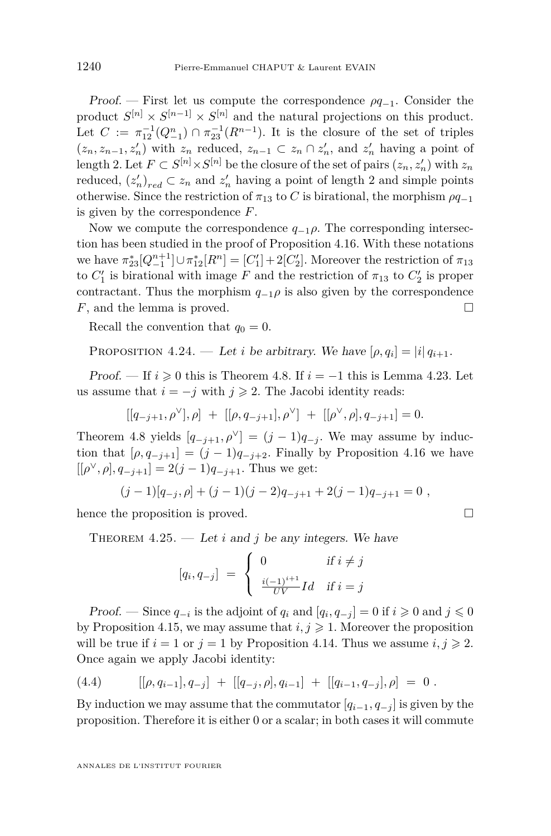<span id="page-40-0"></span>Proof. — First let us compute the correspondence *ρq*−1. Consider the product  $S^{[n]} \times S^{[n-1]} \times S^{[n]}$  and the natural projections on this product. Let  $C := \pi_{12}^{-1}(Q_{-1}^n) \cap \pi_{23}^{-1}(R^{n-1})$ . It is the closure of the set of triples  $(z_n, z_{n-1}, z'_n)$  with  $z_n$  reduced,  $z_{n-1} \subset z_n \cap z'_n$ , and  $z'_n$  having a point of length 2. Let  $F \subset S^{[n]} \times S^{[n]}$  be the closure of the set of pairs  $(z_n, z'_n)$  with  $z_n$ reduced,  $(z'_n)_{red} \subset z_n$  and  $z'_n$  having a point of length 2 and simple points otherwise. Since the restriction of  $\pi_{13}$  to *C* is birational, the morphism  $\rho q_{-1}$ is given by the correspondence *F*.

Now we compute the correspondence  $q_{-1}\rho$ . The corresponding intersection has been studied in the proof of Proposition [4.16.](#page-34-0) With these notations we have  $\pi_{23}^* [Q_{-1}^{n+1}] \cup \pi_{12}^* [R^n] = [C'_1] + 2[C'_2]$ . Moreover the restriction of  $\pi_{13}$ to  $C'_{1}$  is birational with image  $F$  and the restriction of  $\pi_{13}$  to  $C'_{2}$  is proper contractant. Thus the morphism  $q_{-1}\rho$  is also given by the correspondence *F*, and the lemma is proved. □

Recall the convention that  $q_0 = 0$ .

PROPOSITION 4.24. — Let *i* be arbitrary. We have  $[\rho, q_i] = |i| q_{i+1}$ .

Proof. — If  $i \geq 0$  this is Theorem [4.8.](#page-28-0) If  $i = -1$  this is Lemma [4.23.](#page-39-0) Let us assume that  $i = -j$  with  $j \ge 2$ . The Jacobi identity reads:

$$
[[q_{-j+1}, \rho^{\vee}], \rho] + [[\rho, q_{-j+1}], \rho^{\vee}] + [[\rho^{\vee}, \rho], q_{-j+1}] = 0.
$$

Theorem [4.8](#page-28-0) yields  $[q_{-j+1}, \rho^{\vee}] = (j-1)q_{-j}$ . We may assume by induction that  $[\rho, q_{-j+1}] = (j-1)q_{-j+2}$ . Finally by Proposition [4.16](#page-34-0) we have  $[[\rho^\vee, \rho], q_{-j+1}] = 2(j-1)q_{-j+1}$ . Thus we get:

$$
(j-1)[q_{-j},\rho] + (j-1)(j-2)q_{-j+1} + 2(j-1)q_{-j+1} = 0,
$$

hence the proposition is proved.

THEOREM  $4.25.$  — Let *i* and *j* be any integers. We have

$$
[q_i, q_{-j}] = \begin{cases} 0 & \text{if } i \neq j \\ \frac{i(-1)^{i+1}}{UV}Id & \text{if } i = j \end{cases}
$$

Proof. — Since  $q_{-i}$  is the adjoint of  $q_i$  and  $[q_i, q_{-j}] = 0$  if  $i \ge 0$  and  $j \le 0$ by Proposition [4.15,](#page-33-0) we may assume that  $i, j \geq 1$ . Moreover the proposition will be true if  $i = 1$  or  $j = 1$  by Proposition [4.14.](#page-32-0) Thus we assume  $i, j \ge 2$ . Once again we apply Jacobi identity:

(4.4) 
$$
[[\rho, q_{i-1}], q_{-j}] + [[q_{-j}, \rho], q_{i-1}] + [[q_{i-1}, q_{-j}], \rho] = 0.
$$

By induction we may assume that the commutator  $[q_{i-1}, q_{-i}]$  is given by the proposition. Therefore it is either 0 or a scalar; in both cases it will commute

$$
\Box
$$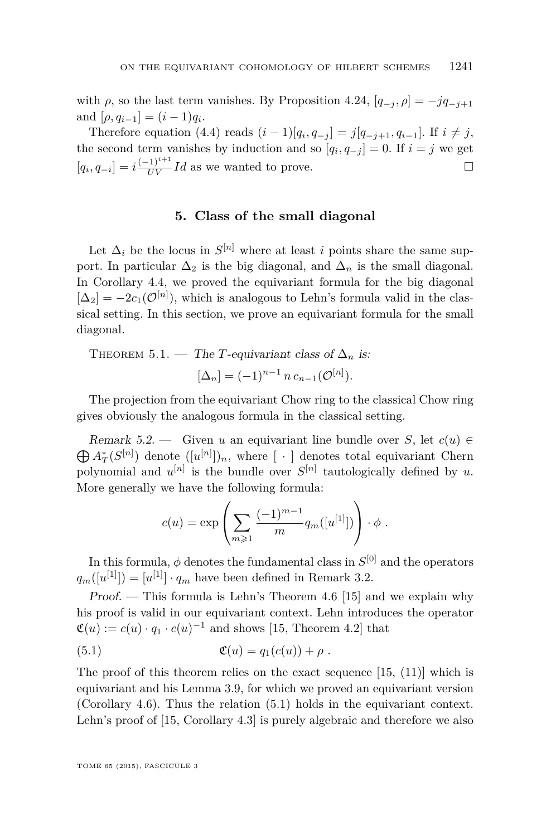<span id="page-41-0"></span>with  $\rho$ , so the last term vanishes. By Proposition [4.24,](#page-40-0)  $[q_{-i}, \rho] = -jq_{-i+1}$ and  $[\rho, q_{i-1}] = (i-1)q_i$ .

Therefore equation [\(4.4\)](#page-40-0) reads  $(i-1)[q_i, q_{-j}] = j[q_{-j+1}, q_{i-1}]$ . If  $i \neq j$ , the second term vanishes by induction and so  $[q_i, q_{-j}] = 0$ . If  $i = j$  we get  $[q_i, q_{-i}] = i \frac{(-1)^{i+1}}{UV} Id$  as we wanted to prove.

### **5. Class of the small diagonal**

Let  $\Delta_i$  be the locus in  $S^{[n]}$  where at least *i* points share the same support. In particular  $\Delta_2$  is the big diagonal, and  $\Delta_n$  is the small diagonal. In Corollary [4.4,](#page-27-0) we proved the equivariant formula for the big diagonal  $[\Delta_2] = -2c_1(\mathcal{O}^{[n]})$ , which is analogous to Lehn's formula valid in the classical setting. In this section, we prove an equivariant formula for the small diagonal.

THEOREM 5.1. — The *T*-equivariant class of  $\Delta_n$  is:  $[\Delta_n] = (-1)^{n-1} n c_{n-1}(\mathcal{O}^{[n]}).$ 

The projection from the equivariant Chow ring to the classical Chow ring gives obviously the analogous formula in the classical setting.

 $\bigoplus A^*_T(S^{[n]})$  denote  $([u^{[n]}])_n$ , where  $[\cdot]$  denotes total equivariant Chern Remark 5.2. — Given *u* an equivariant line bundle over *S*, let  $c(u) \in$ polynomial and  $u^{[n]}$  is the bundle over  $S^{[n]}$  tautologically defined by *u*. More generally we have the following formula:

$$
c(u) = \exp \left( \sum_{m \geq 1} \frac{(-1)^{m-1}}{m} q_m([u^{[1]}]) \right) \cdot \phi.
$$

In this formula,  $\phi$  denotes the fundamental class in  $S^{[0]}$  and the operators  $q_m([u^{[1]}]) = [u^{[1]}] \cdot q_m$  have been defined in Remark [3.2.](#page-22-0)

Proof. — This formula is Lehn's Theorem 4.6 [\[15\]](#page-50-0) and we explain why his proof is valid in our equivariant context. Lehn introduces the operator  $\mathfrak{C}(u) := c(u) \cdot q_1 \cdot c(u)^{-1}$  and shows [\[15,](#page-50-0) Theorem 4.2] that

$$
(5.1) \qquad \qquad \mathfrak{C}(u) = q_1(c(u)) + \rho .
$$

The proof of this theorem relies on the exact sequence [\[15,](#page-50-0) (11)] which is equivariant and his Lemma 3.9, for which we proved an equivariant version (Corollary [4.6\)](#page-27-0). Thus the relation (5.1) holds in the equivariant context. Lehn's proof of [\[15,](#page-50-0) Corollary 4.3] is purely algebraic and therefore we also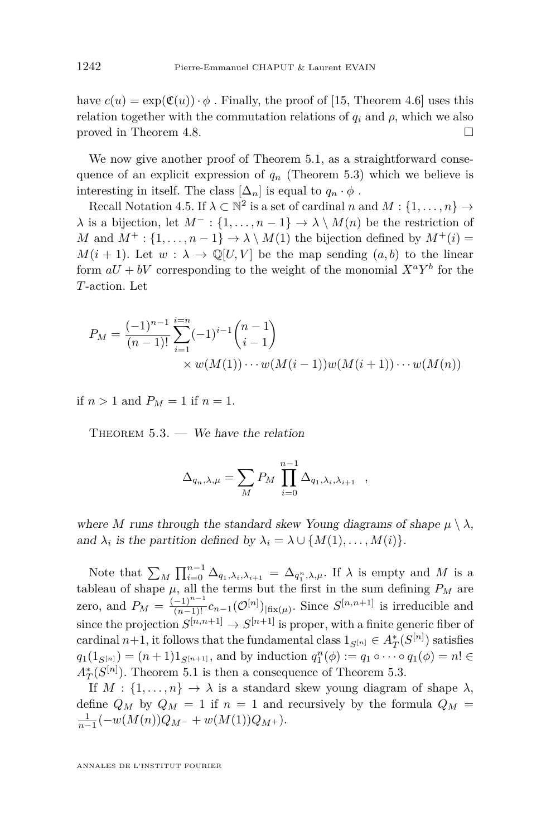<span id="page-42-0"></span>have  $c(u) = \exp(\mathfrak{C}(u)) \cdot \phi$ . Finally, the proof of [\[15,](#page-50-0) Theorem 4.6] uses this relation together with the commutation relations of  $q_i$  and  $\rho$ , which we also proved in Theorem [4.8.](#page-28-0)

We now give another proof of Theorem [5.1,](#page-41-0) as a straightforward consequence of an explicit expression of  $q_n$  (Theorem 5.3) which we believe is interesting in itself. The class  $[\Delta_n]$  is equal to  $q_n \cdot \phi$ .

Recall Notation [4.5.](#page-27-0) If  $\lambda \subset \mathbb{N}^2$  is a set of cardinal *n* and  $M: \{1, \ldots, n\} \to$  $\lambda$  is a bijection, let  $M^-$ : {1, ..., *n* − 1}  $\rightarrow \lambda \setminus M(n)$  be the restriction of *M* and  $M^+$ : {1, ...,  $n-1$ }  $\rightarrow \lambda \setminus M(1)$  the bijection defined by  $M^+(i)$  =  $M(i + 1)$ . Let  $w : \lambda \to \mathbb{Q}[U, V]$  be the map sending  $(a, b)$  to the linear form  $aU + bV$  corresponding to the weight of the monomial  $X^a Y^b$  for the *T*-action. Let

$$
P_M = \frac{(-1)^{n-1}}{(n-1)!} \sum_{i=1}^{i=n} (-1)^{i-1} {n-1 \choose i-1}
$$
  
× w(M(1)) ··· w(M(i-1))w(M(i+1)) ··· w(M(n))

if  $n > 1$  and  $P_M = 1$  if  $n = 1$ .

THEOREM  $5.3.$  — We have the relation

$$
\Delta_{q_n,\lambda,\mu} = \sum_M P_M \prod_{i=0}^{n-1} \Delta_{q_1,\lambda_i,\lambda_{i+1}} \quad ,
$$

where *M* runs through the standard skew Young diagrams of shape  $\mu \setminus \lambda$ , and  $\lambda_i$  is the partition defined by  $\lambda_i = \lambda \cup \{M(1), \ldots, M(i)\}.$ 

Note that  $\sum_M \prod_{i=0}^{n-1} \Delta_{q_1,\lambda_i,\lambda_{i+1}} = \Delta_{q_1^n,\lambda,\mu}$ . If  $\lambda$  is empty and *M* is a tableau of shape  $\mu$ , all the terms but the first in the sum defining  $P_M$  are zero, and  $P_M = \frac{(-1)^{n-1}}{(n-1)!} c_{n-1} (\mathcal{O}^{[n]})_{\text{fix}(\mu)}$ . Since  $S^{[n,n+1]}$  is irreducible and since the projection  $S^{[n,n+1]} \to S^{[n+1]}$  is proper, with a finite generic fiber of cardinal  $n+1$ , it follows that the fundamental class  $1_{S^{[n]}} \in A_T^*(S^{[n]})$  satisfies  $q_1(1_{S^{[n]}}) = (n+1)1_{S^{[n+1]}}$ , and by induction  $q_1^n(\phi) := q_1 \circ \cdots \circ q_1(\phi) = n! \in$  $A_T^*(S^{[n]})$ . Theorem [5.1](#page-41-0) is then a consequence of Theorem 5.3.

If  $M: \{1, \ldots, n\} \to \lambda$  is a standard skew young diagram of shape  $\lambda$ , define  $Q_M$  by  $Q_M = 1$  if  $n = 1$  and recursively by the formula  $Q_M =$  $\frac{1}{n-1}$  $\left(-w(M(n))Q_{M^{-}} + w(M(1))Q_{M^{+}}\right).$ 

ANNALES DE L'INSTITUT FOURIER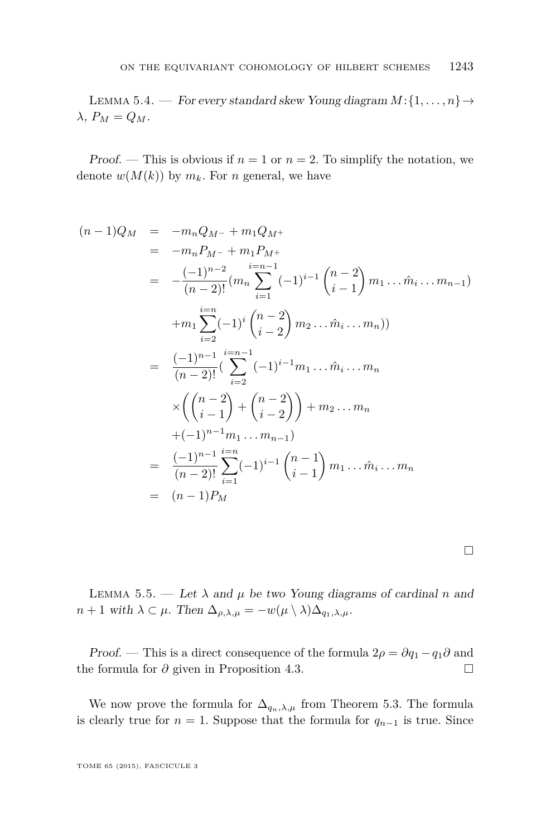<span id="page-43-0"></span>LEMMA 5.4. — For every standard skew Young diagram  $M$ : $\{1, \ldots, n\}$   $\rightarrow$  $λ$ ,  $P<sub>M</sub> = Q<sub>M</sub>$ .

Proof. — This is obvious if  $n = 1$  or  $n = 2$ . To simplify the notation, we denote  $w(M(k))$  by  $m_k$ . For *n* general, we have

$$
(n-1)Q_M = -m_n Q_{M-} + m_1 Q_{M+}
$$
  
\n
$$
= -m_n P_{M-} + m_1 P_{M+}
$$
  
\n
$$
= -\frac{(-1)^{n-2}}{(n-2)!} (m_n \sum_{i=1}^{i=n-1} (-1)^{i-1} {n-2 \choose i-1} m_1 \dots m_i \dots m_{n-1})
$$
  
\n
$$
+m_1 \sum_{i=2}^{i=n} (-1)^i {n-2 \choose i-2} m_2 \dots m_i \dots m_n)
$$
  
\n
$$
= \frac{(-1)^{n-1}}{(n-2)!} (\sum_{i=2}^{i=n-1} (-1)^{i-1} m_1 \dots m_i \dots m_n
$$
  
\n
$$
\times \left( {n-2 \choose i-1} + {n-2 \choose i-2} \right) + m_2 \dots m_n
$$
  
\n
$$
+(-1)^{n-1} m_1 \dots m_{n-1})
$$
  
\n
$$
= \frac{(-1)^{n-1}}{(n-2)!} \sum_{i=1}^{i=n} (-1)^{i-1} {n-1 \choose i-1} m_1 \dots m_i \dots m_n
$$
  
\n
$$
= (n-1)P_M
$$

LEMMA 5.5. — Let  $\lambda$  and  $\mu$  be two Young diagrams of cardinal *n* and  $n + 1$  with  $\lambda \subset \mu$ . Then  $\Delta_{\rho,\lambda,\mu} = -w(\mu \setminus \lambda) \Delta_{q_1,\lambda,\mu}$ .

*Proof.* — This is a direct consequence of the formula  $2\rho = \partial q_1 - q_1 \partial$  and the formula for *∂* given in Proposition [4.3.](#page-26-0) □

We now prove the formula for  $\Delta_{q_n,\lambda,\mu}$  from Theorem [5.3.](#page-42-0) The formula is clearly true for  $n = 1$ . Suppose that the formula for  $q_{n-1}$  is true. Since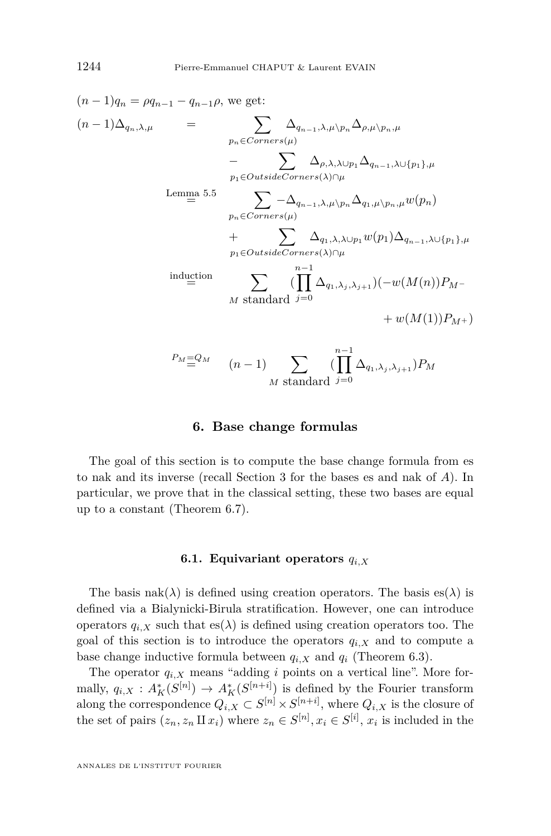$$
(n-1)q_n = \rho q_{n-1} - q_{n-1}\rho, \text{ we get:}
$$
\n
$$
(n-1)\Delta_{q_n,\lambda,\mu} = \sum_{p_n \in \text{Corners}(\mu)} \Delta_{q_{n-1},\lambda,\mu\backslash p_n} \Delta_{\rho,\mu\backslash p_n,\mu}
$$
\n
$$
- \sum_{p_1 \in \text{OutsideCorners}(\lambda) \cap \mu} \Delta_{q_{n-1},\lambda\cup\{p_1\},\mu}
$$
\n
$$
\text{Lemma 5.5} \sum_{p_n \in \text{Corners}(\mu)} -\Delta_{q_{n-1},\lambda,\mu\backslash p_n} \Delta_{q_1,\mu\backslash p_n,\mu} w(p_n)
$$
\n
$$
+ \sum_{p_1 \in \text{OutsideCorners}(\lambda) \cap \mu} \Delta_{q_1,\lambda,\lambda\cup p_1} w(p_1) \Delta_{q_{n-1},\lambda\cup\{p_1\},\mu}
$$
\n
$$
\text{induction} \sum_{p_1 \in \text{OutsideCorners}(\lambda) \cap \mu} (\prod_{p_1 \in \lambda} \Delta_{q_1,\lambda_j,\lambda_{j+1}}) (-w(M(n))P_{M-1})
$$
\n
$$
- \sum_{p_1 \in \mathcal{Q}_M} (\prod_{p_1 \in \lambda} \Delta_{q_1,\lambda_j,\lambda_{j+1}}) w(M(1))P_{M+1})
$$

$$
(n-1)
$$
  $\sum_{M \text{ standard } j=0} (\prod_{j=0} \Delta_{q_1,\lambda_j,\lambda_j})$ 

### **6. Base change formulas**

The goal of this section is to compute the base change formula from es to nak and its inverse (recall Section [3](#page-22-0) for the bases es and nak of *A*). In particular, we prove that in the classical setting, these two bases are equal up to a constant (Theorem [6.7\)](#page-49-0).

### **6.1. Equivariant operators** *qi,X*

The basis  $nak(\lambda)$  is defined using creation operators. The basis  $es(\lambda)$  is defined via a Bialynicki-Birula stratification. However, one can introduce operators  $q_{i,X}$  such that  $es(\lambda)$  is defined using creation operators too. The goal of this section is to introduce the operators  $q_{i,X}$  and to compute a base change inductive formula between  $q_{i,X}$  and  $q_i$  (Theorem [6.3\)](#page-46-0).

The operator  $q_{i,X}$  means "adding *i* points on a vertical line". More formally,  $q_{i,X}$ :  $A_K^*(S^{[n]}) \to A_K^*(S^{[n+i]})$  is defined by the Fourier transform along the correspondence  $Q_{i,X} \subset S^{[n]} \times S^{[n+i]}$ , where  $Q_{i,X}$  is the closure of the set of pairs  $(z_n, z_n \amalg x_i)$  where  $z_n \in S^{[n]}$ ,  $x_i \in S^{[i]}$ ,  $x_i$  is included in the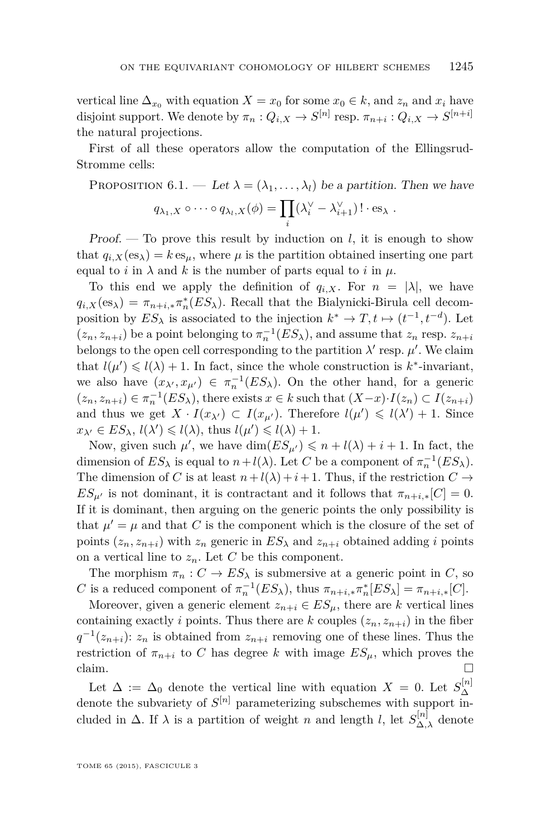vertical line  $\Delta_{x_0}$  with equation  $X = x_0$  for some  $x_0 \in k$ , and  $z_n$  and  $x_i$  have disjoint support. We denote by  $\pi_n: Q_{i,X} \to S^{[n]}$  resp.  $\pi_{n+i}: Q_{i,X} \to S^{[n+i]}$ the natural projections.

First of all these operators allow the computation of the Ellingsrud-Stromme cells:

PROPOSITION 6.1. — Let 
$$
\lambda = (\lambda_1, ..., \lambda_l)
$$
 be a partition. Then we have  
\n
$$
q_{\lambda_1, X} \circ \cdots \circ q_{\lambda_l, X}(\phi) = \prod_i (\lambda_i^{\vee} - \lambda_{i+1}^{\vee})! \cdot \text{es}_{\lambda}.
$$

Proof. — To prove this result by induction on *l*, it is enough to show that  $q_{i,X}(es_\lambda) = k \, es_\mu$ , where  $\mu$  is the partition obtained inserting one part equal to *i* in  $\lambda$  and *k* is the number of parts equal to *i* in  $\mu$ .

To this end we apply the definition of  $q_{i,X}$ . For  $n = |\lambda|$ , we have  $q_{i,X}(\text{es}_{\lambda}) = \pi_{n+i,*}\pi_n^*(ES_{\lambda})$ . Recall that the Bialynicki-Birula cell decomposition by  $ES_{\lambda}$  is associated to the injection  $k^* \to T$ ,  $t \mapsto (t^{-1}, t^{-d})$ . Let  $(z_n, z_{n+i})$  be a point belonging to  $\pi_n^{-1}(ES_\lambda)$ , and assume that  $z_n$  resp.  $z_{n+i}$ belongs to the open cell corresponding to the partition  $\lambda'$  resp.  $\mu'$ . We claim that  $l(\mu') \leq l(\lambda) + 1$ . In fact, since the whole construction is  $k^*$ -invariant, we also have  $(x_{\lambda}, x_{\mu}) \in \pi_n^{-1}(ES_{\lambda})$ . On the other hand, for a generic  $(z_n, z_{n+i}) \in \pi_n^{-1}(ES_\lambda)$ , there exists  $x \in k$  such that  $(X-x) \cdot I(z_n) \subset I(z_{n+i})$ and thus we get  $X \cdot I(x_{\lambda'}) \subset I(x_{\mu'})$ . Therefore  $l(\mu') \leq l(\lambda') + 1$ . Since  $x_{\lambda'} \in ES_{\lambda}, l(\lambda') \leq l(\lambda)$ , thus  $l(\mu') \leq l(\lambda) + 1$ .

Now, given such  $\mu'$ , we have  $\dim(ES_{\mu'}) \leq n + l(\lambda) + i + 1$ . In fact, the dimension of  $ES_{\lambda}$  is equal to  $n + l(\lambda)$ . Let *C* be a component of  $\pi_n^{-1}(ES_{\lambda})$ . The dimension of *C* is at least  $n + l(\lambda) + i + 1$ . Thus, if the restriction  $C \rightarrow$  $ES_{\mu'}$  is not dominant, it is contractant and it follows that  $\pi_{n+i,*}[C] = 0$ . If it is dominant, then arguing on the generic points the only possibility is that  $\mu' = \mu$  and that *C* is the component which is the closure of the set of points  $(z_n, z_{n+i})$  with  $z_n$  generic in  $ES_\lambda$  and  $z_{n+i}$  obtained adding *i* points on a vertical line to  $z_n$ . Let  $C$  be this component.

The morphism  $\pi_n : C \to ES_\lambda$  is submersive at a generic point in *C*, so *C* is a reduced component of  $\pi_n^{-1}(ES_\lambda)$ , thus  $\pi_{n+i,*}\pi_n^*[ES_\lambda] = \pi_{n+i,*}[C]$ .

Moreover, given a generic element  $z_{n+i} \in ES_\mu$ , there are *k* vertical lines containing exactly *i* points. Thus there are *k* couples  $(z_n, z_{n+i})$  in the fiber  $q^{-1}(z_{n+i})$ : *z<sub>n</sub>* is obtained from *z*<sub>*n*+*i*</sub> removing one of these lines. Thus the restriction of  $\pi_{n+i}$  to *C* has degree *k* with image  $ES_\mu$ , which proves the claim.  $\Box$ 

Let  $\Delta := \Delta_0$  denote the vertical line with equation  $X = 0$ . Let  $S_{\Delta}^{[n]}$ ∆ denote the subvariety of  $S^{[n]}$  parameterizing subschemes with support included in  $\Delta$ . If  $\lambda$  is a partition of weight *n* and length *l*, let  $S_{\Delta,\lambda}^{[n]}$  denote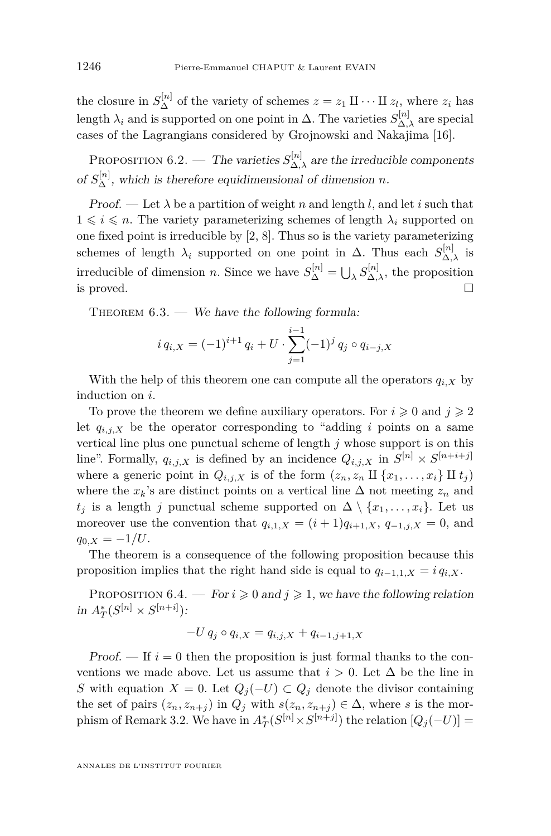<span id="page-46-0"></span>the closure in  $S_{\Delta}^{[n]}$  of the variety of schemes  $z = z_1 \amalg \cdots \amalg z_l$ , where  $z_i$  has length  $\lambda_i$  and is supported on one point in  $\Delta$ . The varieties  $S_{\Delta,\lambda}^{[n]}$  are special cases of the Lagrangians considered by Grojnowski and Nakajima [\[16\]](#page-50-0).

PROPOSITION 6.2. — The varieties  $S_{\Delta,\lambda}^{[n]}$  are the irreducible components of  $S_{\Delta}^{[n]}$ , which is therefore equidimensional of dimension *n*.

Proof. — Let  $\lambda$  be a partition of weight *n* and length *l*, and let *i* such that  $1 \leq i \leq n$ . The variety parameterizing schemes of length  $\lambda_i$  supported on one fixed point is irreducible by [\[2,](#page-49-0) [8\]](#page-50-0). Thus so is the variety parameterizing schemes of length  $\lambda_i$  supported on one point in  $\Delta$ . Thus each  $S_{\Delta,\lambda}^{[n]}$  is irreducible of dimension *n*. Since we have  $S_{\Delta}^{[n]} = \bigcup_{\lambda} S_{\Delta,\lambda}^{[n]}$ , the proposition is proved.

THEOREM  $6.3.$  — We have the following formula:

$$
i q_{i,X} = (-1)^{i+1} q_i + U \cdot \sum_{j=1}^{i-1} (-1)^j q_j \circ q_{i-j,X}
$$

With the help of this theorem one can compute all the operators  $q_{i,X}$  by induction on *i*.

To prove the theorem we define auxiliary operators. For  $i \geq 0$  and  $j \geq 2$ let  $q_{i,j,X}$  be the operator corresponding to "adding *i* points on a same vertical line plus one punctual scheme of length *j* whose support is on this line". Formally,  $q_{i,j,X}$  is defined by an incidence  $Q_{i,j,X}$  in  $S^{[n]} \times S^{[n+i+j]}$ where a generic point in  $Q_{i,j,X}$  is of the form  $(z_n, z_n \amalg \{x_1, \ldots, x_i\} \amalg t_j)$ where the  $x_k$ 's are distinct points on a vertical line  $\Delta$  not meeting  $z_n$  and *t<sub>j</sub>* is a length *j* punctual scheme supported on  $\Delta \setminus \{x_1, \ldots, x_i\}$ . Let us moreover use the convention that  $q_{i,1,X} = (i+1)q_{i+1,X}, q_{-1,j,X} = 0$ , and  $q_{0,X} = -1/U$ .

The theorem is a consequence of the following proposition because this proposition implies that the right hand side is equal to  $q_{i-1,1,X} = iq_{i,X}$ .

PROPOSITION 6.4.  $\text{For } i \geqslant 0 \text{ and } j \geqslant 1$ , we have the following relation  $\inf A_T^*(S^{[n]} \times S^{[n+i]})$ :

$$
-U q_j \circ q_{i,X} = q_{i,j,X} + q_{i-1,j+1,X}
$$

Proof.  $\overline{\phantom{a}}$  If  $i=0$  then the proposition is just formal thanks to the conventions we made above. Let us assume that  $i > 0$ . Let  $\Delta$  be the line in *S* with equation *X* = 0. Let  $Q_j$ (−*U*) ⊂  $Q_j$  denote the divisor containing the set of pairs  $(z_n, z_{n+j})$  in  $Q_j$  with  $s(z_n, z_{n+j}) \in \Delta$ , where *s* is the mor-phism of Remark [3.2.](#page-22-0) We have in  $A_T^*(S^{[n]} \times S^{[n+j]})$  the relation  $[Q_j(-U)] =$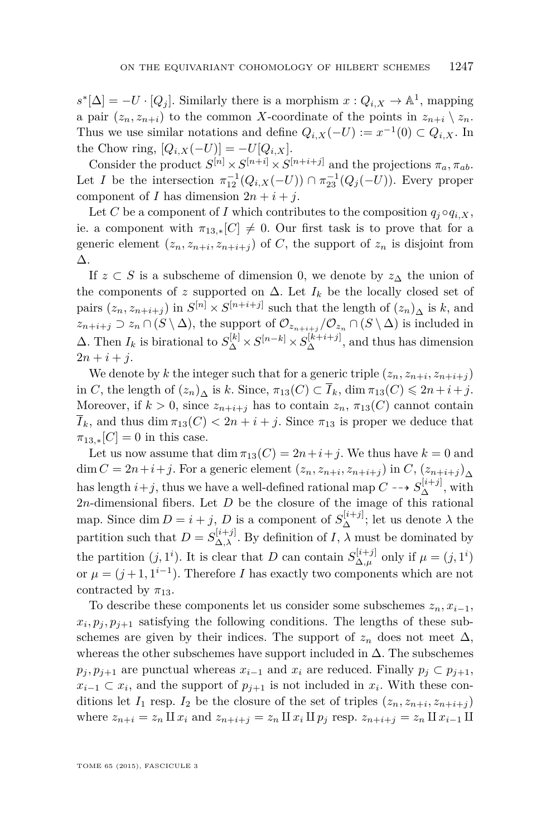$s^*[\Delta] = -U \cdot [Q_j]$ . Similarly there is a morphism  $x: Q_{i,X} \to \mathbb{A}^1$ , mapping a pair  $(z_n, z_{n+i})$  to the common *X*-coordinate of the points in  $z_{n+i} \setminus z_n$ . Thus we use similar notations and define  $Q_{i,X}(-U) := x^{-1}(0) \subset Q_{i,X}$ . In the Chow ring,  $[Q_{i,X}(-U)] = -U[Q_{i,X}].$ 

Consider the product  $S^{[n]} \times S^{[n+i]} \times S^{[n+i+j]}$  and the projections  $\pi_a, \pi_{ab}$ . Let *I* be the intersection  $\pi_{12}^{-1}(Q_{i,X}(-U)) \cap \pi_{23}^{-1}(Q_j(-U))$ . Every proper component of *I* has dimension  $2n + i + j$ .

Let *C* be a component of *I* which contributes to the composition  $q_i \circ q_{i,X}$ , ie. a component with  $\pi_{13,*}[C] \neq 0$ . Our first task is to prove that for a generic element  $(z_n, z_{n+i}, z_{n+i+j})$  of *C*, the support of  $z_n$  is disjoint from ∆.

If  $z \subset S$  is a subscheme of dimension 0, we denote by  $z_{\Delta}$  the union of the components of *z* supported on  $\Delta$ . Let  $I_k$  be the locally closed set of pairs  $(z_n, z_{n+i+j})$  in  $S^{[n]} \times S^{[n+i+j]}$  such that the length of  $(z_n)_{\Delta}$  is *k*, and  $z_{n+i+j} \supset z_n \cap (S \setminus \Delta)$ , the support of  $\mathcal{O}_{z_{n+i+j}} / \mathcal{O}_{z_n} \cap (S \setminus \Delta)$  is included in  $\Delta$ . Then  $I_k$  is birational to  $S_{\Delta}^{[k]} \times S^{[n-k]} \times S_{\Delta}^{[k+i+j]}$ , and thus has dimension  $2n + i + j$ .

We denote by *k* the integer such that for a generic triple  $(z_n, z_{n+i}, z_{n+i+j})$ in *C*, the length of  $(z_n)$ <sup>*A*</sup> is *k*. Since,  $\pi_{13}(C) \subset \overline{I}_k$ , dim  $\pi_{13}(C) \leq 2n + i + j$ . Moreover, if  $k > 0$ , since  $z_{n+i+j}$  has to contain  $z_n$ ,  $\pi_{13}(C)$  cannot contain  $I_k$ , and thus dim  $\pi_{13}(C) < 2n + i + j$ . Since  $\pi_{13}$  is proper we deduce that  $\pi_{13,*}[C] = 0$  in this case.

Let us now assume that  $\dim \pi_{13}(C) = 2n + i + j$ . We thus have  $k = 0$  and dim  $C = 2n+i+j$ . For a generic element  $(z_n, z_{n+i}, z_{n+i+j})$  in  $C$ ,  $(z_{n+i+j})_{\Delta}$ has length  $i+j$ , thus we have a well-defined rational map  $C \dashrightarrow S_{\Delta}^{[i+j]}$ , with 2*n*-dimensional fibers. Let *D* be the closure of the image of this rational map. Since dim  $D = i + j$ , *D* is a component of  $S_{\Delta}^{[i+j]}$ ; let us denote  $\lambda$  the partition such that  $D = S_{\Delta,\lambda}^{[i+j]}$ . By definition of *I*,  $\lambda$  must be dominated by the partition  $(j, 1^i)$ . It is clear that *D* can contain  $S_{\Delta \mu}^{[i+j]}$  $\Delta, \mu$  only if  $\mu = (j, 1^i)$ or  $\mu = (j+1, 1^{i-1})$ . Therefore *I* has exactly two components which are not contracted by  $\pi_{13}$ .

To describe these components let us consider some subschemes  $z_n, x_{i-1}$ ,  $x_i, p_j, p_{j+1}$  satisfying the following conditions. The lengths of these subschemes are given by their indices. The support of  $z_n$  does not meet  $\Delta$ , whereas the other subschemes have support included in  $\Delta$ . The subschemes  $p_j, p_{j+1}$  are punctual whereas  $x_{i-1}$  and  $x_i$  are reduced. Finally  $p_j \subset p_{j+1}$ ,  $x_{i-1} \subset x_i$ , and the support of  $p_{j+1}$  is not included in  $x_i$ . With these conditions let  $I_1$  resp.  $I_2$  be the closure of the set of triples  $(z_n, z_{n+i}, z_{n+i+j})$ where  $z_{n+i} = z_n \amalg x_i$  and  $z_{n+i+j} = z_n \amalg x_i \amalg p_j$  resp.  $z_{n+i+j} = z_n \amalg x_{i-1} \amalg$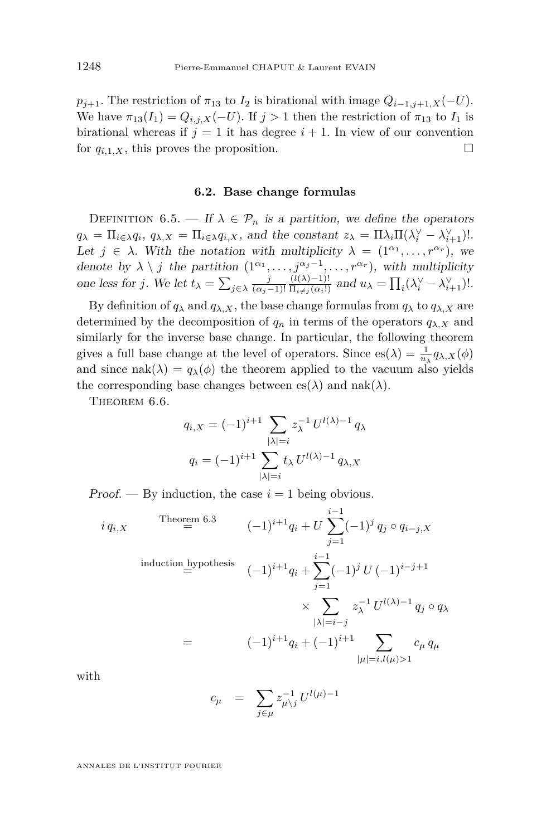$p_{j+1}$ . The restriction of  $\pi_{13}$  to  $I_2$  is birational with image  $Q_{i-1,j+1,X}(-U)$ . We have  $\pi_{13}(I_1) = Q_{i,j,X}(-U)$ . If  $j > 1$  then the restriction of  $\pi_{13}$  to  $I_1$  is birational whereas if  $j = 1$  it has degree  $i + 1$ . In view of our convention for  $q_{i,1,X}$ , this proves the proposition.

### **6.2. Base change formulas**

DEFINITION 6.5. — If  $\lambda \in \mathcal{P}_n$  is a partition, we define the operators  $q_{\lambda} = \prod_{i \in \lambda} q_i, q_{\lambda, X} = \prod_{i \in \lambda} q_{i, X}$ , and the constant  $z_{\lambda} = \prod_{i \in \lambda} \prod_{i} (\lambda_i^{\vee} - \lambda_{i+1}^{\vee})!$ . Let  $j \in \lambda$ . With the notation with multiplicity  $\lambda = (1^{\alpha_1}, \ldots, r^{\alpha_r}),$  we denote by  $\lambda \setminus j$  the partition  $(1^{\alpha_1}, \ldots, j^{\alpha_j-1}, \ldots, r^{\alpha_r})$ , with multiplicity one less for *j*. We let  $t_{\lambda} = \sum_{j \in \lambda} \frac{j}{(\alpha_j - 1)!}$  $\frac{(l(\lambda)-1)!}{\prod_{i\neq j}(\alpha_i!)}$  and  $u_{\lambda} = \prod_i (\lambda_i^{\vee} - \lambda_{i+1}^{\vee})!$ .

By definition of  $q_{\lambda}$  and  $q_{\lambda}$ , x, the base change formulas from  $q_{\lambda}$  to  $q_{\lambda}$ , x are determined by the decomposition of  $q_n$  in terms of the operators  $q_{\lambda,X}$  and similarly for the inverse base change. In particular, the following theorem gives a full base change at the level of operators. Since  $es(\lambda) = \frac{1}{u_{\lambda}} q_{\lambda,X}(\phi)$ and since nak( $\lambda$ ) =  $q_{\lambda}(\phi)$  the theorem applied to the vacuum also yields the corresponding base changes between  $es(\lambda)$  and nak( $\lambda$ ).

THEOREM 6.6.

$$
q_{i,X} = (-1)^{i+1} \sum_{|\lambda|=i} z_{\lambda}^{-1} U^{l(\lambda)-1} q_{\lambda}
$$

$$
q_i = (-1)^{i+1} \sum_{|\lambda|=i} t_{\lambda} U^{l(\lambda)-1} q_{\lambda,X}
$$

Proof. — By induction, the case  $i = 1$  being obvious.

$$
i q_{i,X}
$$
\n
$$
\text{Theorem 6.3}
$$
\n
$$
(-1)^{i+1} q_i + U \sum_{j=1}^{i-1} (-1)^j q_j \circ q_{i-j,X}
$$
\n
$$
\text{induction hypothesis}
$$
\n
$$
(-1)^{i+1} q_i + \sum_{j=1}^{i-1} (-1)^j U (-1)^{i-j+1}
$$
\n
$$
\times \sum_{|\lambda|=i-j} z_{\lambda}^{-1} U^{l(\lambda)-1} q_j \circ q_{\lambda}
$$
\n
$$
= (-1)^{i+1} q_i + (-1)^{i+1} \sum_{|\mu|=i, l(\mu)>1} c_{\mu} q_{\mu}
$$

with

$$
c_{\mu} = \sum_{j \in \mu} z_{\mu \backslash j}^{-1} U^{l(\mu)-1}
$$

ANNALES DE L'INSTITUT FOURIER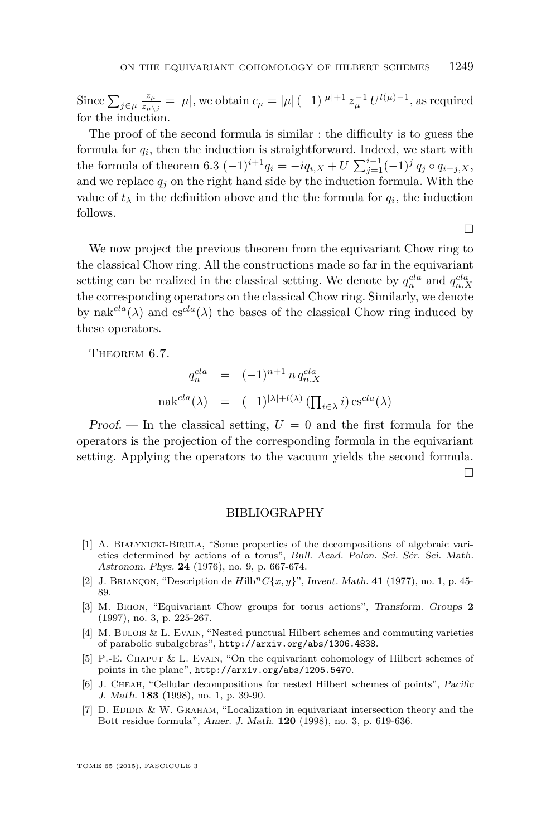<span id="page-49-0"></span>Since  $\sum_{j\in\mu}\frac{z_{\mu}}{z_{\mu\lambda}}$  $\frac{z_{\mu}}{z_{\mu\setminus j}} = |\mu|$ , we obtain  $c_{\mu} = |\mu| (-1)^{|\mu|+1} z_{\mu}^{-1} U^{l(\mu)-1}$ , as required for the induction.

The proof of the second formula is similar : the difficulty is to guess the formula for *q<sup>i</sup>* , then the induction is straightforward. Indeed, we start with the formula of theorem [6.3](#page-46-0)  $(-1)^{i+1}q_i = -iq_{i,X} + U \sum_{j=1}^{i-1} (-1)^j q_j \circ q_{i-j,X}$ , and we replace  $q_j$  on the right hand side by the induction formula. With the value of  $t_{\lambda}$  in the definition above and the the formula for  $q_i$ , the induction follows.

 $\Box$ 

We now project the previous theorem from the equivariant Chow ring to the classical Chow ring. All the constructions made so far in the equivariant setting can be realized in the classical setting. We denote by  $q_n^{cla}$  and  $q_{n,X}^{cla}$ the corresponding operators on the classical Chow ring. Similarly, we denote by nak<sup>*cla*</sup>( $\lambda$ ) and es<sup>*cla*</sup>( $\lambda$ ) the bases of the classical Chow ring induced by these operators.

THEOREM 6.7.

$$
q_n^{cla} = (-1)^{n+1} n q_{n,X}^{cla}
$$

$$
\text{nak}^{cla}(\lambda) = (-1)^{|\lambda|+l(\lambda)} \left(\prod_{i \in \lambda} i\right) \text{es}^{cla}(\lambda)
$$

Proof. — In the classical setting,  $U = 0$  and the first formula for the operators is the projection of the corresponding formula in the equivariant setting. Applying the operators to the vacuum yields the second formula. П

### BIBLIOGRAPHY

- [1] A. Białynicki-Birula, "Some properties of the decompositions of algebraic varieties determined by actions of a torus", Bull. Acad. Polon. Sci. Sér. Sci. Math. Astronom. Phys. **24** (1976), no. 9, p. 667-674.
- [2] J. BRIANÇON, "Description de  $Hilb<sup>n</sup>C{x,y}$ ", Invent. Math. **41** (1977), no. 1, p. 45-89.
- [3] M. Brion, "Equivariant Chow groups for torus actions", Transform. Groups **2** (1997), no. 3, p. 225-267.
- [4] M. Bulois & L. Evain, "Nested punctual Hilbert schemes and commuting varieties of parabolic subalgebras", <http://arxiv.org/abs/1306.4838>.
- [5] P.-E. CHAPUT & L. EVAIN, "On the equivariant cohomology of Hilbert schemes of points in the plane", <http://arxiv.org/abs/1205.5470>.
- [6] J. Cheah, "Cellular decompositions for nested Hilbert schemes of points", Pacific J. Math. **183** (1998), no. 1, p. 39-90.
- [7] D. Edidin & W. Graham, "Localization in equivariant intersection theory and the Bott residue formula", Amer. J. Math. **120** (1998), no. 3, p. 619-636.